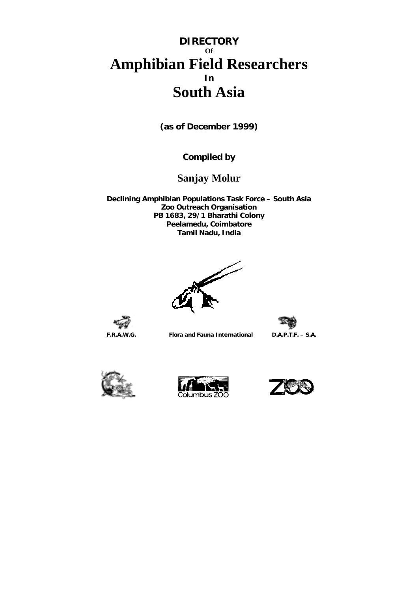# **DIRECTORY Of Amphibian Field Researchers In South Asia**

**(as of December 1999)** 

**Compiled by** 

# **Sanjay Molur**

**Declining Amphibian Populations Task Force – South Asia Zoo Outreach Organisation PB 1683, 29/1 Bharathi Colony Peelamedu, Coimbatore Tamil Nadu, India**



 **F.R.A.W.G. Flora and Fauna International D.A.P.T.F. – S.A.** 







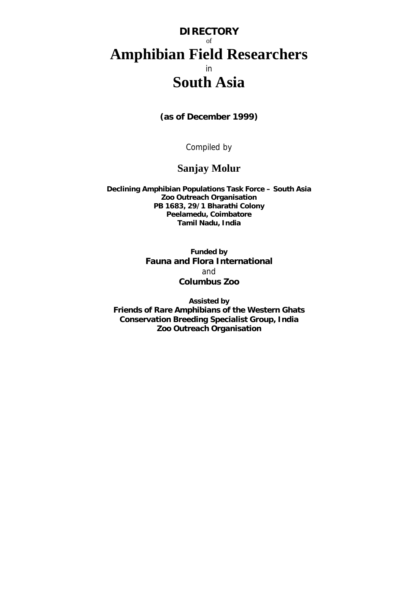# **DIRECTORY**  of **Amphibian Field Researchers**  in **South Asia**

**(as of December 1999)** 

Compiled by

# **Sanjay Molur**

**Declining Amphibian Populations Task Force – South Asia Zoo Outreach Organisation PB 1683, 29/1 Bharathi Colony Peelamedu, Coimbatore Tamil Nadu, India**

> **Funded by Fauna and Flora International**  and **Columbus Zoo**

**Assisted by Friends of Rare Amphibians of the Western Ghats Conservation Breeding Specialist Group, India Zoo Outreach Organisation**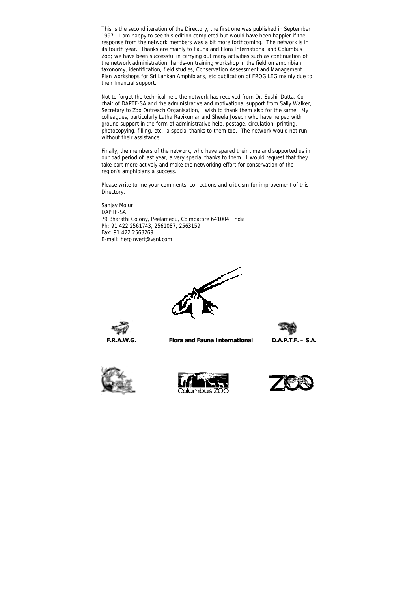This is the second iteration of the Directory, the first one was published in September 1997. I am happy to see this edition completed but would have been happier if the response from the network members was a bit more forthcoming. The network is in its fourth year. Thanks are mainly to Fauna and Flora International and Columbus Zoo; we have been successful in carrying out many activities such as continuation of the network administration, hands-on training workshop in the field on amphibian taxonomy, identification, field studies, Conservation Assessment and Management Plan workshops for Sri Lankan Amphibians, etc publication of FROG LEG mainly due to their financial support.

Not to forget the technical help the network has received from Dr. Sushil Dutta, Cochair of DAPTF-SA and the administrative and motivational support from Sally Walker, Secretary to Zoo Outreach Organisation, I wish to thank them also for the same. My colleagues, particularly Latha Ravikumar and Sheela Joseph who have helped with ground support in the form of administrative help, postage, circulation, printing, photocopying, filling, etc., a special thanks to them too. The network would not run without their assistance.

Finally, the members of the network, who have spared their time and supported us in our bad period of last year, a very special thanks to them. I would request that they take part more actively and make the networking effort for conservation of the region's amphibians a success.

Please write to me your comments, corrections and criticism for improvement of this Directory.

Sanjay Molur DAPTF-SA 79 Bharathi Colony, Peelamedu, Coimbatore 641004, India Ph: 91 422 2561743, 2561087, 2563159 Fax: 91 422 2563269 E-mail: herpinvert@vsnl.com











 **F.R.A.W.G. Flora and Fauna International D.A.P.T.F. – S.A.**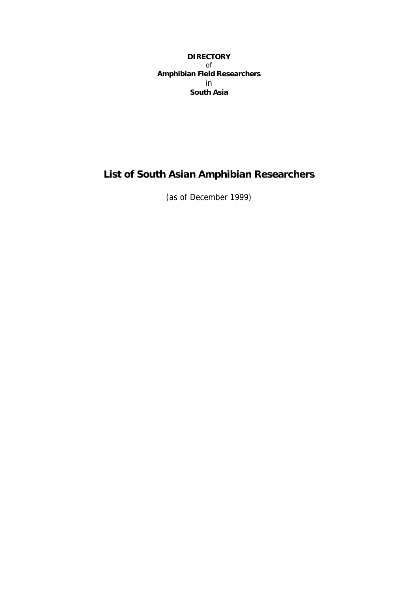# **DIRECTORY**  of **Amphibian Field Researchers**  in **South Asia**

# **List of South Asian Amphibian Researchers**

(as of December 1999)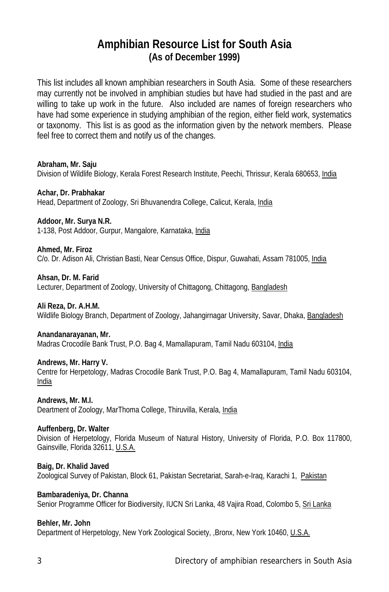# **Amphibian Resource List for South Asia (As of December 1999)**

This list includes all known amphibian researchers in South Asia. Some of these researchers may currently not be involved in amphibian studies but have had studied in the past and are willing to take up work in the future. Also included are names of foreign researchers who have had some experience in studying amphibian of the region, either field work, systematics or taxonomy. This list is as good as the information given by the network members. Please feel free to correct them and notify us of the changes.

**Abraham, Mr. Saju** Division of Wildlife Biology, Kerala Forest Research Institute, Peechi, Thrissur, Kerala 680653, India

**Achar, Dr. Prabhakar**  Head, Department of Zoology, Sri Bhuvanendra College, Calicut, Kerala, India

**Addoor, Mr. Surya N.R.** 1-138, Post Addoor, Gurpur, Mangalore, Karnataka, India

**Ahmed, Mr. Firoz** 

C/o. Dr. Adison Ali, Christian Basti, Near Census Office, Dispur, Guwahati, Assam 781005, India

**Ahsan, Dr. M. Farid**

Lecturer, Department of Zoology, University of Chittagong, Chittagong, Bangladesh

**Ali Reza, Dr. A.H.M.**

Wildlife Biology Branch, Department of Zoology, Jahangirnagar University, Savar, Dhaka, Bangladesh

**Anandanarayanan, Mr.**

Madras Crocodile Bank Trust, P.O. Bag 4, Mamallapuram, Tamil Nadu 603104, India

**Andrews, Mr. Harry V.**

Centre for Herpetology, Madras Crocodile Bank Trust, P.O. Bag 4, Mamallapuram, Tamil Nadu 603104, India

**Andrews, Mr. M.I.**

Deartment of Zoology, MarThoma College, Thiruvilla, Kerala, India

**Auffenberg, Dr. Walter**

Division of Herpetology, Florida Museum of Natural History, University of Florida, P.O. Box 117800, Gainsville, Florida 32611, U.S.A.

**Baig, Dr. Khalid Javed** Zoological Survey of Pakistan, Block 61, Pakistan Secretariat, Sarah-e-Iraq, Karachi 1, Pakistan

# **Bambaradeniya, Dr. Channa**

Senior Programme Officer for Biodiversity, IUCN Sri Lanka, 48 Vajira Road, Colombo 5, Sri Lanka

# **Behler, Mr. John**

Department of Herpetology, New York Zoological Society, ,Bronx, New York 10460, U.S.A.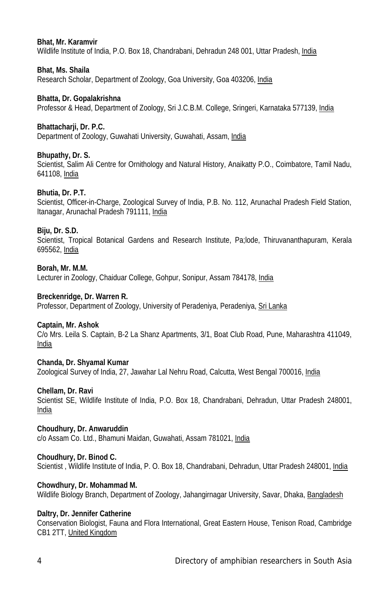## **Bhat, Mr. Karamvir**

Wildlife Institute of India, P.O. Box 18, Chandrabani, Dehradun 248 001, Uttar Pradesh, India

## **Bhat, Ms. Shaila**

Research Scholar, Department of Zoology, Goa University, Goa 403206, India

# **Bhatta, Dr. Gopalakrishna**

Professor & Head, Department of Zoology, Sri J.C.B.M. College, Sringeri, Karnataka 577139, India

# **Bhattacharji, Dr. P.C.**

Department of Zoology, Guwahati University, Guwahati, Assam, India

# **Bhupathy, Dr. S.**

Scientist, Salim Ali Centre for Ornithology and Natural History, Anaikatty P.O., Coimbatore, Tamil Nadu, 641108, India

# **Bhutia, Dr. P.T.**

Scientist, Officer-in-Charge, Zoological Survey of India, P.B. No. 112, Arunachal Pradesh Field Station, Itanagar, Arunachal Pradesh 791111, India

# **Biju, Dr. S.D.**

Scientist, Tropical Botanical Gardens and Research Institute, Pa;lode, Thiruvananthapuram, Kerala 695562, India

#### **Borah, Mr. M.M.**

Lecturer in Zoology, Chaiduar College, Gohpur, Sonipur, Assam 784178, India

## **Breckenridge, Dr. Warren R.**

Professor, Department of Zoology, University of Peradeniya, Peradeniya, Sri Lanka

## **Captain, Mr. Ashok**

C/o Mrs. Leila S. Captain, B-2 La Shanz Apartments, 3/1, Boat Club Road, Pune, Maharashtra 411049, India

## **Chanda, Dr. Shyamal Kumar**

Zoological Survey of India, 27, Jawahar Lal Nehru Road, Calcutta, West Bengal 700016, India

#### **Chellam, Dr. Ravi**

Scientist SE, Wildlife Institute of India, P.O. Box 18, Chandrabani, Dehradun, Uttar Pradesh 248001, India

## **Choudhury, Dr. Anwaruddin**

c/o Assam Co. Ltd., Bhamuni Maidan, Guwahati, Assam 781021, India

#### **Choudhury, Dr. Binod C.**

Scientist , Wildlife Institute of India, P. O. Box 18, Chandrabani, Dehradun, Uttar Pradesh 248001, India

# **Chowdhury, Dr. Mohammad M.**

Wildlife Biology Branch, Department of Zoology, Jahangirnagar University, Savar, Dhaka, Bangladesh

# **Daltry, Dr. Jennifer Catherine**

Conservation Biologist, Fauna and Flora International, Great Eastern House, Tenison Road, Cambridge CB1 2TT, United Kingdom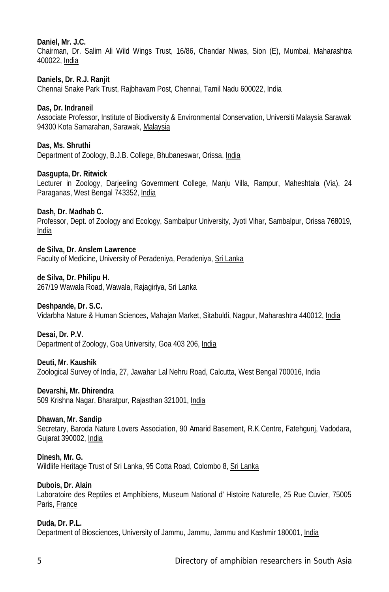# **Daniel, Mr. J.C.**

Chairman, Dr. Salim Ali Wild Wings Trust, 16/86, Chandar Niwas, Sion (E), Mumbai, Maharashtra 400022, India

# **Daniels, Dr. R.J. Ranjit**

Chennai Snake Park Trust, Rajbhavam Post, Chennai, Tamil Nadu 600022, India

# **Das, Dr. Indraneil**

Associate Professor, Institute of Biodiversity & Environmental Conservation, Universiti Malaysia Sarawak 94300 Kota Samarahan, Sarawak, Malaysia

# **Das, Ms. Shruthi**

Department of Zoology, B.J.B. College, Bhubaneswar, Orissa, India

# **Dasgupta, Dr. Ritwick**

Lecturer in Zoology, Darjeeling Government College, Manju Villa, Rampur, Maheshtala (Via), 24 Paraganas, West Bengal 743352, India

# **Dash, Dr. Madhab C.**

Professor, Dept. of Zoology and Ecology, Sambalpur University, Jyoti Vihar, Sambalpur, Orissa 768019, India

**de Silva, Dr. Anslem Lawrence** Faculty of Medicine, University of Peradeniya, Peradeniya, Sri Lanka

# **de Silva, Dr. Philipu H.**

267/19 Wawala Road, Wawala, Rajagiriya, Sri Lanka

#### **Deshpande, Dr. S.C.**

Vidarbha Nature & Human Sciences, Mahajan Market, Sitabuldi, Nagpur, Maharashtra 440012, India

#### **Desai, Dr. P.V.**

Department of Zoology, Goa University, Goa 403 206, India

## **Deuti, Mr. Kaushik**

Zoological Survey of India, 27, Jawahar Lal Nehru Road, Calcutta, West Bengal 700016, India

#### **Devarshi, Mr. Dhirendra**

509 Krishna Nagar, Bharatpur, Rajasthan 321001, India

#### **Dhawan, Mr. Sandip**

Secretary, Baroda Nature Lovers Association, 90 Amarid Basement, R.K.Centre, Fatehgunj, Vadodara, Gujarat 390002, India

#### **Dinesh, Mr. G.**

Wildlife Heritage Trust of Sri Lanka, 95 Cotta Road, Colombo 8, Sri Lanka

#### **Dubois, Dr. Alain**

Laboratoire des Reptiles et Amphibiens, Museum National d' Histoire Naturelle, 25 Rue Cuvier, 75005 Paris, France

# **Duda, Dr. P.L.**

Department of Biosciences, University of Jammu, Jammu, Jammu and Kashmir 180001, India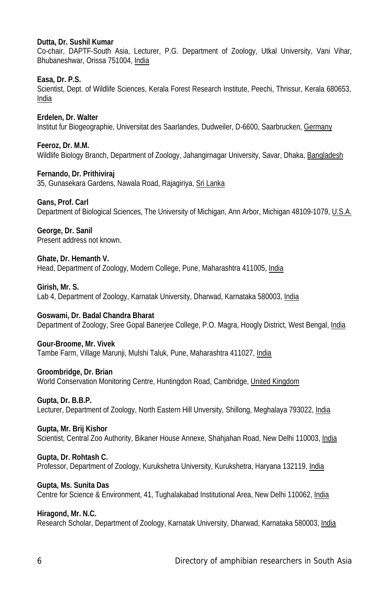## **Dutta, Dr. Sushil Kumar**

Co-chair, DAPTF-South Asia, Lecturer, P.G. Department of Zoology, Utkal University, Vani Vihar, Bhubaneshwar, Orissa 751004, India

# **Easa, Dr. P.S.**

Scientist, Dept. of Wildlife Sciences, Kerala Forest Research Institute, Peechi, Thrissur, Kerala 680653, India

**Erdelen, Dr. Walter** Institut fur Biogeographie, Universitat des Saarlandes, Dudweiler, D-6600, Saarbrucken, Germany

**Feeroz, Dr. M.M.** Wildlife Biology Branch, Department of Zoology, Jahangirnagar University, Savar, Dhaka, Bangladesh

**Fernando, Dr. Prithiviraj** 35, Gunasekara Gardens, Nawala Road, Rajagiriya, Sri Lanka

#### **Gans, Prof. Carl**

Department of Biological Sciences, The University of Michigan, Ann Arbor, Michigan 48109-1079, U.S.A.

**George, Dr. Sanil**  Present address not known.

# **Ghate, Dr. Hemanth V.**

Head, Department of Zoology, Modern College, Pune, Maharashtra 411005, India

#### **Girish, Mr. S.**

Lab 4, Department of Zoology, Karnatak University, Dharwad, Karnataka 580003, India

#### **Goswami, Dr. Badal Chandra Bharat**

Department of Zoology, Sree Gopal Banerjee College, P.O. Magra, Hoogly District, West Bengal, India

#### **Gour-Broome, Mr. Vivek**

Tambe Farm, Village Marunji, Mulshi Taluk, Pune, Maharashtra 411027, India

#### **Groombridge, Dr. Brian**

World Conservation Monitoring Centre, Huntingdon Road, Cambridge, United Kingdom

#### **Gupta, Dr. B.B.P.**

Lecturer, Department of Zoology, North Eastern Hill Unversity, Shillong, Meghalaya 793022, India

#### **Gupta, Mr. Brij Kishor**

Scientist, Central Zoo Authority, Bikaner House Annexe, Shahjahan Road, New Delhi 110003, India

#### **Gupta, Dr. Rohtash C.**

Professor, Department of Zoology, Kurukshetra University, Kurukshetra, Haryana 132119, India

#### **Gupta, Ms. Sunita Das**

Centre for Science & Environment, 41, Tughalakabad Institutional Area, New Delhi 110062, India

#### **Hiragond, Mr. N.C.**

Research Scholar, Department of Zoology, Karnatak University, Dharwad, Karnataka 580003, India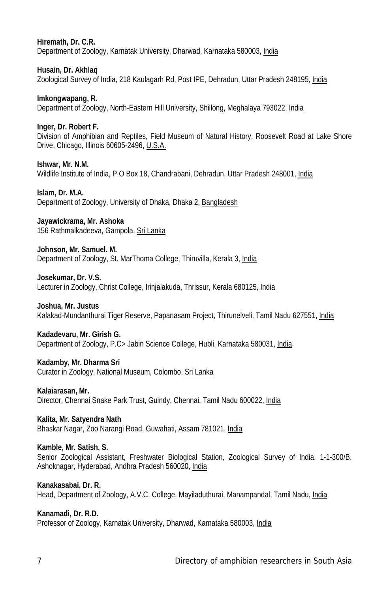**Hiremath, Dr. C.R.** Department of Zoology, Karnatak University, Dharwad, Karnataka 580003, India

**Husain, Dr. Akhlaq** Zoological Survey of India, 218 Kaulagarh Rd, Post IPE, Dehradun, Uttar Pradesh 248195, India

**Imkongwapang, R.** Department of Zoology, North-Eastern Hill University, Shillong, Meghalaya 793022, India

**Inger, Dr. Robert F.** Division of Amphibian and Reptiles, Field Museum of Natural History, Roosevelt Road at Lake Shore Drive, Chicago, Illinois 60605-2496, U.S.A.

**Ishwar, Mr. N.M.** Wildlife Institute of India, P.O Box 18, Chandrabani, Dehradun, Uttar Pradesh 248001, India

**Islam, Dr. M.A.** Department of Zoology, University of Dhaka, Dhaka 2, Bangladesh

**Jayawickrama, Mr. Ashoka** 156 Rathmalkadeeva, Gampola, Sri Lanka

**Johnson, Mr. Samuel. M.** Department of Zoology, St. MarThoma College, Thiruvilla, Kerala 3, India

**Josekumar, Dr. V.S.** Lecturer in Zoology, Christ College, Irinjalakuda, Thrissur, Kerala 680125, India

**Joshua, Mr. Justus**  Kalakad-Mundanthurai Tiger Reserve, Papanasam Project, Thirunelveli, Tamil Nadu 627551, India

**Kadadevaru, Mr. Girish G.** Department of Zoology, P.C> Jabin Science College, Hubli, Karnataka 580031, India

**Kadamby, Mr. Dharma Sri** Curator in Zoology, National Museum, Colombo, Sri Lanka

**Kalaiarasan, Mr.** Director, Chennai Snake Park Trust, Guindy, Chennai, Tamil Nadu 600022, India

**Kalita, Mr. Satyendra Nath** Bhaskar Nagar, Zoo Narangi Road, Guwahati, Assam 781021, India

**Kamble, Mr. Satish. S.** Senior Zoological Assistant, Freshwater Biological Station, Zoological Survey of India, 1-1-300/B, Ashoknagar, Hyderabad, Andhra Pradesh 560020, India

**Kanakasabai, Dr. R.** Head, Department of Zoology, A.V.C. College, Mayiladuthurai, Manampandal, Tamil Nadu, India

**Kanamadi, Dr. R.D.** Professor of Zoology, Karnatak University, Dharwad, Karnataka 580003, India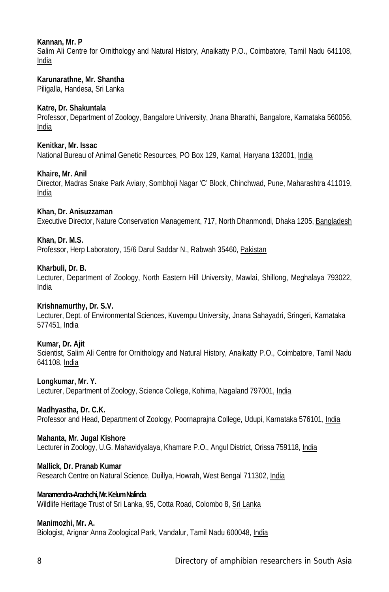# **Kannan, Mr. P**

Salim Ali Centre for Ornithology and Natural History, Anaikatty P.O., Coimbatore, Tamil Nadu 641108, India

## **Karunarathne, Mr. Shantha**

Piligalla, Handesa, Sri Lanka

## **Katre, Dr. Shakuntala**

Professor, Department of Zoology, Bangalore University, Jnana Bharathi, Bangalore, Karnataka 560056, India

### **Kenitkar, Mr. Issac**

National Bureau of Animal Genetic Resources, PO Box 129, Karnal, Haryana 132001, India

#### **Khaire, Mr. Anil**

Director, Madras Snake Park Aviary, Sombhoji Nagar 'C' Block, Chinchwad, Pune, Maharashtra 411019, India

#### **Khan, Dr. Anisuzzaman**

Executive Director, Nature Conservation Management, 717, North Dhanmondi, Dhaka 1205, Bangladesh

#### **Khan, Dr. M.S.**

Professor, Herp Laboratory, 15/6 Darul Saddar N., Rabwah 35460, Pakistan

#### **Kharbuli, Dr. B.**

Lecturer, Department of Zoology, North Eastern Hill University, Mawlai, Shillong, Meghalaya 793022, India

#### **Krishnamurthy, Dr. S.V.**

Lecturer, Dept. of Environmental Sciences, Kuvempu University, Jnana Sahayadri, Sringeri, Karnataka 577451, India

#### **Kumar, Dr. Ajit**

Scientist, Salim Ali Centre for Ornithology and Natural History, Anaikatty P.O., Coimbatore, Tamil Nadu 641108, India

#### **Longkumar, Mr. Y.**

Lecturer, Department of Zoology, Science College, Kohima, Nagaland 797001, India

#### **Madhyastha, Dr. C.K.**

Professor and Head, Department of Zoology, Poornaprajna College, Udupi, Karnataka 576101, India

# **Mahanta, Mr. Jugal Kishore**

Lecturer in Zoology, U.G. Mahavidyalaya, Khamare P.O., Angul District, Orissa 759118, India

#### **Mallick, Dr. Pranab Kumar**

Research Centre on Natural Science, Duillya, Howrah, West Bengal 711302, India

# **Manamendra-Arachchi, Mr. Kelum Nalinda**

Wildlife Heritage Trust of Sri Lanka, 95, Cotta Road, Colombo 8, Sri Lanka

#### **Manimozhi, Mr. A.**

Biologist, Arignar Anna Zoological Park, Vandalur, Tamil Nadu 600048, India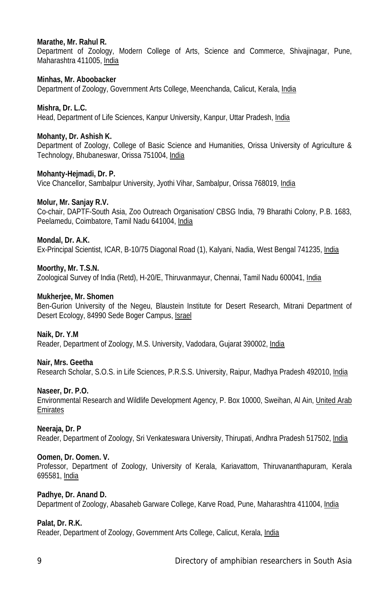## **Marathe, Mr. Rahul R.**

Department of Zoology, Modern College of Arts, Science and Commerce, Shivajinagar, Pune, Maharashtra 411005, India

#### **Minhas, Mr. Aboobacker**

Department of Zoology, Government Arts College, Meenchanda, Calicut, Kerala, India

# **Mishra, Dr. L.C.**

Head, Department of Life Sciences, Kanpur University, Kanpur, Uttar Pradesh, India

# **Mohanty, Dr. Ashish K.**

Department of Zoology, College of Basic Science and Humanities, Orissa University of Agriculture & Technology, Bhubaneswar, Orissa 751004, India

## **Mohanty-Hejmadi, Dr. P.**

Vice Chancellor, Sambalpur University, Jyothi Vihar, Sambalpur, Orissa 768019, India

# **Molur, Mr. Sanjay R.V.**

Co-chair, DAPTF-South Asia, Zoo Outreach Organisation/ CBSG India, 79 Bharathi Colony, P.B. 1683, Peelamedu, Coimbatore, Tamil Nadu 641004, India

# **Mondal, Dr. A.K.**

Ex-Principal Scientist, ICAR, B-10/75 Diagonal Road (1), Kalyani, Nadia, West Bengal 741235, India

# **Moorthy, Mr. T.S.N.**

Zoological Survey of India (Retd), H-20/E, Thiruvanmayur, Chennai, Tamil Nadu 600041, India

## **Mukherjee, Mr. Shomen**

Ben-Gurion University of the Negeu, Blaustein Institute for Desert Research, Mitrani Department of Desert Ecology, 84990 Sede Boger Campus, Israel

## **Naik, Dr. Y.M**

Reader, Department of Zoology, M.S. University, Vadodara, Gujarat 390002, India

## **Nair, Mrs. Geetha**

Research Scholar, S.O.S. in Life Sciences, P.R.S.S. University, Raipur, Madhya Pradesh 492010, India

#### **Naseer, Dr. P.O.**

Environmental Research and Wildlife Development Agency, P. Box 10000, Sweihan, Al Ain, United Arab Emirates

## **Neeraja, Dr. P**

Reader, Department of Zoology, Sri Venkateswara University, Thirupati, Andhra Pradesh 517502, India

#### **Oomen, Dr. Oomen. V.**

Professor, Department of Zoology, University of Kerala, Kariavattom, Thiruvananthapuram, Kerala 695581, India

# **Padhye, Dr. Anand D.**

Department of Zoology, Abasaheb Garware College, Karve Road, Pune, Maharashtra 411004, India

#### **Palat, Dr. R.K.**

Reader, Department of Zoology, Government Arts College, Calicut, Kerala, India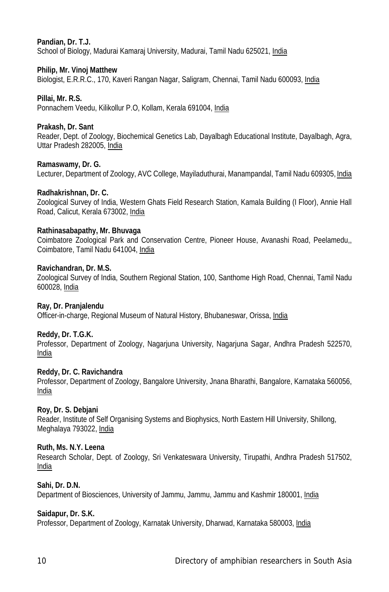# **Pandian, Dr. T.J.**

School of Biology, Madurai Kamaraj University, Madurai, Tamil Nadu 625021, India

## **Philip, Mr. Vinoj Matthew**

Biologist, E.R.R.C., 170, Kaveri Rangan Nagar, Saligram, Chennai, Tamil Nadu 600093, India

# **Pillai, Mr. R.S.**

Ponnachem Veedu, Kilikollur P.O, Kollam, Kerala 691004, India

# **Prakash, Dr. Sant**

Reader, Dept. of Zoology, Biochemical Genetics Lab, Dayalbagh Educational Institute, Dayalbagh, Agra, Uttar Pradesh 282005, India

# **Ramaswamy, Dr. G.**

Lecturer, Department of Zoology, AVC College, Mayiladuthurai, Manampandal, Tamil Nadu 609305, India

# **Radhakrishnan, Dr. C.**

Zoological Survey of India, Western Ghats Field Research Station, Kamala Building (I Floor), Annie Hall Road, Calicut, Kerala 673002, India

#### **Rathinasabapathy, Mr. Bhuvaga**

Coimbatore Zoological Park and Conservation Centre, Pioneer House, Avanashi Road, Peelamedu,, Coimbatore, Tamil Nadu 641004, India

#### **Ravichandran, Dr. M.S.**

Zoological Survey of India, Southern Regional Station, 100, Santhome High Road, Chennai, Tamil Nadu 600028, India

#### **Ray, Dr. Pranjalendu**

Officer-in-charge, Regional Museum of Natural History, Bhubaneswar, Orissa, India

## **Reddy, Dr. T.G.K.**

Professor, Department of Zoology, Nagarjuna University, Nagarjuna Sagar, Andhra Pradesh 522570, India

#### **Reddy, Dr. C. Ravichandra**

Professor, Department of Zoology, Bangalore University, Jnana Bharathi, Bangalore, Karnataka 560056, India

# **Roy, Dr. S. Debjani**

Reader, Institute of Self Organising Systems and Biophysics, North Eastern Hill University, Shillong, Meghalaya 793022, India

# **Ruth, Ms. N.Y. Leena**

Research Scholar, Dept. of Zoology, Sri Venkateswara University, Tirupathi, Andhra Pradesh 517502, India

## **Sahi, Dr. D.N.**

Department of Biosciences, University of Jammu, Jammu, Jammu and Kashmir 180001, India

# **Saidapur, Dr. S.K.**

Professor, Department of Zoology, Karnatak University, Dharwad, Karnataka 580003, India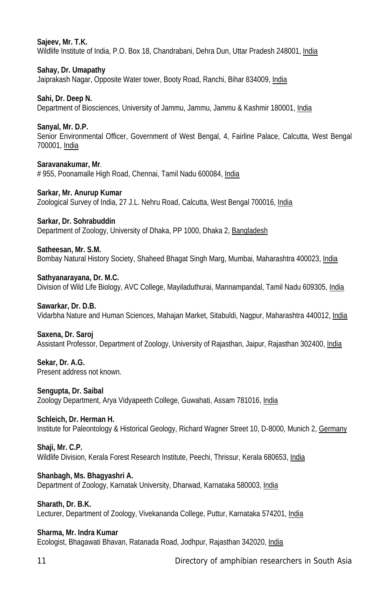## **Sajeev, Mr. T.K.**

Wildlife Institute of India, P.O. Box 18, Chandrabani, Dehra Dun, Uttar Pradesh 248001, India

**Sahay, Dr. Umapathy** Jaiprakash Nagar, Opposite Water tower, Booty Road, Ranchi, Bihar 834009, India

**Sahi, Dr. Deep N.** Department of Biosciences, University of Jammu, Jammu, Jammu & Kashmir 180001, India

**Sanyal, Mr. D.P.** Senior Environmental Officer, Government of West Bengal, 4, Fairline Palace, Calcutta, West Bengal 700001, India

**Saravanakumar, Mr**. # 955, Poonamalle High Road, Chennai, Tamil Nadu 600084, India

**Sarkar, Mr. Anurup Kumar** Zoological Survey of India, 27 J.L. Nehru Road, Calcutta, West Bengal 700016, India

**Sarkar, Dr. Sohrabuddin**

Department of Zoology, University of Dhaka, PP 1000, Dhaka 2, Bangladesh

**Satheesan, Mr. S.M.**

Bombay Natural History Society, Shaheed Bhagat Singh Marg, Mumbai, Maharashtra 400023, India

**Sathyanarayana, Dr. M.C.**

Division of Wild Life Biology, AVC College, Mayiladuthurai, Mannampandal, Tamil Nadu 609305, India

**Sawarkar, Dr. D.B.**

Vidarbha Nature and Human Sciences, Mahajan Market, Sitabuldi, Nagpur, Maharashtra 440012, India

#### **Saxena, Dr. Saroj**

Assistant Professor, Department of Zoology, University of Rajasthan, Jaipur, Rajasthan 302400, India

**Sekar, Dr. A.G.** Present address not known.

**Sengupta, Dr. Saibal** Zoology Department, Arya Vidyapeeth College, Guwahati, Assam 781016, India

**Schleich, Dr. Herman H.** Institute for Paleontology & Historical Geology, Richard Wagner Street 10, D-8000, Munich 2, Germany

**Shaji, Mr. C.P.** Wildlife Division, Kerala Forest Research Institute, Peechi, Thrissur, Kerala 680653, India

**Shanbagh, Ms. Bhagyashri A.** Department of Zoology, Karnatak University, Dharwad, Karnataka 580003, India

**Sharath, Dr. B.K.** Lecturer, Department of Zoology, Vivekananda College, Puttur, Karnataka 574201, India

**Sharma, Mr. Indra Kumar** Ecologist, Bhagawati Bhavan, Ratanada Road, Jodhpur, Rajasthan 342020, India

11 Directory of amphibian researchers in South Asia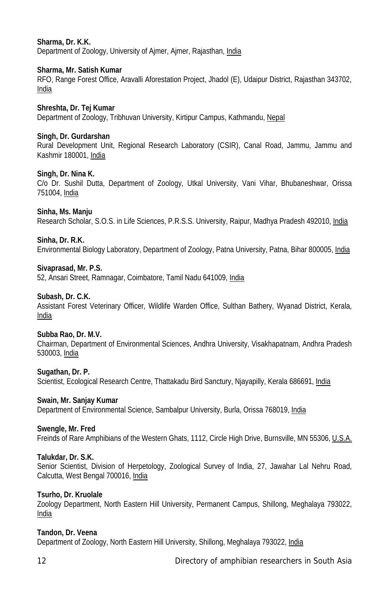# **Sharma, Dr. K.K.**

Department of Zoology, University of Ajmer, Ajmer, Rajasthan, India

# **Sharma, Mr. Satish Kumar**

RFO, Range Forest Office, Aravalli Aforestation Project, Jhadol (E), Udaipur District, Rajasthan 343702, India

# **Shreshta, Dr. Tej Kumar**

Department of Zoology, Tribhuvan University, Kirtipur Campus, Kathmandu, Nepal

# **Singh, Dr. Gurdarshan**

Rural Development Unit, Regional Research Laboratory (CSIR), Canal Road, Jammu, Jammu and Kashmir 180001, India

# **Singh, Dr. Nina K.**

C/o Dr. Sushil Dutta, Department of Zoology, Utkal University, Vani Vihar, Bhubaneshwar, Orissa 751004, India

# **Sinha, Ms. Manju**

Research Scholar, S.O.S. in Life Sciences, P.R.S.S. University, Raipur, Madhya Pradesh 492010, India

# **Sinha, Dr. R.K.**

Environmental Biology Laboratory, Department of Zoology, Patna University, Patna, Bihar 800005, India

# **Sivaprasad, Mr. P.S.**

52, Ansari Street, Ramnagar, Coimbatore, Tamil Nadu 641009, India

## **Subash, Dr. C.K.**

Assistant Forest Veterinary Officer, Wildlife Warden Office, Sulthan Bathery, Wyanad District, Kerala, India

# **Subba Rao, Dr. M.V.**

Chairman, Department of Environmental Sciences, Andhra University, Visakhapatnam, Andhra Pradesh 530003, India

#### **Sugathan, Dr. P.**

Scientist, Ecological Research Centre, Thattakadu Bird Sanctury, Njayapilly, Kerala 686691, India

#### **Swain, Mr. Sanjay Kumar**

Department of Environmental Science, Sambalpur University, Burla, Orissa 768019, India

## **Swengle, Mr. Fred**

Freinds of Rare Amphibians of the Western Ghats, 1112, Circle High Drive, Burnsville, MN 55306, U.S.A.

#### **Talukdar, Dr. S.K.**

Senior Scientist, Division of Herpetology, Zoological Survey of India, 27, Jawahar Lal Nehru Road, Calcutta, West Bengal 700016, India

# **Tsurho, Dr. Kruolale**

Zoology Department, North Eastern Hill University, Permanent Campus, Shillong, Meghalaya 793022, India

# **Tandon, Dr. Veena**

Department of Zoology, North Eastern Hill University, Shillong, Meghalaya 793022, India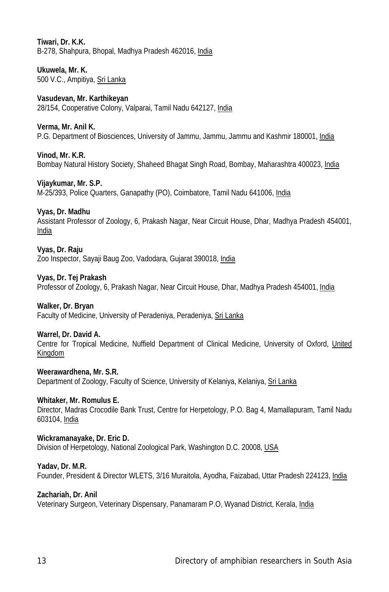# **Tiwari, Dr. K.K.**

B-278, Shahpura, Bhopal, Madhya Pradesh 462016, India

**Ukuwela, Mr. K.** 500 V.C., Ampitiya, Sri Lanka

# **Vasudevan, Mr. Karthikeyan**

28/154, Cooperative Colony, Valparai, Tamil Nadu 642127, India

## **Verma, Mr. Anil K.**

P.G. Department of Biosciences, University of Jammu, Jammu, Jammu and Kashmir 180001, India

# **Vinod, Mr. K.R.**

Bombay Natural History Society, Shaheed Bhagat Singh Road, Bombay, Maharashtra 400023, India

# **Vijaykumar, Mr. S.P.**

M-25/393, Police Quarters, Ganapathy (PO), Coimbatore, Tamil Nadu 641006, India

# **Vyas, Dr. Madhu**

Assistant Professor of Zoology, 6, Prakash Nagar, Near Circuit House, Dhar, Madhya Pradesh 454001, India

### **Vyas, Dr. Raju**

Zoo Inspector, Sayaji Baug Zoo, Vadodara, Gujarat 390018, India

# **Vyas, Dr. Tej Prakash**

Professor of Zoology, 6, Prakash Nagar, Near Circuit House, Dhar, Madhya Pradesh 454001, India

#### **Walker, Dr. Bryan**

Faculty of Medicine, University of Peradeniya, Peradeniya, Sri Lanka

## **Warrel, Dr. David A.**

Centre for Tropical Medicine, Nuffield Department of Clinical Medicine, University of Oxford, United Kingdom

## **Weerawardhena, Mr. S.R.**

Department of Zoology, Faculty of Science, University of Kelaniya, Kelaniya, Sri Lanka

#### **Whitaker, Mr. Romulus E.**

Director, Madras Crocodile Bank Trust, Centre for Herpetology, P.O. Bag 4, Mamallapuram, Tamil Nadu 603104, India

#### **Wickramanayake, Dr. Eric D.**

Division of Herpetology, National Zoological Park, Washington D.C. 20008, USA

## **Yadav, Dr. M.R.**

Founder, President & Director WLETS, 3/16 Muraitola, Ayodha, Faizabad, Uttar Pradesh 224123, India

# **Zachariah, Dr. Anil**

Veterinary Surgeon, Veterinary Dispensary, Panamaram P.O, Wyanad District, Kerala, India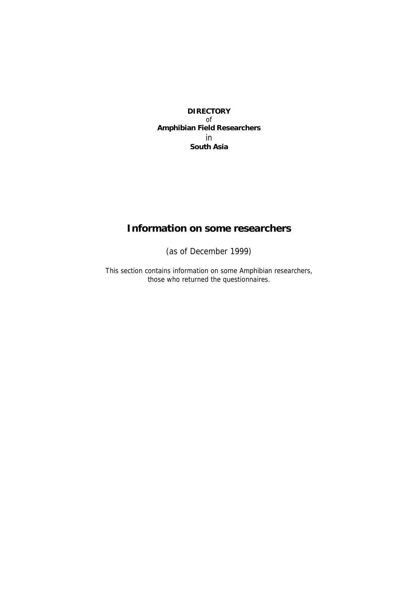# **DIRECTORY**  of **Amphibian Field Researchers**  in **South Asia**

# **Information on some researchers**

(as of December 1999)

This section contains information on some Amphibian researchers, those who returned the questionnaires.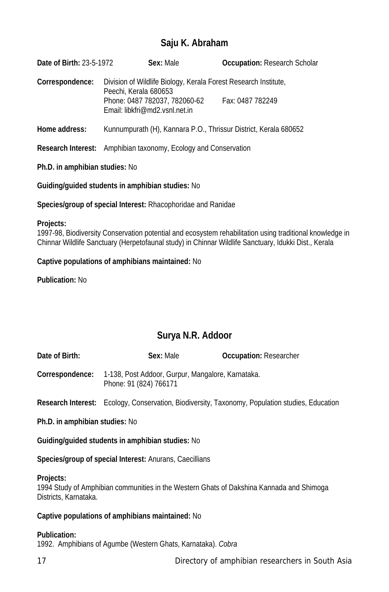# **Saju K. Abraham**

**Date of Birth:** 23-5-1972 **Sex:** Male **Occupation:** Research Scholar **Correspondence:** Division of Wildlife Biology, Kerala Forest Research Institute, Peechi, Kerala 680653 Phone: 0487 782037, 782060-62 Fax: 0487 782249 Email: libkfri@md2.vsnl.net.in

**Home address:** Kunnumpurath (H), Kannara P.O., Thrissur District, Kerala 680652

**Research Interest:** Amphibian taxonomy, Ecology and Conservation

# **Ph.D. in amphibian studies:** No

**Guiding/guided students in amphibian studies:** No

**Species/group of special Interest:** Rhacophoridae and Ranidae

#### **Projects:**

1997-98, Biodiversity Conservation potential and ecosystem rehabilitation using traditional knowledge in Chinnar Wildlife Sanctuary (Herpetofaunal study) in Chinnar Wildlife Sanctuary, Idukki Dist., Kerala

# **Captive populations of amphibians maintained:** No

**Publication:** No

# **Surya N.R. Addoor**

| Date of Birth:                                   | Sex: Male                                                                   | <b>Occupation: Researcher</b>                                                                          |  |
|--------------------------------------------------|-----------------------------------------------------------------------------|--------------------------------------------------------------------------------------------------------|--|
| Correspondence:                                  | 1-138, Post Addoor, Gurpur, Mangalore, Karnataka.<br>Phone: 91 (824) 766171 |                                                                                                        |  |
|                                                  |                                                                             | <b>Research Interest:</b> Ecology, Conservation, Biodiversity, Taxonomy, Population studies, Education |  |
| Ph.D. in amphibian studies: No                   |                                                                             |                                                                                                        |  |
| Guiding/guided students in amphibian studies: No |                                                                             |                                                                                                        |  |
|                                                  |                                                                             |                                                                                                        |  |

**Species/group of special Interest:** Anurans, Caecillians

# **Projects:**

1994 Study of Amphibian communities in the Western Ghats of Dakshina Kannada and Shimoga Districts, Karnataka.

# **Captive populations of amphibians maintained:** No

# **Publication:**

1992. Amphibians of Agumbe (Western Ghats, Karnataka). *Cobra*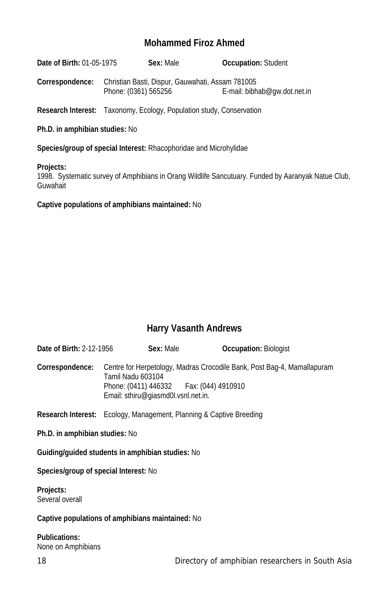# **Mohammed Firoz Ahmed**

**Date of Birth:** 01-05-1975 **Sex:** Male **Occupation:** Student

**Correspondence:** Christian Basti, Dispur, Gauwahati, Assam 781005 Phone: (0361) 565256 E-mail: bibhab@gw.dot.net.in

**Research Interest:** Taxonomy, Ecology, Population study, Conservation

**Ph.D. in amphibian studies:** No

**Species/group of special Interest:** Rhacophoridae and Microhylidae

#### **Projects:**

1998. Systematic survey of Amphibians in Orang Wildlife Sancutuary. Funded by Aaranyak Natue Club, Guwahait

**Captive populations of amphibians maintained:** No

# **Harry Vasanth Andrews**

| <b>Date of Birth: 2-12-1956</b>       | Sex: Male                                                                                              | <b>Occupation: Biologist</b>                                               |
|---------------------------------------|--------------------------------------------------------------------------------------------------------|----------------------------------------------------------------------------|
| Correspondence:                       | Tamil Nadu 603104<br>Phone: (0411) 446332    Fax: (044) 4910910<br>Email: sthiru@giasmd0l.vsnl.net.in. | Centre for Herpetology, Madras Crocodile Bank, Post Bag-4, Mamallapuram    |
|                                       |                                                                                                        | <b>Research Interest:</b> Ecology, Management, Planning & Captive Breeding |
| Ph.D. in amphibian studies: No        |                                                                                                        |                                                                            |
|                                       | Guiding/quided students in amphibian studies: No                                                       |                                                                            |
| Species/group of special Interest: No |                                                                                                        |                                                                            |
| Projects:<br>Several overall          |                                                                                                        |                                                                            |
|                                       | Captive populations of amphibians maintained: No                                                       |                                                                            |
| <b>Publications:</b>                  |                                                                                                        |                                                                            |

None on Amphibians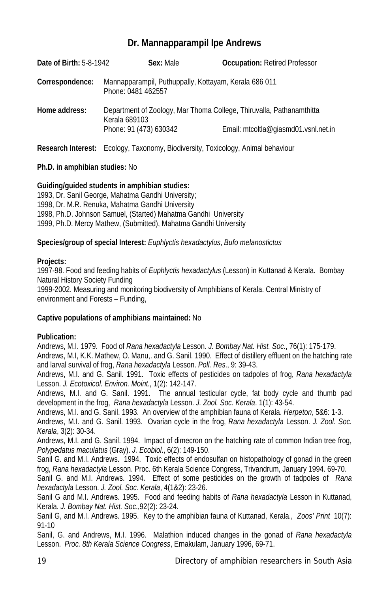# **Dr. Mannapparampil Ipe Andrews**

| <b>Date of Birth: 5-8-1942</b> | Sex: Male                                                                               | <b>Occupation: Retired Professor</b>                                                                         |
|--------------------------------|-----------------------------------------------------------------------------------------|--------------------------------------------------------------------------------------------------------------|
| Correspondence:                | Mannapparampil, Puthuppally, Kottayam, Kerala 686 011<br>Phone: 0481 462557             |                                                                                                              |
| Home address:                  | Kerala 689103<br>Phone: 91 (473) 630342                                                 | Department of Zoology, Mar Thoma College, Thiruvalla, Pathanamthitta<br>Email: mtcoltla@giasmd01.vsnl.net.in |
|                                | <b>Research Interest:</b> Ecology, Taxonomy, Biodiversity, Toxicology, Animal behaviour |                                                                                                              |

# **Ph.D. in amphibian studies:** No

# **Guiding/guided students in amphibian studies:**

1993, Dr. Sanil George, Mahatma Gandhi University; 1998, Dr. M.R. Renuka, Mahatma Gandhi University 1998, Ph.D. Johnson Samuel, (Started) Mahatma Gandhi University 1999, Ph.D. Mercy Mathew, (Submitted), Mahatma Gandhi University

# **Species/group of special Interest:** *Euphlyctis hexadactylus*, *Bufo melanostictus*

# **Projects:**

1997-98. Food and feeding habits of *Euphlyctis hexadactylus* (Lesson) in Kuttanad & Kerala. Bombay Natural History Society Funding

1999-2002. Measuring and monitoring biodiversity of Amphibians of Kerala. Central Ministry of environment and Forests – Funding,

# **Captive populations of amphibians maintained:** No

# **Publication:**

Andrews, M.I. 1979. Food of *Rana hexadactyla* Lesson. *J. Bombay Nat. Hist. Soc*., 76(1): 175-179. Andrews, M.I, K.K. Mathew, O. Manu,. and G. Sanil. 1990. Effect of distillery effluent on the hatching rate and larval survival of frog, *Rana hexadactyla* Lesson. *Poll. Res*., 9: 39-43.

Andrews, M.I. and G. Sanil. 1991. Toxic effects of pesticides on tadpoles of frog, *Rana hexadactyla* Lesson. *J. Ecotoxicol. Environ. Moint*., 1(2): 142-147.

Andrews, M.I. and G. Sanil. 1991. The annual testicular cycle, fat body cycle and thumb pad development in the frog, *Rana hexadactyla* Lesson. *J. Zool. Soc. Kerala*. 1(1): 43-54.

Andrews, M.I. and G. Sanil. 1993. An overview of the amphibian fauna of Kerala. *Herpeton*, 5&6: 1-3.

Andrews, M.I. and G. Sanil. 1993. Ovarian cycle in the frog, *Rana hexadactyla* Lesson. *J. Zool. Soc. Kerala*, 3(2): 30-34.

Andrews, M.I. and G. Sanil. 1994. Impact of dimecron on the hatching rate of common Indian tree frog, *Polypedatus maculatus* (Gray). *J. Ecobiol*., 6(2): 149-150.

Sanil G. and M.I. Andrews. 1994. Toxic effects of endosulfan on histopathology of gonad in the green frog, *Rana hexadactyla* Lesson. Proc. 6th Kerala Science Congress, Trivandrum, January 1994. 69-70.

Sanil G. and M.I. Andrews. 1994. Effect of some pesticides on the growth of tadpoles of *Rana hexadactyla* Lesson. *J. Zool. Soc. Kerala*, 4(1&2): 23-26.

Sanil G and M.I. Andrews. 1995. Food and feeding habits of *Rana hexadactyla* Lesson in Kuttanad, Kerala. *J. Bombay Nat. Hist. Soc*.,92(2): 23-24.

Sanil G, and M.I. Andrews. 1995. Key to the amphibian fauna of Kuttanad, Kerala., *Zoos' Print* 10(7): 91-10

Sanil, G. and Andrews, M.I. 1996. Malathion induced changes in the gonad of *Rana hexadactyla* Lesson. *Proc. 8th Kerala Science Congress*, Ernakulam, January 1996, 69-71.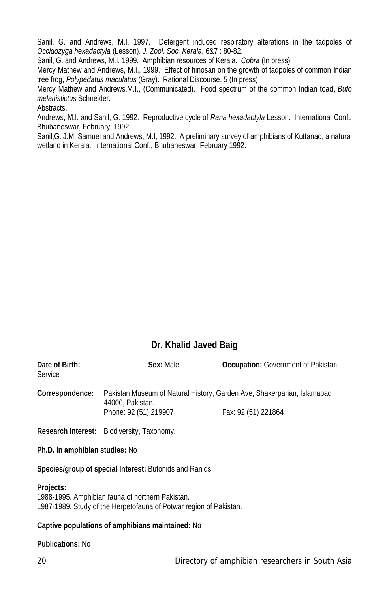Sanil, G. and Andrews, M.I. 1997. Detergent induced respiratory alterations in the tadpoles of *Occidozyga hexadactyla* (Lesson). *J. Zool. Soc. Kerala*, 6&7 : 80-82.

Sanil, G. and Andrews, M.I. 1999. Amphibian resources of Kerala. *Cobra* (In press)

Mercy Mathew and Andrews, M.I., 1999. Effect of hinosan on the growth of tadpoles of common Indian tree frog, *Polypedatus maculatus* (Gray). Rational Discourse, 5 (In press)

Mercy Mathew and Andrews,M.I., (Communicated). Food spectrum of the common Indian toad, *Bufo melanistictus* Schneider.

Abstracts.

Andrews, M.I. and Sanil, G. 1992. Reproductive cycle of *Rana hexadactyla* Lesson. International Conf., Bhubaneswar, February 1992.

Sanil,G. J.M. Samuel and Andrews, M.I, 1992. A preliminary survey of amphibians of Kuttanad, a natural wetland in Kerala. International Conf., Bhubaneswar, February 1992.

# **Dr. Khalid Javed Baig**

| Date of Birth:<br>Service | Sex: Male                                  | <b>Occupation:</b> Government of Pakistan                               |
|---------------------------|--------------------------------------------|-------------------------------------------------------------------------|
| Correspondence:           | 44000, Pakistan.                           | Pakistan Museum of Natural History, Garden Ave, Shakerparian, Islamabad |
|                           | Phone: 92 (51) 219907                      | Fax: 92 (51) 221864                                                     |
|                           | Research Interest: Biodiversity, Taxonomy. |                                                                         |

**Ph.D. in amphibian studies:** No

**Species/group of special Interest:** Bufonids and Ranids

# **Projects:**

1988-1995. Amphibian fauna of northern Pakistan. 1987-1989. Study of the Herpetofauna of Potwar region of Pakistan.

# **Captive populations of amphibians maintained:** No

# **Publications:** No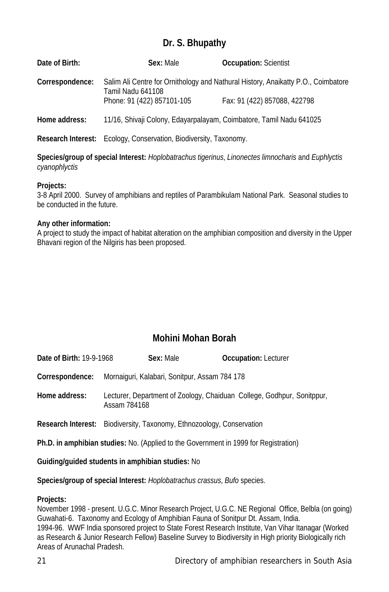# **Dr. S. Bhupathy**

| Date of Birth:  | Sex: Male                                                                | <b>Occupation: Scientist</b>                                                                                      |
|-----------------|--------------------------------------------------------------------------|-------------------------------------------------------------------------------------------------------------------|
| Correspondence: | Tamil Nadu 641108<br>Phone: 91 (422) 857101-105                          | Salim Ali Centre for Ornithology and Nathural History, Anaikatty P.O., Coimbatore<br>Fax: 91 (422) 857088, 422798 |
| Home address:   | 11/16, Shivaji Colony, Edayarpalayam, Coimbatore, Tamil Nadu 641025      |                                                                                                                   |
|                 | <b>Research Interest:</b> Ecology, Conservation, Biodiversity, Taxonomy. |                                                                                                                   |

**Species/group of special Interest:** *Hoplobatrachus tigerinus*, *Linonectes limnocharis* and *Euphlyctis cyanophlyctis*

#### **Projects:**

3-8 April 2000. Survey of amphibians and reptiles of Parambikulam National Park. Seasonal studies to be conducted in the future.

#### **Any other information:**

A project to study the impact of habitat alteration on the amphibian composition and diversity in the Upper Bhavani region of the Nilgiris has been proposed.

# **Mohini Mohan Borah**

| Date of Birth: 19-9-1968                                                                    | Sex: Male                                                                              | <b>Occupation: Lecturer</b> |
|---------------------------------------------------------------------------------------------|----------------------------------------------------------------------------------------|-----------------------------|
| Correspondence:                                                                             | Mornaiguri, Kalabari, Sonitpur, Assam 784 178                                          |                             |
| Home address:                                                                               | Lecturer, Department of Zoology, Chaiduan College, Godhpur, Sonitppur,<br>Assam 784168 |                             |
|                                                                                             | <b>Research Interest:</b> Biodiversity, Taxonomy, Ethnozoology, Conservation           |                             |
| <b>Ph.D. in amphibian studies:</b> No. (Applied to the Government in 1999 for Registration) |                                                                                        |                             |
| Guiding/guided students in amphibian studies: No                                            |                                                                                        |                             |

**Species/group of special Interest:** *Hoplobatrachus crassus*, *Bufo* species.

#### **Projects:**

November 1998 - present. U.G.C. Minor Research Project, U.G.C. NE Regional Office, Belbla (on going) Guwahati-6. Taxonomy and Ecology of Amphibian Fauna of Sonitpur Dt. Assam, India. 1994-96. WWF India sponsored project to State Forest Research Institute, Van Vihar Itanagar (Worked as Research & Junior Research Fellow) Baseline Survey to Biodiversity in High priority Biologically rich Areas of Arunachal Pradesh.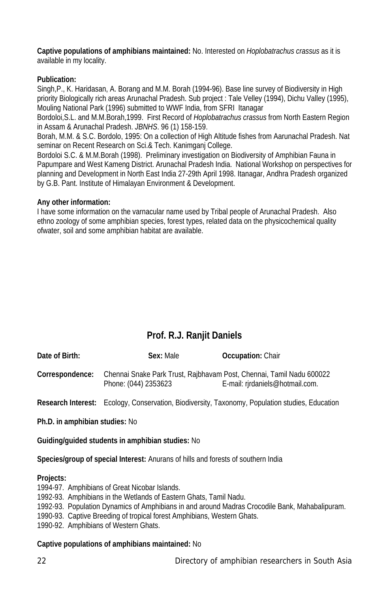**Captive populations of amphibians maintained:** No. Interested on *Hoplobatrachus crassus* as it is available in my locality.

# **Publication:**

Singh,P., K. Haridasan, A. Borang and M.M. Borah (1994-96). Base line survey of Biodiversity in High priority Biologically rich areas Arunachal Pradesh. Sub project : Tale Velley (1994), Dichu Valley (1995), Mouling National Park (1996) submitted to WWF India, from SFRI Itanagar

Bordoloi,S.L. and M.M.Borah,1999. First Record of *Hoplobatrachus crassus* from North Eastern Region in Assam & Arunachal Pradesh. *JBNHS*. 96 (1) 158-159.

Borah, M.M. & S.C. Bordolo, 1995: On a collection of High Altitude fishes from Aarunachal Pradesh. Nat seminar on Recent Research on Sci.& Tech. Kanimganj College.

Bordoloi S.C. & M.M.Borah (1998). Preliminary investigation on Biodiversity of Amphibian Fauna in Papumpare and West Kameng District. Arunachal Pradesh India. National Workshop on perspectives for planning and Development in North East India 27-29th April 1998. Itanagar, Andhra Pradesh organized by G.B. Pant. Institute of Himalayan Environment & Development.

# **Any other information:**

I have some information on the varnacular name used by Tribal people of Arunachal Pradesh. Also ethno zoology of some amphibian species, forest types, related data on the physicochemical quality ofwater, soil and some amphibian habitat are available.

# **Prof. R.J. Ranjit Daniels**

| Date of Birth:  | Sex: Male            | <b>Occupation: Chair</b>                                                                                |
|-----------------|----------------------|---------------------------------------------------------------------------------------------------------|
| Correspondence: | Phone: (044) 2353623 | Chennai Snake Park Trust, Rajbhavam Post, Chennai, Tamil Nadu 600022<br>E-mail: rirdaniels@hotmail.com. |

**Research Interest:** Ecology, Conservation, Biodiversity, Taxonomy, Population studies, Education

**Ph.D. in amphibian studies:** No

**Guiding/guided students in amphibian studies:** No

**Species/group of special Interest:** Anurans of hills and forests of southern India

# **Projects:**

1994-97. Amphibians of Great Nicobar Islands.

- 1992-93. Amphibians in the Wetlands of Eastern Ghats, Tamil Nadu.
- 1992-93. Population Dynamics of Amphibians in and around Madras Crocodile Bank, Mahabalipuram.
- 1990-93. Captive Breeding of tropical forest Amphibians, Western Ghats.

1990-92. Amphibians of Western Ghats.

# **Captive populations of amphibians maintained:** No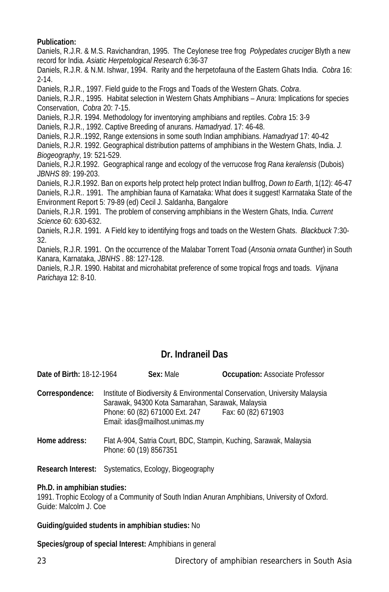# **Publication:**

Daniels, R.J.R. & M.S. Ravichandran, 1995. The Ceylonese tree frog *Polypedates cruciger* Blyth a new record for India. *Asiatic Herpetological Research* 6:36-37

Daniels, R.J.R. & N.M. Ishwar, 1994. Rarity and the herpetofauna of the Eastern Ghats India. *Cobra* 16: 2-14.

Daniels, R.J.R., 1997. Field guide to the Frogs and Toads of the Western Ghats. *Cobra*.

Daniels, R.J.R., 1995. Habitat selection in Western Ghats Amphibians – Anura: Implications for species Conservation, *Cobra* 20: 7-15.

Daniels, R.J.R. 1994. Methodology for inventorying amphibians and reptiles. *Cobra* 15: 3-9

Daniels, R.J.R., 1992. Captive Breeding of anurans. *Hamadryad*. 17: 46-48.

Daniels, R.J.R..1992, Range extensions in some south Indian amphibians. *Hamadryad* 17: 40-42

Daniels, R.J.R. 1992. Geographical distribution patterns of amphibians in the Western Ghats, India. *J. Biogeography*, 19: 521-529.

Daniels, R.J.R.1992. Geographical range and ecology of the verrucose frog *Rana keralensis* (Dubois) *JBNHS* 89: 199-203.

Daniels, R.J.R.1992. Ban on exports help protect help protect Indian bullfrog, *Down to Earth*, 1(12): 46-47 Daniels, R.J.R.. 1991. The amphibian fauna of Karnataka: What does it suggest! Karrnataka State of the Environment Report 5: 79-89 (ed) Cecil J. Saldanha, Bangalore

Daniels, R.J.R. 1991. The problem of conserving amphibians in the Western Ghats, India. *Current Science* 60: 630-632.

Daniels, R.J.R. 1991. A Field key to identifying frogs and toads on the Western Ghats. *Blackbuck* 7:30- 32.

Daniels, R.J.R. 1991. On the occurrence of the Malabar Torrent Toad (*Ansonia ornata* Gunther) in South Kanara, Karnataka, *JBNHS* . 88: 127-128.

Daniels, R.J.R. 1990. Habitat and microhabitat preference of some tropical frogs and toads. *Vijnana Parichaya* 12: 8-10.

# **Dr. Indraneil Das**

**Date of Birth:** 18-12-1964 **Sex:** Male **Occupation:** Associate Professor **Correspondence:** Institute of Biodiversity & Environmental Conservation, University Malaysia Sarawak, 94300 Kota Samarahan, Sarawak, Malaysia Phone: 60 (82) 671000 Ext. 247 Email: idas@mailhost.unimas.my

**Home address:** Flat A-904, Satria Court, BDC, Stampin, Kuching, Sarawak, Malaysia Phone: 60 (19) 8567351

**Research Interest:** Systematics, Ecology, Biogeography

# **Ph.D. in amphibian studies:**

1991. Trophic Ecology of a Community of South Indian Anuran Amphibians, University of Oxford. Guide: Malcolm J. Coe

# **Guiding/guided students in amphibian studies:** No

**Species/group of special Interest:** Amphibians in general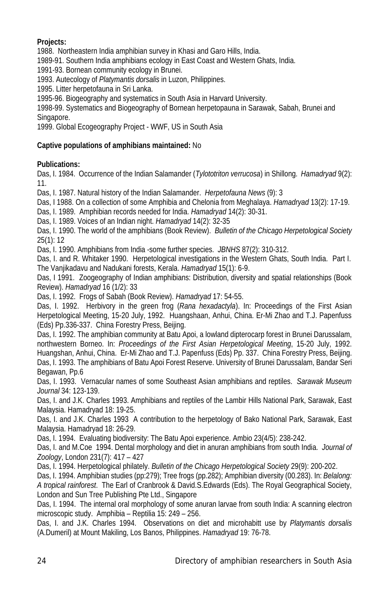# **Projects:**

1988. Northeastern India amphibian survey in Khasi and Garo Hills, India.

1989-91. Southern India amphibians ecology in East Coast and Western Ghats, India.

1991-93. Bornean community ecology in Brunei.

1993. Autecology of *Platymantis dorsalis* in Luzon, Philippines.

1995. Litter herpetofauna in Sri Lanka.

1995-96. Biogeography and systematics in South Asia in Harvard University.

1998-99. Systematics and Biogeography of Bornean herpetopauna in Sarawak, Sabah, Brunei and Singapore.

1999. Global Ecogeography Project - WWF, US in South Asia

# **Captive populations of amphibians maintained:** No

# **Publications:**

Das, I. 1984. Occurrence of the Indian Salamander (*Tylototriton verrucosa*) in Shillong. *Hamadryad* 9(2): 11.

Das, I. 1987. Natural history of the Indian Salamander. *Herpetofauna News* (9): 3

Das, I 1988. On a collection of some Amphibia and Chelonia from Meghalaya. *Hamadryad* 13(2): 17-19.

Das, I. 1989. Amphibian records needed for India. *Hamadryad* 14(2): 30-31.

Das, I. 1989. Voices of an Indian night. *Hamadryad* 14(2): 32-35

Das, I. 1990. The world of the amphibians (Book Review). *Bulletin of the Chicago Herpetological Society* 25(1): 12

Das, I. 1990. Amphibians from India -some further species. *JBNHS* 87(2): 310-312.

Das, I. and R. Whitaker 1990. Herpetological investigations in the Western Ghats, South India. Part I. The Vanjikadavu and Nadukani forests, Kerala. *Hamadryad* 15(1): 6-9.

Das, I 1991. Zoogeography of Indian amphibians: Distribution, diversity and spatial relationships (Book Review). *Hamadryad* 16 (1/2): 33

Das, I. 1992. Frogs of Sabah (Book Review). *Hamadryad* 17: 54-55.

Das, I. 1992. Herbivory in the green frog (*Rana hexadactyla*). In: Proceedings of the First Asian Herpetological Meeting, 15-20 July, 1992. Huangshaan, Anhui, China. Er-Mi Zhao and T.J. Papenfuss (Eds) Pp.336-337. China Forestry Press, Beijing.

Das, I. 1992. The amphibian community at Batu Apoi, a lowland dipterocarp forest in Brunei Darussalam, northwestern Borneo. In: *Proceedings of the First Asian Herpetological Meeting*, 15-20 July, 1992. Huangshan, Anhui, China. Er-Mi Zhao and T.J. Papenfuss (Eds) Pp. 337. China Forestry Press, Beijing. Das, I. 1993. The amphibians of Batu Apoi Forest Reserve. University of Brunei Darussalam, Bandar Seri Begawan, Pp.6

Das, I. 1993. Vernacular names of some Southeast Asian amphibians and reptiles. *Sarawak Museum Journal* 34: 123-139.

Das, I. and J.K. Charles 1993. Amphibians and reptiles of the Lambir Hills National Park, Sarawak, East Malaysia. Hamadryad 18: 19-25.

Das, I. and J.K. Charles 1993 A contribution to the herpetology of Bako National Park, Sarawak, East Malaysia. Hamadryad 18: 26-29.

Das, I. 1994. Evaluating biodiversity: The Batu Apoi experience. Ambio 23(4/5): 238-242.

Das, I. and M.Coe 1994. Dental morphology and diet in anuran amphibians from south India*. Journal of Zoology*, London 231(7): 417 – 427

Das, I. 1994. Herpetological philately. *Bulletin of the Chicago Herpetological Society* 29(9): 200-202.

Das, I. 1994. Amphibian studies (pp:279); Tree frogs (pp.282); Amphibian diversity (00.283). In: *Belalong: A tropical rainforest*. The Earl of Cranbrook & David.S.Edwards (Eds). The Royal Geographical Society, London and Sun Tree Publishing Pte Ltd., Singapore

Das, I. 1994. The internal oral morphology of some anuran larvae from south India: A scanning electron microscopic study. Amphibia – Reptilia 15: 249 – 256.

Das, I. and J.K. Charles 1994. Observations on diet and microhabitt use by *Platymantis dorsalis* (A.Dumeril) at Mount Makiling, Los Banos, Philippines. *Hamadryad* 19: 76-78.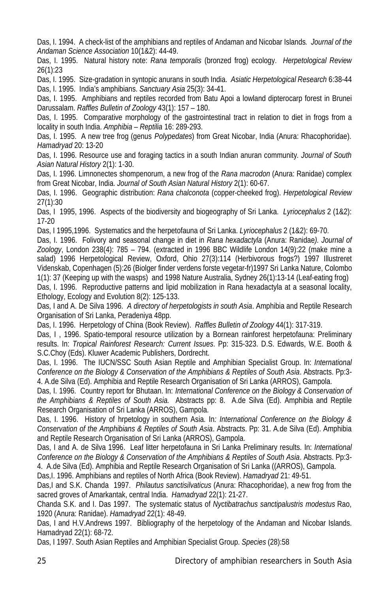Das, I. 1994. A check-list of the amphibians and reptiles of Andaman and Nicobar Islands*. Journal of the Andaman Science Association* 10(1&2): 44-49.

Das, I. 1995. Natural history note: *Rana temporalis* (bronzed frog) ecology. *Herpetological Review* 26(1):23

Das, I. 1995. Size-gradation in syntopic anurans in south India. *Asiatic Herpetological Research* 6:38-44 Das, I. 1995. India's amphibians. *Sanctuary Asia* 25(3): 34-41.

Das, I. 1995. Amphibians and reptiles recorded from Batu Apoi a lowland dipterocarp forest in Brunei Darussalam. *Raffles Bulletin of Zoology* 43(1): 157 – 180.

Das, I. 1995. Comparative morphology of the gastrointestinal tract in relation to diet in frogs from a locality in south India. *Amphibia – Reptilia* 16: 289-293.

Das, I. 1995. A new tree frog (genus *Polypedates*) from Great Nicobar, India (Anura: Rhacophoridae). *Hamadryad* 20: 13-20

Das, I. 1996. Resource use and foraging tactics in a south Indian anuran community*. Journal of South Asian Natural History* 2(1): 1-30.

Das, I. 1996. Limnonectes shompenorum, a new frog of the *Rana macrodon* (Anura: Ranidae) complex from Great Nicobar, India. *Journal of South Asian Natural History* 2(1): 60-67.

Das, I. 1996. Geographic distribution: *Rana chalconota* (copper-cheeked frog). *Herpetological Review* 27(1):30

Das, I 1995, 1996. Aspects of the biodiversity and biogeography of Sri Lanka. *Lyriocephalus* 2 (1&2): 17-20

Das, I 1995,1996. Systematics and the herpetofauna of Sri Lanka. *Lyriocephalus* 2 (1&2): 69-70.

Das, I. 1996. Folivory and seasonal change in diet in *Rana hexadactyla* (Anura: Ranidae*). Journal of Zoology*, London 238(4): 785 – 794. (extracted in 1996 BBC Wildlife London 14(9):22 (make mine a salad) 1996 Herpetological Review, Oxford, Ohio 27(3):114 (Herbivorous frogs?) 1997 Illustreret Videnskab, Copenhagen (5):26 (Biolger finder verdens forste vegetar-fr)1997 Sri Lanka Nature, Colombo 1(1): 37 (Keeping up with the wasps) and 1998 Nature Australia, Sydney 26(1):13-14 (Leaf-eating frog)

Das, I. 1996. Reproductive patterns and lipid mobilization in Rana hexadactyla at a seasonal locality, Ethology, Ecology and Evolution 8(2): 125-133.

Das, I and A. De Silva 1996. *A directory of herpetologists in south Asia*. Amphibia and Reptile Research Organisation of Sri Lanka, Peradeniya 48pp.

Das, I. 1996. Herpetology of China (Book Review). *Raffles Bulletin of Zoology* 44(1): 317-319.

Das, I , 1996. Spatio-temporal resource utilization by a Bornean rainforest herpetofauna: Preliminary results. In: *Tropical Rainforest Research: Current Issues*. Pp: 315-323. D.S. Edwards, W.E. Booth & S.C.Choy (Eds). Kluwer Academic Publishers, Dordrecht.

Das, I. 1996. The IUCN/SSC South Asian Reptile and Amphibian Specialist Group. In: *International Conference on the Biology & Conservation of the Amphibians & Reptiles of South Asia*. Abstracts. Pp:3- 4. A.de Silva (Ed). Amphibia and Reptile Research Organisation of Sri Lanka (ARROS), Gampola.

Das, I. 1996. Country report for Bhutaan. In: *International Conference on the Biology & Conservation of the Amphibians & Reptiles of South Asia.* Abstracts pp: 8. A.de Silva (Ed). Amphibia and Reptile Research Organisation of Sri Lanka (ARROS), Gampola.

Das, I. 1996. History of hrpetology in southern Asia. In*: International Conference on the Biology & Conservation of the Amphibians & Reptiles of South Asia*. Abstracts. Pp: 31. A.de Silva (Ed). Amphibia and Reptile Research Organisation of Sri Lanka (ARROS), Gampola.

Das, I and A. de Silva 1996. Leaf litter herpetofauna in Sri Lanka Preliminary results. In: *International Conference on the Biology & Conservation of the Amphibians & Reptiles of South Asia*. Abstracts. Pp:3- 4. A.de Silva (Ed). Amphibia and Reptile Research Organisation of Sri Lanka ((ARROS), Gampola.

Das,I. 1996. Amphibians and reptiles of North Africa (Book Review). *Hamadryad* 21: 49-51.

Das,I and S.K. Chanda 1997. *Philautus sanctisilvaticus* (Anura: Rhacophoridae), a new frog from the sacred groves of Amarkantak, central India. *Hamadryad* 22(1): 21-27.

Chanda S.K. and I. Das 1997. The systematic status of *Nyctibatrachus sanctipalustris modestus* Rao, 1920 (Anura: Ranidae). *Hamadryad* 22(1): 48-49.

Das, I and H.V.Andrews 1997. Bibliography of the herpetology of the Andaman and Nicobar Islands. Hamadryad 22(1): 68-72.

Das, I 1997. South Asian Reptiles and Amphibian Specialist Group. *Species* (28):58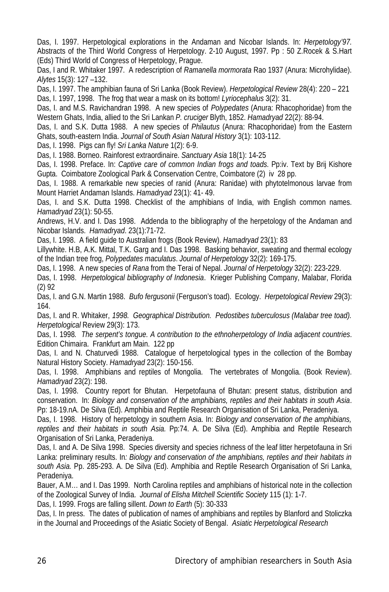Das, I. 1997. Herpetological explorations in the Andaman and Nicobar Islands. In: *Herpetology'97.* Abstracts of the Third World Congress of Herpetology. 2-10 August, 1997. Pp : 50 Z.Rocek & S.Hart (Eds) Third World of Congress of Herpetology, Prague.

Das, I and R. Whitaker 1997. A redescription of *Ramanella mormorata* Rao 1937 (Anura: Microhylidae). *Alytes* 15(3): 127 –132.

Das, I. 1997. The amphibian fauna of Sri Lanka (Book Review). *Herpetological Review* 28(4): 220 – 221 Das, I. 1997, 1998. The frog that wear a mask on its bottom! *Lyriocephalus* 3(2): 31.

Das, I. and M.S. Ravichandran 1998. A new species of *Polypedates* (Anura: Rhacophoridae) from the Western Ghats, India, allied to the Sri Lankan *P. cruciger* Blyth, 1852. *Hamadryad* 22(2): 88-94.

Das, I. and S.K. Dutta 1988. A new species of *Philautus* (Anura: Rhacophoridae) from the Eastern Ghats, south-eastern India. *Journal of South Asian Natural History* 3(1): 103-112.

Das, I. 1998. Pigs can fly! *Sri Lanka Nature* 1(2): 6-9.

Das, I. 1988. Borneo. Rainforest extraordinaire. *Sanctuary Asia* 18(1): 14-25

Das, I. 1998. Preface. In: *Captive care of common Indian frogs and toads*. Pp:iv. Text by Brij Kishore Gupta. Coimbatore Zoological Park & Conservation Centre, Coimbatore (2) iv 28 pp.

Das, I. 1988. A remarkable new species of ranid (Anura: Ranidae) with phytotelmonous larvae from Mount Harriet Andaman Islands. *Hamadryad* 23(1): 41- 49.

Das, I. and S.K. Dutta 1998. Checklist of the amphibians of India, with English common names. *Hamadryad* 23(1): 50-55.

Andrews, H.V. and I. Das 1998. Addenda to the bibliography of the herpetology of the Andaman and Nicobar Islands. *Hamadryad*. 23(1):71-72.

Das, I. 1998. A field guide to Australian frogs (Book Review). *Hamadryad* 23(1): 83

Lillywhite. H.B, A.K. Mittal, T.K. Garg and I. Das 1998. Basking behavior, sweating and thermal ecology of the Indian tree frog, *Polypedates maculatus*. *Journal of Herpetology* 32(2): 169-175.

Das, I. 1998. A new species of *Rana* from the Terai of Nepal. *Journal of Herpetology* 32(2): 223-229.

Das, I. 1998. *Herpetological bibliography of Indonesia*. Krieger Publishing Company, Malabar, Florida (2) 92

Das, I. and G.N. Martin 1988. *Bufo fergusonii* (Ferguson's toad). Ecology. *Herpetological Review* 29(3): 164.

Das, I. and R. Whitaker, 1998. Geographical Distribution. Pedostibes tuberculosus (Malabar tree toad). *Herpetological* Review 29(3): 173.

Das, I. 1998*. The serpent's tongue. A contribution to the ethnoherpetology of India adjacent countries*. Edition Chimaira. Frankfurt am Main. 122 pp

Das, I. and N. Chaturvedi 1988. Catalogue of herpetological types in the collection of the Bombay Natural History Society. *Hamadryad* 23(2): 150-156.

Das, I. 1998. Amphibians and reptiles of Mongolia. The vertebrates of Mongolia. (Book Review). *Hamadryad* 23(2): 198.

Das, I. 1998. Country report for Bhutan. Herpetofauna of Bhutan: present status, distribution and conservation. In: *Biology and conservation of the amphibians, reptiles and their habitats in south Asia*. Pp: 18-19.nA. De Silva (Ed). Amphibia and Reptile Research Organisation of Sri Lanka, Peradeniya.

Das, I. 1998. History of herpetology in southern Asia. In: *Biology and conservation of the amphibians, reptiles and their habitats in south Asia.* Pp:74. A. De Silva (Ed). Amphibia and Reptile Research Organisation of Sri Lanka, Peradeniya.

Das, I. and A. De Silva 1998. Species diversity and species richness of the leaf litter herpetofauna in Sri Lanka: preliminary results. In*: Biology and conservation of the amphibians, reptiles and their habitats in south Asia.* Pp. 285-293. A. De Silva (Ed). Amphibia and Reptile Research Organisation of Sri Lanka, Peradeniya.

Bauer, A.M… and I. Das 1999. North Carolina reptiles and amphibians of historical note in the collection of the Zoological Survey of India. *Journal of Elisha Mitchell Scientific Society* 115 (1): 1-7.

Das, I. 1999. Frogs are falling sillent. *Down to Earth* (5): 30-333

Das, I. In press. The dates of publication of names of amphibians and reptiles by Blanford and Stoliczka in the Journal and Proceedings of the Asiatic Society of Bengal. *Asiatic Herpetological Research*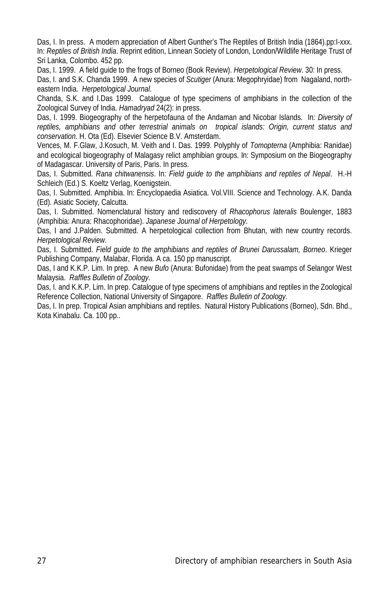Das, I. In press. A modern appreciation of Albert Gunther's The Reptiles of British India (1864).pp:I-xxx. In: *Reptiles of British India*. Reprint edition, Linnean Society of London, London/Wildlife Heritage Trust of Sri Lanka, Colombo. 452 pp.

Das, I. 1999. A field guide to the frogs of Borneo (Book Review). *Herpetological Review*. 30: In press. Das, I. and S.K. Chanda 1999. A new species of *Scutiger* (Anura: Megophryidae) from Nagaland, northeastern India. *Herpetological Journal*.

Chanda, S.K. and I.Das 1999. Catalogue of type specimens of amphibians in the collection of the Zoological Survey of India. *Hamadryad* 24(2): in press.

Das, I. 1999. Biogeography of the herpetofauna of the Andaman and Nicobar Islands. In*: Diversity of reptiles, amphibians and other terrestrial animals on tropical islands: Origin, current status and conservation*. H. Ota (Ed). Elsevier Science B.V. Amsterdam.

Vences, M. F.Glaw, J.Kosuch, M. Veith and I. Das. 1999. Polyphly of *Tomopterna* (Amphibia: Ranidae) and ecological biogeography of Malagasy relict amphibian groups. In: Symposium on the Biogeography of Madagascar. University of Paris, Paris. In press.

Das, I. Submitted. *Rana chitwanensis*. In: *Field guide to the amphibians and reptiles of Nepal*. H.-H Schleich (Ed.) S. Koeltz Verlag, Koenigstein.

Das, I. Submitted. Amphibia. In: Encyclopaedia Asiatica. Vol.VIII. Science and Technology. A.K. Danda (Ed). Asiatic Society, Calcutta.

Das, I. Submitted. Nomenclatural history and rediscovery of *Rhacophorus lateralis* Boulenger, 1883 (Amphibia: Anura: Rhacophoridae). *Japanese Journal of Herpetology*.

Das, I and J.Palden. Submitted. A herpetological collection from Bhutan, with new country records. *Herpetological Review*.

Das, I. Submitted. *Field guide to the amphibians and reptiles of Brunei Darussalam, Borneo*. Krieger Publishing Company, Malabar, Florida. A ca. 150 pp manuscript.

Das, I and K.K.P. Lim. In prep. A new *Bufo* (Anura: Bufonidae) from the peat swamps of Selangor West Malaysia. *Raffles Bulletin of Zoology*.

Das, I. and K.K.P. Lim. In prep. Catalogue of type specimens of amphibians and reptiles in the Zoological Reference Collection, National University of Singapore. *Raffles Bulletin of Zoology.*

Das, I. In prep. Tropical Asian amphibians and reptiles. Natural History Publications (Borneo), Sdn. Bhd., Kota Kinabalu. Ca. 100 pp..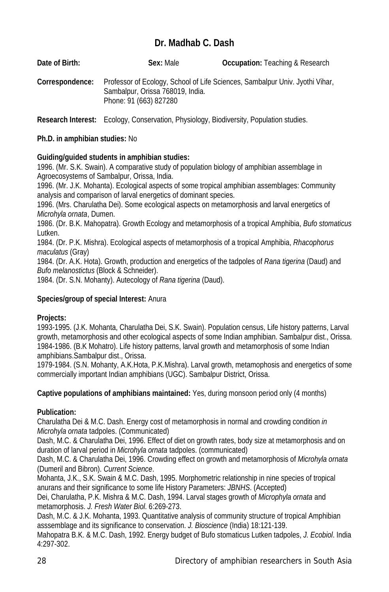# **Dr. Madhab C. Dash**

| Date of Birth:  | Sex: Male                                                  | <b>Occupation:</b> Teaching & Research                                       |
|-----------------|------------------------------------------------------------|------------------------------------------------------------------------------|
| Correspondence: | Sambalpur, Orissa 768019, India.<br>Phone: 91 (663) 827280 | Professor of Ecology, School of Life Sciences, Sambalpur Univ. Jyothi Vihar, |

**Research Interest:** Ecology, Conservation, Physiology, Biodiversity, Population studies.

# **Ph.D. in amphibian studies:** No

# **Guiding/guided students in amphibian studies:**

1996. (Mr. S.K. Swain). A comparative study of population biology of amphibian assemblage in Agroecosystems of Sambalpur, Orissa, India.

1996. (Mr. J.K. Mohanta). Ecological aspects of some tropical amphibian assemblages: Community analysis and comparison of larval energetics of dominant species.

1996. (Mrs. Charulatha Dei). Some ecological aspects on metamorphosis and larval energetics of *Microhyla ornata*, Dumen.

1986. (Dr. B.K. Mahopatra). Growth Ecology and metamorphosis of a tropical Amphibia, *Bufo stomaticus* Lutken.

1984. (Dr. P.K. Mishra). Ecological aspects of metamorphosis of a tropical Amphibia, *Rhacophorus maculatus* (Gray)

1984. (Dr. A.K. Hota). Growth, production and energetics of the tadpoles of *Rana tigerina* (Daud) and *Bufo melanostictus* (Block & Schneider).

1984. (Dr. S.N. Mohanty). Autecology of *Rana tigerina* (Daud).

# **Species/group of special Interest:** Anura

# **Projects:**

1993-1995. (J.K. Mohanta, Charulatha Dei, S.K. Swain). Population census, Life history patterns, Larval growth, metamorphosis and other ecological aspects of some Indian amphibian. Sambalpur dist., Orissa. 1984-1986. (B.K Mohatro). Life history patterns, larval growth and metamorphosis of some Indian amphibians.Sambalpur dist., Orissa.

1979-1984. (S.N. Mohanty, A.K.Hota, P.K.Mishra). Larval growth, metamophosis and energetics of some commercially important Indian amphibians (UGC). Sambalpur District, Orissa.

# **Captive populations of amphibians maintained:** Yes, during monsoon period only (4 months)

# **Publication:**

Charulatha Dei & M.C. Dash. Energy cost of metamorphosis in normal and crowding condition *in Microhyla ornata* tadpoles. (Communicated)

Dash, M.C. & Charulatha Dei, 1996. Effect of diet on growth rates, body size at metamorphosis and on duration of larval period in *Microhyla ornata* tadpoles. (communicated)

Dash, M.C. & Charulatha Dei, 1996. Crowding effect on growth and metamorphosis of *Microhyla ornata* (Dumeril and Bibron). *Current Science*.

Mohanta, J.K., S.K. Swain & M.C. Dash, 1995. Morphometric relationship in nine species of tropical anurans and their significance to some life History Parameters: *JBNHS*. (Accepted)

Dei, Charulatha, P.K. Mishra & M.C. Dash, 1994. Larval stages growth of *Microphyla ornata* and metamorphosis. *J. Fresh Water Biol*. 6:269-273.

Dash, M.C. & J.K. Mohanta, 1993. Quantitative analysis of community structure of tropical Amphibian asssemblage and its significance to conservation. *J. Bioscience* (India) 18:121-139.

Mahopatra B.K. & M.C. Dash, 1992. Energy budget of Bufo stomaticus Lutken tadpoles, *J. Ecobiol*. India 4:297-302.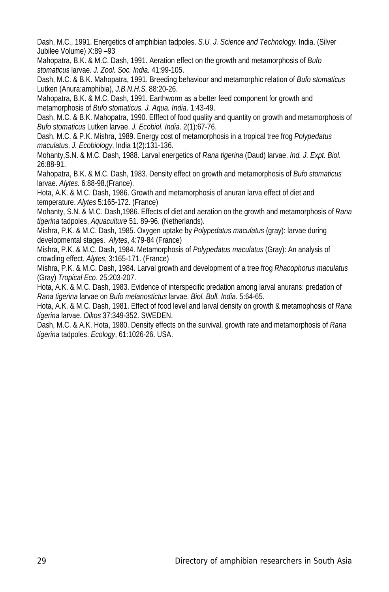Dash, M.C., 1991. Energetics of amphibian tadpoles. *S.U. J. Science and Technology*. India. (Silver Jubilee Volume) X:89 –93

Mahopatra, B.K. & M.C. Dash, 1991. Aeration effect on the growth and metamorphosis of *Bufo stomaticus* larvae. *J. Zool. Soc. India.* 41:99-105.

Dash, M.C. & B.K. Mahopatra, 1991. Breeding behaviour and metamorphic relation of *Bufo stomaticus* Lutken (Anura:amphibia), *J.B.N.H.S.* 88:20-26.

Mahopatra, B.K. & M.C. Dash, 1991. Earthworm as a better feed component for growth and metamorphosis of *Bufo stomaticus. J. Aqua. India*. 1:43-49.

Dash, M.C. & B.K. Mahopatra, 1990. Efffect of food quality and quantity on growth and metamorphosis of *Bufo stomaticus* Lutken larvae. *J. Ecobiol. India*. 2(1):67-76.

Dash, M.C. & P.K. Mishra, 1989. Energy cost of metamorphosis in a tropical tree frog *Polypedatus maculatus*. *J. Ecobiology*, India 1(2):131-136.

Mohanty,S.N. & M.C. Dash, 1988. Larval energetics of *Rana tigerina* (Daud) larvae. *Ind. J. Expt. Biol*. 26:88-91.

Mahopatra, B.K. & M.C. Dash, 1983. Density effect on growth and metamorphosis of *Bufo stomaticus* larvae. *Alytes*. 6:88-98.(France).

Hota, A.K. & M.C. Dash, 1986. Growth and metamorphosis of anuran larva effect of diet and temperature. *Alytes* 5:165-172. (France)

Mohanty, S.N. & M.C. Dash,1986. Effects of diet and aeration on the growth and metamorphosis of *Rana tigerina* tadpoles, *Aquaculture* 51. 89-96. (Netherlands).

Mishra, P.K. & M.C. Dash, 1985. Oxygen uptake by *Polypedatus maculatus* (gray): larvae during developmental stages. *Alytes*, 4:79-84 (France)

Mishra, P.K. & M.C. Dash, 1984. Metamorphosis of *Polypedatus maculatus* (Gray): An analysis of crowding effect. *Alytes*, 3:165-171. (France)

Mishra, P.K. & M.C. Dash, 1984. Larval growth and development of a tree frog *Rhacophorus maculatus*  (Gray) *Tropical Eco*. 25:203-207.

Hota, A.K. & M.C. Dash, 1983. Evidence of interspecific predation among larval anurans: predation of *Rana tigerina* larvae on *Bufo melanostictus* larvae. *Biol. Bull. India*. 5:64-65.

Hota, A.K. & M.C. Dash, 1981. Effect of food level and larval density on growth & metamophosis of *Rana tigerina* larvae. *Oikos* 37:349-352. SWEDEN.

Dash, M.C. & A.K. Hota, 1980. Density effects on the survival, growth rate and metamorphosis of *Rana tigerina* tadpoles. *Ecology*, 61:1026-26. USA.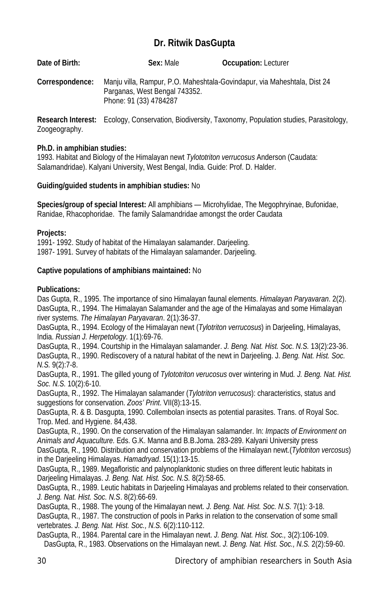# **Dr. Ritwik DasGupta**

| Date of Birth:  | Sex: Male                                               | <b>Occupation: Lecturer</b>                                                                         |  |
|-----------------|---------------------------------------------------------|-----------------------------------------------------------------------------------------------------|--|
| Correspondence: | Parganas, West Bengal 743352.<br>Phone: 91 (33) 4784287 | Manju villa, Rampur, P.O. Maheshtala-Govindapur, via Maheshtala, Dist 24                            |  |
|                 |                                                         | Research Interest: Ecology, Conservation, Biodiversity, Taxonomy, Population studies, Parasitology, |  |

Zoogeography.

# **Ph.D. in amphibian studies:**

1993. Habitat and Biology of the Himalayan newt *Tylototriton verrucosus* Anderson (Caudata: Salamandridae). Kalyani University, West Bengal, India. Guide: Prof. D. Halder.

# **Guiding/guided students in amphibian studies:** No

**Species/group of special Interest:** All amphibians — Microhylidae, The Megophryinae, Bufonidae, Ranidae, Rhacophoridae. The family Salamandridae amongst the order Caudata

# **Projects:**

1991- 1992. Study of habitat of the Himalayan salamander. Darjeeling. 1987- 1991. Survey of habitats of the Himalayan salamander. Darjeeling.

# **Captive populations of amphibians maintained:** No

# **Publications:**

Das Gupta, R., 1995. The importance of sino Himalayan faunal elements. *Himalayan Paryavaran*. 2(2). DasGupta, R., 1994. The Himalayan Salamander and the age of the Himalayas and some Himalayan river systems. *The Himalayan Paryavaran*. 2(1):36-37.

DasGupta, R., 1994. Ecology of the Himalayan newt (*Tylotriton verrucosus*) in Darjeeling, Himalayas, India. *Russian J. Herpetology*. 1(1):69-76.

DasGupta, R., 1994. Courtship in the Himalayan salamander. *J. Beng. Nat. Hist. Soc*. *N.S.* 13(2):23-36. DasGupta, R., 1990. Rediscovery of a natural habitat of the newt in Darjeeling. J*. Beng. Nat. Hist. Soc. N.S.* 9(2):7-8.

DasGupta, R., 1991. The gilled young of *Tylototriton verucosus* over wintering in Mud*. J. Beng. Nat. Hist. Soc. N.S.* 10(2):6-10.

DasGupta, R., 1992. The Himalayan salamander (*Tylotriton verrucosus*): characteristics, status and suggestions for conservation. *Zoos' Print*. VII(8):13-15.

DasGupta, R. & B. Dasgupta, 1990. Collembolan insects as potential parasites. Trans. of Royal Soc. Trop. Med. and Hygiene. 84,438.

DasGupta, R., 1990. On the conservation of the Himalayan salamander. In: *Impacts of Environment on Animals and Aquaculture.* Eds. G.K. Manna and B.B.Joma. 283-289. Kalyani University press

DasGupta, R., 1990. Distribution and conservation problems of the Himalayan newt.(*Tylotriton vercosus*) in the Darjeeling Himalayas. *Hamadryad*. 15(1):13-15.

DasGupta, R., 1989. Megafloristic and palynoplanktonic studies on three different leutic habitats in Darjeeling Himalayas. *J. Beng. Nat. Hist. Soc. N.S.* 8(2):58-65.

DasGupta, R., 1989. Leutic habitats in Darjeeling Himalayas and problems related to their conservation. *J. Beng. Nat. Hist. Soc. N.S*. 8(2):66-69.

DasGupta, R., 1988. The young of the Himalayan newt. *J. Beng. Nat. Hist. Soc. N.S.* 7(1): 3-18. DasGupta, R., 1987. The construction of pools in Parks in relation to the conservation of some small vertebrates. *J. Beng. Nat. Hist. Soc., N.S.* 6(2):110-112.

DasGupta, R., 1984. Parental care in the Himalayan newt. *J. Beng. Nat. Hist. Soc.,* 3(2):106-109. DasGupta, R., 1983. Observations on the Himalayan newt. *J. Beng. Nat. Hist. Soc., N.S.* 2(2):59-60.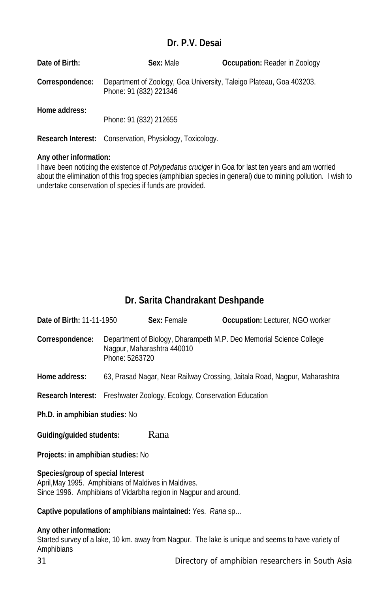# **Dr. P.V. Desai**

| Date of Birth:  | Sex: Male                                                                                     | <b>Occupation:</b> Reader in Zoology |
|-----------------|-----------------------------------------------------------------------------------------------|--------------------------------------|
| Correspondence: | Department of Zoology, Goa University, Taleigo Plateau, Goa 403203.<br>Phone: 91 (832) 221346 |                                      |
| Home address:   | Phone: 91 (832) 212655                                                                        |                                      |
|                 | <b>Research Interest:</b> Conservation, Physiology, Toxicology.                               |                                      |

#### **Any other information:**

I have been noticing the existence of *Polypedatus cruciger* in Goa for last ten years and am worried about the elimination of this frog species (amphibian species in general) due to mining pollution. I wish to undertake conservation of species if funds are provided.

# **Dr. Sarita Chandrakant Deshpande**

| Date of Birth: 11-11-1950          | Sex: Female                                                                   | <b>Occupation:</b> Lecturer, NGO worker                                    |  |
|------------------------------------|-------------------------------------------------------------------------------|----------------------------------------------------------------------------|--|
| Correspondence:                    | Nagpur, Maharashtra 440010<br>Phone: 5263720                                  | Department of Biology, Dharampeth M.P. Deo Memorial Science College        |  |
| Home address:                      |                                                                               | 63, Prasad Nagar, Near Railway Crossing, Jaitala Road, Nagpur, Maharashtra |  |
|                                    | <b>Research Interest:</b> Freshwater Zoology, Ecology, Conservation Education |                                                                            |  |
| Ph.D. in amphibian studies: No     |                                                                               |                                                                            |  |
| Rana<br>Guiding/guided students:   |                                                                               |                                                                            |  |
| Projects: in amphibian studies: No |                                                                               |                                                                            |  |
| Species/group of special Interest  |                                                                               |                                                                            |  |

April,May 1995. Amphibians of Maldives in Maldives. Since 1996. Amphibians of Vidarbha region in Nagpur and around.

# **Captive populations of amphibians maintained:** Yes. *Rana* sp…

# **Any other information:**

Started survey of a lake, 10 km. away from Nagpur. The lake is unique and seems to have variety of Amphibians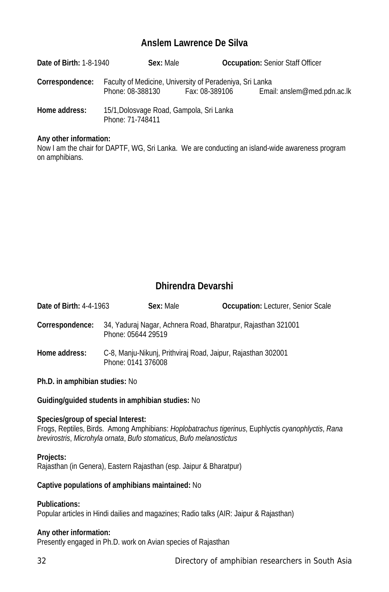# **Anslem Lawrence De Silva**

| <b>Date of Birth: 1-8-1940</b> | Sex: Male                                                                    |                | <b>Occupation: Senior Staff Officer</b> |
|--------------------------------|------------------------------------------------------------------------------|----------------|-----------------------------------------|
| Correspondence:                | Faculty of Medicine, University of Peradeniya, Sri Lanka<br>Phone: 08-388130 | Fax: 08-389106 | Email: anslem@med.pdn.ac.lk             |
| Home address:                  | 15/1, Dolosvage Road, Gampola, Sri Lanka<br>Phone: 71-748411                 |                |                                         |

#### **Any other information:**

Now I am the chair for DAPTF, WG, Sri Lanka. We are conducting an island-wide awareness program on amphibians.

# **Dhirendra Devarshi**

| Date of Birth: 4-4-1963        | Sex: Male                                                                          | <b>Occupation:</b> Lecturer, Senior Scale |
|--------------------------------|------------------------------------------------------------------------------------|-------------------------------------------|
| Correspondence:                | 34, Yaduraj Nagar, Achnera Road, Bharatpur, Rajasthan 321001<br>Phone: 05644 29519 |                                           |
| Home address:                  | C-8, Manju-Nikunj, Prithviraj Road, Jaipur, Rajasthan 302001<br>Phone: 0141 376008 |                                           |
| Ph.D. in amphibian studies: No |                                                                                    |                                           |

**Guiding/guided students in amphibian studies:** No

#### **Species/group of special Interest:**

Frogs, Reptiles, Birds. Among Amphibians: *Hoplobatrachus tigerinus*, Euphlyctis *cyanophlyctis*, *Rana brevirostris*, *Microhyla ornata*, *Bufo stomaticus*, *Bufo melanostictus*

#### **Projects:**

Rajasthan (in Genera), Eastern Rajasthan (esp. Jaipur & Bharatpur)

# **Captive populations of amphibians maintained:** No

#### **Publications:**

Popular articles in Hindi dailies and magazines; Radio talks (AIR: Jaipur & Rajasthan)

# **Any other information:**

Presently engaged in Ph.D. work on Avian species of Rajasthan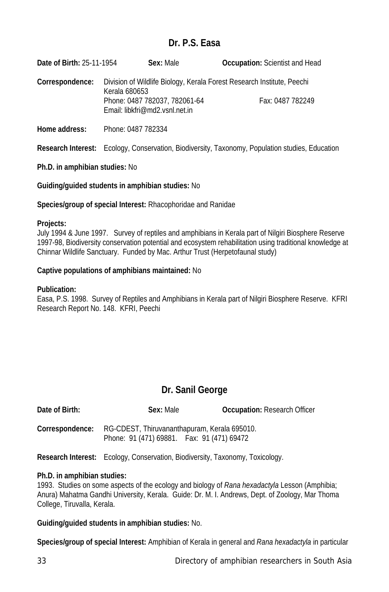# **Dr. P.S. Easa**

**Date of Birth:** 25-11-1954 **Sex:** Male **Occupation:** Scientist and Head **Correspondence:** Division of Wildlife Biology, Kerala Forest Research Institute, Peechi Kerala 680653 Phone: 0487 782037, 782061-64 Fax: 0487 782249 Email: libkfri@md2.vsnl.net.in

**Home address:** Phone: 0487 782334

**Research Interest:** Ecology, Conservation, Biodiversity, Taxonomy, Population studies, Education

# **Ph.D. in amphibian studies:** No

**Guiding/guided students in amphibian studies:** No

**Species/group of special Interest:** Rhacophoridae and Ranidae

# **Projects:**

July 1994 & June 1997. Survey of reptiles and amphibians in Kerala part of Nilgiri Biosphere Reserve 1997-98, Biodiversity conservation potential and ecosystem rehabilitation using traditional knowledge at Chinnar Wildlife Sanctuary. Funded by Mac. Arthur Trust (Herpetofaunal study)

# **Captive populations of amphibians maintained:** No

# **Publication:**

Easa, P.S. 1998. Survey of Reptiles and Amphibians in Kerala part of Nilgiri Biosphere Reserve. KFRI Research Report No. 148. KFRI, Peechi

# **Dr. Sanil George**

| Date of Birth:  | Sex: Male                                                                                  | <b>Occupation: Research Officer</b> |
|-----------------|--------------------------------------------------------------------------------------------|-------------------------------------|
| Correspondence: | RG-CDEST, Thiruvananthapuram, Kerala 695010.<br>Phone: 91 (471) 69881. Fax: 91 (471) 69472 |                                     |

**Research Interest:** Ecology, Conservation, Biodiversity, Taxonomy, Toxicology.

# **Ph.D. in amphibian studies:**

1993. Studies on some aspects of the ecology and biology of *Rana hexadactyla* Lesson (Amphibia; Anura) Mahatma Gandhi University, Kerala. Guide: Dr. M. I. Andrews, Dept. of Zoology, Mar Thoma College, Tiruvalla, Kerala.

# **Guiding/guided students in amphibian studies:** No.

**Species/group of special Interest:** Amphibian of Kerala in general and *Rana hexadactyla* in particular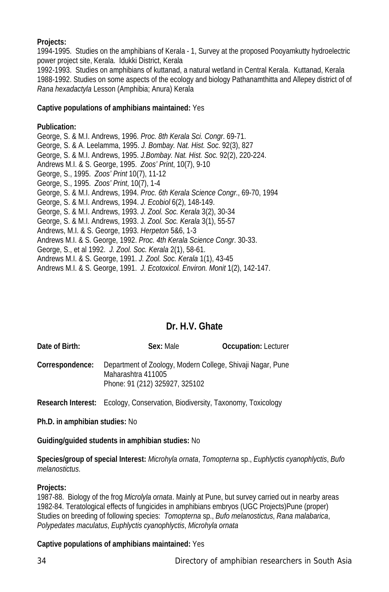# **Projects:**

1994-1995. Studies on the amphibians of Kerala - 1, Survey at the proposed Pooyamkutty hydroelectric power project site, Kerala. Idukki District, Kerala

1992-1993. Studies on amphibians of kuttanad, a natural wetland in Central Kerala. Kuttanad, Kerala 1988-1992. Studies on some aspects of the ecology and biology Pathanamthitta and Allepey district of of *Rana hexadactyla* Lesson (Amphibia; Anura) Kerala

# **Captive populations of amphibians maintained:** Yes

# **Publication:**

George, S. & M.I. Andrews, 1996. *Proc. 8th Kerala Sci. Congr*. 69-71. George, S. & A. Leelamma, 1995. *J. Bombay. Nat. Hist. Soc*. 92(3), 827 George, S. & M.I. Andrews, 1995. *J.Bombay. Nat. Hist. Soc.* 92(2), 220-224. Andrews M.I. & S. George, 1995. *Zoos' Print*, 10(7), 9-10 George, S., 1995. *Zoos' Print* 10(7), 11-12 George, S., 1995. *Zoos' Print*, 10(7), 1-4 George, S. & M.I. Andrews, 1994. *Proc. 6th Kerala Science Congr*., 69-70, 1994 George, S. & M.I. Andrews, 1994. *J. Ecobiol* 6(2), 148-149. George, S. & M.I. Andrews, 1993. *J. Zool. Soc. Kerala* 3(2), 30-34 George, S. & M.I. Andrews, 1993. J*. Zool. Soc. Kerala* 3(1), 55-57 Andrews, M.I. & S. George, 1993. *Herpeton* 5&6, 1-3 Andrews M.I. & S. George, 1992. *Proc. 4th Kerala Science Congr*. 30-33. George, S., et al 1992. *J. Zool. Soc. Kerala* 2(1), 58-61. Andrews M.I. & S. George, 1991. *J. Zool. Soc. Kerala* 1(1), 43-45 Andrews M.I. & S. George, 1991. *J. Ecotoxicol. Environ. Monit* 1(2), 142-147.

# **Dr. H.V. Ghate**

| Date of Birth:  | Sex: Male                                                                        | <b>Occupation: Lecturer</b> |
|-----------------|----------------------------------------------------------------------------------|-----------------------------|
| Correspondence: | Department of Zoology, Modern College, Shivaji Nagar, Pune<br>Maharashtra 411005 |                             |
|                 | Phone: 91 (212) 325927, 325102                                                   |                             |

**Research Interest:** Ecology, Conservation, Biodiversity, Taxonomy, Toxicology

**Ph.D. in amphibian studies:** No

**Guiding/guided students in amphibian studies:** No

**Species/group of special Interest:** *Microhyla ornata*, *Tomopterna* sp., *Euphlyctis cyanophlyctis*, *Bufo melanostictus*.

# **Projects:**

1987-88. Biology of the frog *Microlyla ornata*. Mainly at Pune, but survey carried out in nearby areas 1982-84. Teratological effects of fungicides in amphibians embryos (UGC Projects)Pune (proper) Studies on breeding of following species: *Tomopterna* sp., *Bufo melanostictus*, *Rana malabarica*, *Polypedates maculatus*, *Euphlyctis cyanophlyctis*, *Microhyla ornata*

# **Captive populations of amphibians maintained:** Yes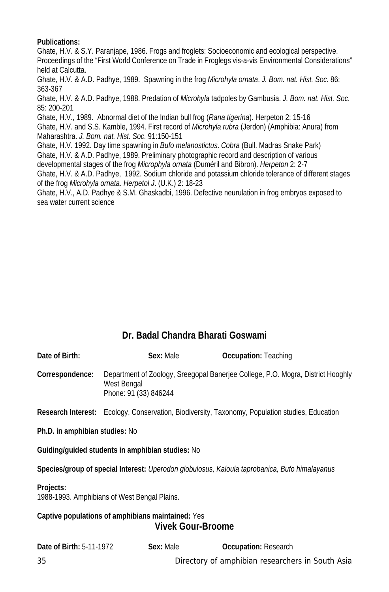# **Publications:**

Ghate, H.V. & S.Y. Paranjape, 1986. Frogs and froglets: Socioeconomic and ecological perspective. Proceedings of the "First World Conference on Trade in Froglegs vis-a-vis Environmental Considerations" held at Calcutta.

Ghate, H.V. & A.D. Padhye, 1989. Spawning in the frog *Microhyla ornata*. *J. Bom. nat. Hist. Soc*. 86: 363-367

Ghate, H.V. & A.D. Padhye, 1988. Predation of *Microhyla* tadpoles by Gambusia. *J. Bom. nat. Hist. Soc*. 85: 200-201

Ghate, H.V., 1989. Abnormal diet of the Indian bull frog (*Rana tigerina*). Herpeton 2: 15-16 Ghate, H.V. and S.S. Kamble, 1994. First record of *Microhyla rubra* (Jerdon) (Amphibia: Anura) from Maharashtra. *J. Bom. nat. Hist. Soc*. 91:150-151

Ghate, H.V. 1992. Day time spawning in *Bufo melanostictus*. *Cobra* (Bull. Madras Snake Park) Ghate, H.V. & A.D. Padhye, 1989. Preliminary photographic record and description of various developmental stages of the frog *Microphyla ornata* (Duméril and Bibron). *Herpeton* 2: 2-7

Ghate, H.V. & A.D. Padhye, 1992. Sodium chloride and potassium chloride tolerance of different stages of the frog *Microhyla ornata*. *Herpetol J*. (U.K.) 2: 18-23

Ghate, H.V., A.D. Padhye & S.M. Ghaskadbi, 1996. Defective neurulation in frog embryos exposed to sea water current science

# **Dr. Badal Chandra Bharati Goswami**

| Date of Birth:                                                                                | Sex: Male                            | <b>Occupation: Teaching</b>                                                                     |
|-----------------------------------------------------------------------------------------------|--------------------------------------|-------------------------------------------------------------------------------------------------|
| Correspondence:                                                                               | West Bengal<br>Phone: 91 (33) 846244 | Department of Zoology, Sreegopal Banerjee College, P.O. Mogra, District Hooghly                 |
|                                                                                               |                                      | Research Interest: Ecology, Conservation, Biodiversity, Taxonomy, Population studies, Education |
| Ph.D. in amphibian studies: No                                                                |                                      |                                                                                                 |
| Guiding/quided students in amphibian studies: No                                              |                                      |                                                                                                 |
| Species/group of special Interest: Uperodon globulosus, Kaloula taprobanica, Bufo himalayanus |                                      |                                                                                                 |
| Projects:<br>1988-1993. Amphibians of West Bengal Plains.                                     |                                      |                                                                                                 |
| Captive populations of amphibians maintained: Yes<br><b>Vivek Gour-Broome</b>                 |                                      |                                                                                                 |

| <b>Date of Birth: 5-11-1972</b> | Sex: Male | <b>Occupation: Research</b>                      |
|---------------------------------|-----------|--------------------------------------------------|
| 35                              |           | Directory of amphibian researchers in South Asia |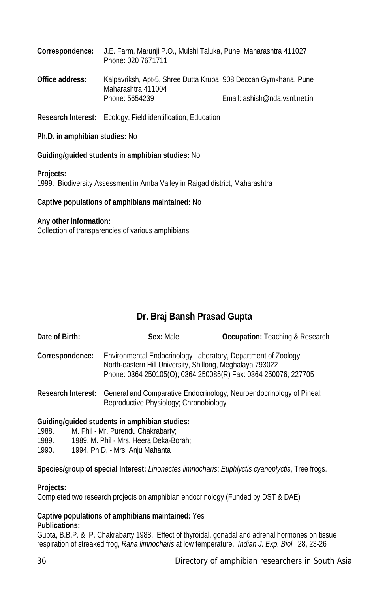| Correspondence: | J.E. Farm, Marunji P.O., Mulshi Taluka, Pune, Maharashtra 411027<br>Phone: 020 7671711 |                               |
|-----------------|----------------------------------------------------------------------------------------|-------------------------------|
| Office address: | Kalpavriksh, Apt-5, Shree Dutta Krupa, 908 Deccan Gymkhana, Pune<br>Maharashtra 411004 |                               |
|                 | Phone: 5654239                                                                         | Email: ashish@nda.vsnl.net.in |

**Research Interest:** Ecology, Field identification, Education

## **Ph.D. in amphibian studies:** No

# **Guiding/guided students in amphibian studies:** No

#### **Projects:**

1999. Biodiversity Assessment in Amba Valley in Raigad district, Maharashtra

# **Captive populations of amphibians maintained:** No

# **Any other information:**

Collection of transparencies of various amphibians

# **Dr. Braj Bansh Prasad Gupta**

| Date of Birth:  | Sex: Male                                                                                                                                                                                    | <b>Occupation:</b> Teaching & Research                                                  |
|-----------------|----------------------------------------------------------------------------------------------------------------------------------------------------------------------------------------------|-----------------------------------------------------------------------------------------|
| Correspondence: | Environmental Endocrinology Laboratory, Department of Zoology<br>North-eastern Hill University, Shillong, Meghalaya 793022<br>Phone: 0364 250105(O); 0364 250085(R) Fax: 0364 250076; 227705 |                                                                                         |
|                 | Reproductive Physiology; Chronobiology                                                                                                                                                       | Research Interest: General and Comparative Endocrinology, Neuroendocrinology of Pineal; |

# **Guiding/guided students in amphibian studies:**

- 1988. M. Phil Mr. Purendu Chakrabarty;
- 1989. 1989. M. Phil Mrs. Heera Deka-Borah;<br>1990. 1994. Ph. D. Mrs. Aniu Mahanta
- 1994. Ph.D. Mrs. Anju Mahanta

**Species/group of special Interest:** *Linonectes limnocharis*; *Euphlyctis cyanoplyctis*, Tree frogs.

# **Projects:**

Completed two research projects on amphibian endocrinology (Funded by DST & DAE)

#### **Captive populations of amphibians maintained:** Yes **Publications:**

Gupta, B.B.P. & P. Chakrabarty 1988. Effect of thyroidal, gonadal and adrenal hormones on tissue respiration of streaked frog, *Rana limnocharis* at low temperature. *Indian J. Exp. Biol*., 28, 23-26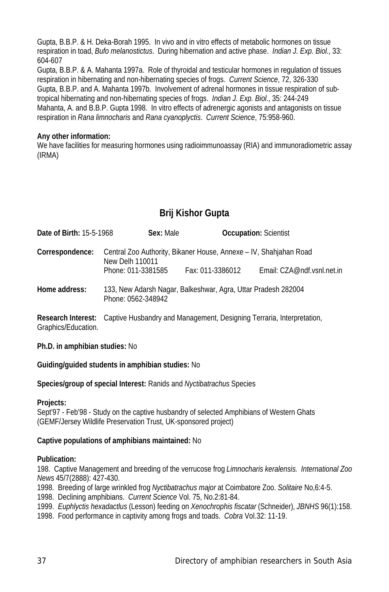Gupta, B.B.P. & H. Deka-Borah 1995. In vivo and in vitro effects of metabolic hormones on tissue respiration in toad, *Bufo melanostictus*. During hibernation and active phase. *Indian J. Exp. Biol*., 33: 604-607

Gupta, B.B.P. & A. Mahanta 1997a. Role of thyroidal and testicular hormones in regulation of tissues respiration in hibernating and non-hibernating species of frogs. *Current Science*, 72, 326-330 Gupta, B.B.P. and A. Mahanta 1997b. Involvement of adrenal hormones in tissue respiration of subtropical hibernating and non-hibernating species of frogs. *Indian J. Exp. Biol*., 35: 244-249 Mahanta, A. and B.B.P. Gupta 1998. In vitro effects of adrenergic agonists and antagonists on tissue respiration in *Rana limnocharis* and *Rana cyanoplyctis*. *Current Science*, 75:958-960.

## **Any other information:**

We have facilities for measuring hormones using radioimmunoassay (RIA) and immunoradiometric assay (IRMA)

# **Brij Kishor Gupta**

| <b>Date of Birth: 15-5-1968</b> | Sex: Male                                                                                                  | <b>Occupation: Scientist</b> |                            |
|---------------------------------|------------------------------------------------------------------------------------------------------------|------------------------------|----------------------------|
| Correspondence:                 | Central Zoo Authority, Bikaner House, Annexe - IV, Shahjahan Road<br>New Delh 110011<br>Phone: 011-3381585 | Fax: 011-3386012             | Email: CZA@ndf.vsnl.net.in |
| Home address:                   | 133, New Adarsh Nagar, Balkeshwar, Agra, Uttar Pradesh 282004<br>Phone: 0562-348942                        |                              |                            |

**Research Interest:** Captive Husbandry and Management, Designing Terraria, Interpretation, Graphics/Education.

## **Ph.D. in amphibian studies:** No

## **Guiding/guided students in amphibian studies:** No

**Species/group of special Interest:** Ranids and *Nyctibatrachus* Species

## **Projects:**

Sept'97 - Feb'98 - Study on the captive husbandry of selected Amphibians of Western Ghats (GEMF/Jersey Wildlife Preservation Trust, UK-sponsored project)

## **Captive populations of amphibians maintained:** No

## **Publication:**

198. Captive Management and breeding of the verrucose frog *Limnocharis keralensis. International Zoo News* 45/7(2888): 427-430.

1998. Breeding of large wrinkled frog *Nyctibatrachus major* at Coimbatore Zoo. *Solitaire* No,6:4-5.

1998. Declining amphibians. *Current Science* Vol. 75, No.2:81-84.

1999. *Euphlyctis hexadactlus* (Lesson) feeding on *Xenochrophis fiscatar* (Schneider), *JBNHS* 96(1):158.

1998. Food performance in captivity among frogs and toads. *Cobra* Vol.32: 11-19.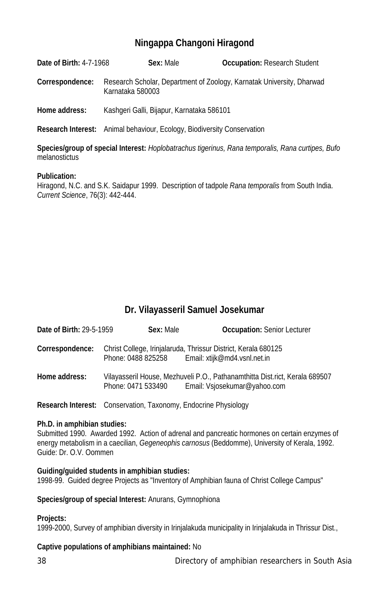## **Ningappa Changoni Hiragond**

**Date of Birth:** 4-7-1968 **Sex:** Male **Occupation:** Research Student

**Correspondence:** Research Scholar, Department of Zoology, Karnatak University, Dharwad Karnataka 580003

**Home address:** Kashgeri Galli, Bijapur, Karnataka 586101

**Research Interest:** Animal behaviour, Ecology, Biodiversity Conservation

**Species/group of special Interest:** *Hoplobatrachus tigerinus, Rana temporalis, Rana curtipes, Bufo* melanostictus

#### **Publication:**

Hiragond, N.C. and S.K. Saidapur 1999. Description of tadpole *Rana temporalis* from South India. *Current Science*, 76(3): 442-444.

## **Dr. Vilayasseril Samuel Josekumar**

**Date of Birth:** 29-5-1959 **Sex:** Male **Occupation:** Senior Lecturer

**Correspondence:** Christ College, Irinjalaruda, Thrissur District, Kerala 680125 Phone: 0488 825258 Email: xtijk@md4.vsnl.net.in

**Home address:** Vilayasseril House, Mezhuveli P.O., Pathanamthitta Dist.rict, Kerala 689507 Phone: 0471 533490 Email: Vsjosekumar@yahoo.com

**Research Interest:** Conservation, Taxonomy, Endocrine Physiology

## **Ph.D. in amphibian studies:**

Submitted 1990. Awarded 1992. Action of adrenal and pancreatic hormones on certain enzymes of energy metabolism in a caecilian, *Gegeneophis carnosus* (Beddomme), University of Kerala, 1992. Guide: Dr. O.V. Oommen

#### **Guiding/guided students in amphibian studies:**

1998-99. Guided degree Projects as "Inventory of Amphibian fauna of Christ College Campus"

## **Species/group of special Interest:** Anurans, Gymnophiona

#### **Projects:**

1999-2000, Survey of amphibian diversity in Irinjalakuda municipality in Irinjalakuda in Thrissur Dist.,

## **Captive populations of amphibians maintained:** No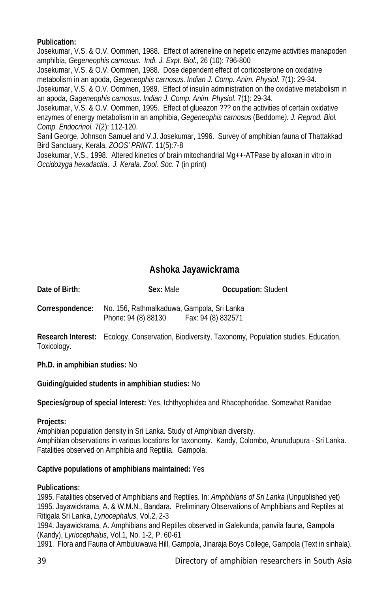## **Publication:**

Josekumar, V.S. & O.V. Oommen, 1988. Effect of adreneline on hepetic enzyme activities manapoden amphibia, *Gegeneophis carnosus*. *Indi. J. Expt. Biol*., 26 (10): 796-800

Josekumar, V.S. & O.V. Oommen, 1988. Dose dependent effect of corticosterone on oxidative metabolism in an apoda, *Gegeneophis carnosus*. *Indian J. Comp. Anim. Physiol*. 7(1): 29-34.

Josekumar, V.S. & O.V. Oommen, 1989. Effect of insulin administration on the oxidative metabolism in an apoda, *Gageneophis carnosus*. *Indian J. Comp. Anim. Physiol*. 7(1): 29-34.

Josekumar, V.S. & O.V. Oommen, 1995. Effect of glueazon ??? on the activities of certain oxidative enzymes of energy metabolism in an amphibia, *Gegeneophis carnosus* (Beddome*). J. Reprod. Biol. Comp. Endocrinol.* 7(2): 112-120.

Sanil George, Johnson Samuel and V.J. Josekumar, 1996. Survey of amphibian fauna of Thattakkad Bird Sanctuary, Kerala. *ZOOS' PRINT*. 11(5):7-8

Josekumar, V.S., 1998. Altered kinetics of brain mitochandrial Mg++-ATPase by alloxan in vitro in *Occidozyga hexadactla*. *J. Kerala. Zool. Soc.* 7 (in print)

## **Ashoka Jayawickrama**

**Date of Birth: Sex:** Male **Occupation:** Student **Correspondence:** No. 156, Rathmalkaduwa, Gampola, Sri Lanka Phone: 94 (8) 88130 Fax: 94 (8) 832571

**Research Interest:** Ecology, Conservation, Biodiversity, Taxonomy, Population studies, Education, Toxicology.

**Ph.D. in amphibian studies:** No

**Guiding/guided students in amphibian studies:** No

**Species/group of special Interest:** Yes, Ichthyophidea and Rhacophoridae. Somewhat Ranidae

## **Projects:**

Amphibian population density in Sri Lanka. Study of Amphibian diversity. Amphibian observations in various locations for taxonomy. Kandy, Colombo, Anurudupura - Sri Lanka. Fatalities observed on Amphibia and Reptilia. Gampola.

## **Captive populations of amphibians maintained:** Yes

## **Publications:**

1995. Fatalities observed of Amphibians and Reptiles. In: *Amphibians of Sri Lanka* (Unpublished yet) 1995. Jayawickrama, A. & W.M.N., Bandara. Preliminary Observations of Amphibians and Reptiles at Ritigala Sri Lanka, *Lyriocephalus*, Vol.2, 2-3

1994. Jayawickrama, A. Amphibians and Reptiles observed in Galekunda, panvila fauna, Gampola (Kandy), *Lyriocephalus*, Vol.1, No. 1-2, P. 60-61

1991. Flora and Fauna of Ambuluwawa Hill, Gampola, Jinaraja Boys College, Gampola (Text in sinhala).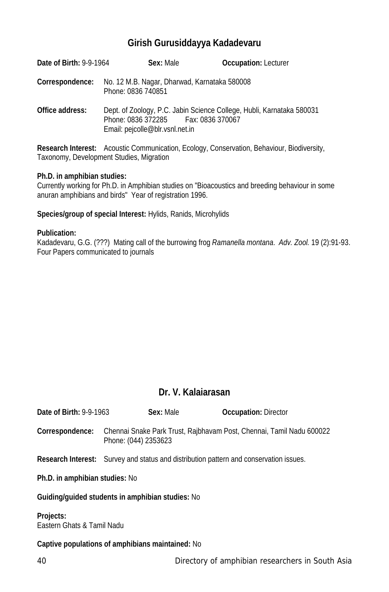## **Girish Gurusiddayya Kadadevaru**

| Date of Birth: 9-9-1964 | Sex: Male                                                                 | <b>Occupation: Lecturer</b>                                           |
|-------------------------|---------------------------------------------------------------------------|-----------------------------------------------------------------------|
| Correspondence:         | No. 12 M.B. Nagar, Dharwad, Karnataka 580008<br>Phone: 0836 740851        |                                                                       |
| Office address:         | Phone: 0836 372285    Fax: 0836 370067<br>Email: pejcolle@blr.vsnl.net.in | Dept. of Zoology, P.C. Jabin Science College, Hubli, Karnataka 580031 |

**Research Interest:** Acoustic Communication, Ecology, Conservation, Behaviour, Biodiversity, Taxonomy, Development Studies, Migration

#### **Ph.D. in amphibian studies:**

Currently working for Ph.D. in Amphibian studies on "Bioacoustics and breeding behaviour in some anuran amphibians and birds" Year of registration 1996.

**Species/group of special Interest:** Hylids, Ranids, Microhylids

#### **Publication:**

Kadadevaru, G.G. (???) Mating call of the burrowing frog *Ramanella montana*. *Adv. Zool.* 19 (2):91-93. Four Papers communicated to journals

# **Dr. V. Kalaiarasan**

| <b>Date of Birth: 9-9-1963</b> |                      | Sex: Male | <b>Occupation: Director</b> |                                                                      |
|--------------------------------|----------------------|-----------|-----------------------------|----------------------------------------------------------------------|
| Correspondence:                | Phone: (044) 2353623 |           |                             | Chennai Snake Park Trust, Rajbhavam Post, Chennai, Tamil Nadu 600022 |

**Research Interest:** Survey and status and distribution pattern and conservation issues.

**Ph.D. in amphibian studies:** No

#### **Guiding/guided students in amphibian studies:** No

**Projects:** Eastern Ghats & Tamil Nadu

## **Captive populations of amphibians maintained:** No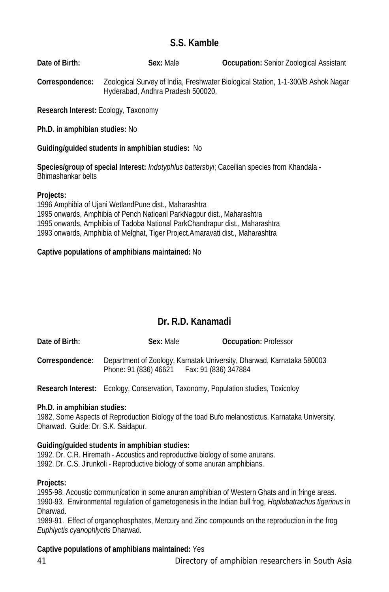## **S.S. Kamble**

**Date of Birth: Sex:** Male **Occupation:** Senior Zoological Assistant

**Correspondence:** Zoological Survey of India, Freshwater Biological Station, 1-1-300/B Ashok Nagar Hyderabad, Andhra Pradesh 500020.

**Research Interest:** Ecology, Taxonomy

**Ph.D. in amphibian studies:** No

## **Guiding/guided students in amphibian studies:** No

**Species/group of special Interest:** *Indotyphlus battersbyi*; Caceilian species from Khandala - Bhimashankar belts

#### **Projects:**

1996 Amphibia of Ujani WetlandPune dist., Maharashtra 1995 onwards, Amphibia of Pench Natioanl ParkNagpur dist., Maharashtra 1995 onwards, Amphibia of Tadoba National ParkChandrapur dist., Maharashtra 1993 onwards, Amphibia of Melghat, Tiger Project.Amaravati dist., Maharashtra

## **Captive populations of amphibians maintained:** No

## **Dr. R.D. Kanamadi**

| Date of Birth:  | Sex: Male             | <b>Occupation: Professor</b>                                          |
|-----------------|-----------------------|-----------------------------------------------------------------------|
| Correspondence: |                       | Department of Zoology, Karnatak University, Dharwad, Karnataka 580003 |
|                 | Phone: 91 (836) 46621 | Fax: 91 (836) 347884                                                  |

**Research Interest:** Ecology, Conservation, Taxonomy, Population studies, Toxicoloy

## **Ph.D. in amphibian studies:**

1982, Some Aspects of Reproduction Biology of the toad Bufo melanostictus. Karnataka University. Dharwad. Guide: Dr. S.K. Saidapur.

## **Guiding/guided students in amphibian studies:**

1992. Dr. C.R. Hiremath - Acoustics and reproductive biology of some anurans. 1992. Dr. C.S. Jirunkoli - Reproductive biology of some anuran amphibians.

## **Projects:**

1995-98. Acoustic communication in some anuran amphibian of Western Ghats and in fringe areas. 1990-93. Environmental regulation of gametogenesis in the Indian bull frog, *Hoplobatrachus tigerinus* in Dharwad.

1989-91. Effect of organophosphates, Mercury and Zinc compounds on the reproduction in the frog *Euphlyctis cyanophlyctis* Dharwad.

## **Captive populations of amphibians maintained:** Yes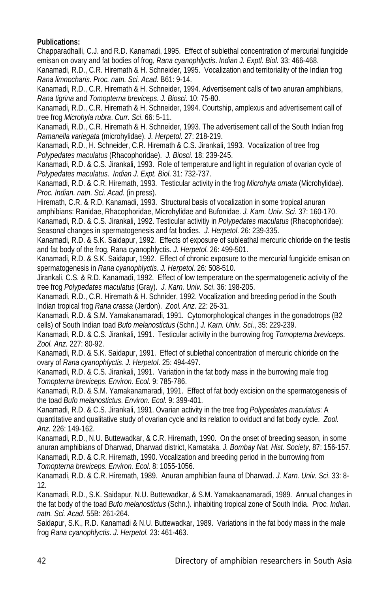## **Publications:**

Chapparadhalli, C.J. and R.D. Kanamadi, 1995. Effect of sublethal concentration of mercurial fungicide emisan on ovary and fat bodies of frog, *Rana cyanophlyctis*. *Indian J. Exptl. Biol*. 33: 466-468.

Kanamadi, R.D., C.R. Hiremath & H. Schneider, 1995. Vocalization and territoriality of the Indian frog *Rana limnocharis*. *Proc. natn. Sci. Acad*. B61: 9-14.

Kanamadi, R.D., C.R. Hiremath & H. Schneider, 1994. Advertisement calls of two anuran amphibians, *Rana tigrina* and *Tomopterna breviceps*. *J. Biosci*. 10: 75-80.

Kanamadi, R.D., C.R. Hiremath & H. Schneider, 1994. Courtship, amplexus and advertisement call of tree frog *Microhyla rubra*. *Curr. Sci*. 66: 5-11.

Kanamadi, R.D., C.R. Hiremath & H. Schneider, 1993. The advertisement call of the South Indian frog *Ramanella variegata* (microhylidae). *J. Herpetol*. 27: 218-219.

Kanamadi, R.D., H. Schneider, C.R. Hiremath & C.S. Jirankali, 1993. Vocalization of tree frog *Polypedates maculatus* (Rhacophoridae). *J. Biosci.* 18: 239-245.

Kanamadi, R.D. & C.S. Jirankali, 1993. Role of temperature and light in regulation of ovarian cycle of *Polypedates maculatus*. *Indian J. Expt. Biol*. 31: 732-737.

Kanamadi, R.D. & C.R. Hiremath, 1993. Testicular activity in the frog *Microhyla ornata* (Microhylidae). *Proc. Indian. natn. Sci. Acad.* (in press).

Hiremath, C.R. & R.D. Kanamadi, 1993. Structural basis of vocalization in some tropical anuran amphibians: Ranidae, Rhacophoridae, Microhylidae and Bufonidae. *J. Karn. Univ. Sci.* 37: 160-170. Kanamadi, R.D. & C.S. Jirankali, 1992. Testicular activitiy in *Polypedates maculatus* (Rhacophoridae):

Seasonal changes in spermatogenesis and fat bodies. *J. Herpetol*. 26: 239-335.

Kanamadi, R.D. & S.K. Saidapur, 1992. Effects of exposure of subleathal mercuric chloride on the testis and fat body of the frog, Rana cyanophlyctis. *J. Herpetol*. 26: 499-501.

Kanamadi, R.D. & S.K. Saidapur, 1992. Effect of chronic exposure to the mercurial fungicide emisan on spermatogenesis in *Rana cyanophlyctis*. *J. Herpetol*. 26: 508-510.

Jirankali, C.S. & R.D. Kanamadi, 1992. Effect of low temperature on the spermatogenetic activity of the tree frog *Polypedates maculatus* (Gray). *J. Karn. Univ. Sci*. 36: 198-205.

Kanamadi, R.D., C.R. Hiremath & H. Schnider, 1992. Vocalization and breeding period in the South Indian tropical frog *Rana crassa* (Jerdon). *Zool. Anz*. 22: 26-31.

Kanamadi, R.D. & S.M. Yamakanamaradi, 1991. Cytomorphological changes in the gonadotrops (B2 cells) of South Indian toad *Bufo melanostictus* (Schn.) *J. Karn. Univ. Sci*., 35: 229-239.

Kanamadi, R.D. & C.S. Jirankali, 1991. Testicular activity in the burrowing frog *Tomopterna breviceps*. *Zool. Anz.* 227: 80-92.

Kanamadi, R.D. & S.K. Saidapur, 1991. Effect of sublethal concentration of mercuric chloride on the ovary of *Rana cyanophlyctis*. *J. Herpetol*. 25: 494-497.

Kanamadi, R.D. & C.S. Jirankali, 1991. Variation in the fat body mass in the burrowing male frog *Tomopterna breviceps*. *Environ. Ecol*. 9: 785-786.

Kanamadi, R.D. & S.M. Yamakanamaradi, 1991. Effect of fat body excision on the spermatogenesis of the toad *Bufo melanostictus*. *Environ. Ecol*. 9: 399-401.

Kanamadi, R.D. & C.S. Jirankali, 1991. Ovarian activity in the tree frog *Polypedates maculatus*: A quantitative and qualitative study of ovarian cycle and its relation to oviduct and fat body cycle. *Zool. Anz.* 226: 149-162.

Kanamadi, R.D., N.U. Buttewadkar, & C.R. Hiremath, 1990. On the onset of breeding season, in some anuran amphibians of Dharwad, Dharwad district, Karnataka. *J. Bombay Nat. Hist. Society*, 87: 156-157. Kanamadi, R.D. & C.R. Hiremath, 1990. Vocalization and breeding period in the burrowing from *Tomopterna breviceps*. *Environ. Ecol*. 8: 1055-1056.

Kanamadi, R.D. & C.R. Hiremath, 1989. Anuran amphibian fauna of Dharwad. *J. Karn. Univ. Sci*. 33: 8- 12.

Kanamadi, R.D., S.K. Saidapur, N.U. Buttewadkar, & S.M. Yamakaanamaradi, 1989. Annual changes in the fat body of the toad *Bufo melanostictus* (Schn.). inhabiting tropical zone of South India. *Proc. Indian. natn. Sci. Acad*. 55B: 261-264.

Saidapur, S.K., R.D. Kanamadi & N.U. Buttewadkar, 1989. Variations in the fat body mass in the male frog *Rana cyanophlyctis*. *J. Herpetol*. 23: 461-463.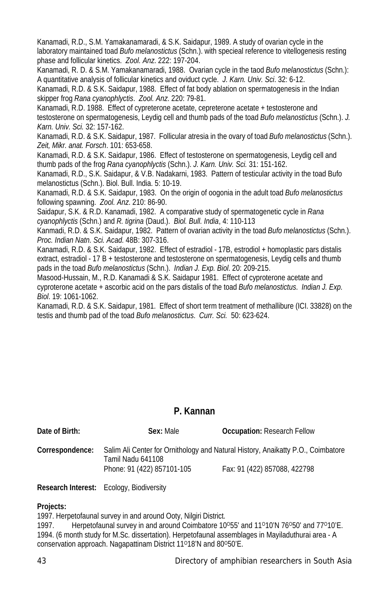Kanamadi, R.D., S.M. Yamakanamaradi, & S.K. Saidapur, 1989. A study of ovarian cycle in the laboratory maintained toad *Bufo melanostictus* (Schn.). with specieal reference to vitellogenesis resting phase and follicular kinetics. *Zool. Anz*. 222: 197-204.

Kanamadi, R. D. & S.M. Yamakanamaradi, 1988. Ovarian cycle in the taod *Bufo melanostictus* (Schn.): A quantitative analysis of follicular kinetics and oviduct cycle. *J. Karn. Univ. Sci*. 32: 6-12.

Kanamadi, R.D. & S.K. Saidapur, 1988. Effect of fat body ablation on spermatogenesis in the Indian skipper frog *Rana cyanophlyctis*. *Zool. Anz*. 220: 79-81.

Kanamadi, R.D. 1988. Effect of cypreterone acetate, cepreterone acetate + testosterone and testosterone on spermatogenesis, Leydig cell and thumb pads of the toad *Bufo melanostictus* (Schn.). *J. Karn. Univ. Sci.* 32: 157-162.

Kanamadi, R.D. & S.K. Saidapur, 1987. Follicular atresia in the ovary of toad *Bufo melanostictus* (Schn.). *Zeit, Mikr. anat. Forsch*. 101: 653-658.

Kanamadi, R.D. & S.K. Saidapur, 1986. Effect of testosterone on spermatogenesis, Leydig cell and thumb pads of the frog *Rana cyanophlyctis* (Schn.). *J. Karn. Univ. Sci.* 31: 151-162.

Kanamadi, R.D., S.K. Saidapur, & V.B. Nadakarni, 1983. Pattern of testicular activity in the toad Bufo melanostictus (Schn.). Biol. Bull. India. 5: 10-19.

Kanamadi, R.D. & S.K. Saidapur, 1983. On the origin of oogonia in the adult toad *Bufo melanostictus* following spawning. *Zool. Anz*. 210: 86-90.

Saidapur, S.K. & R.D. Kanamadi, 1982. A comparative study of spermatogenetic cycle in *Rana cyanophlyctis* (Schn.) and *R. tigrina* (Daud.). *Biol. Bull. India*, 4: 110-113

Kanmadi, R.D. & S.K. Saidapur, 1982. Pattern of ovarian activity in the toad *Bufo melanostictus* (Schn.). *Proc. Indian Natn. Sci. Acad.* 48B: 307-316.

Kanamadi, R.D. & S.K. Saidapur, 1982. Effect of estradiol - 17B, estrodiol + homoplastic pars distalis extract, estradiol - 17 B + testosterone and testosterone on spermatogenesis, Leydig cells and thumb pads in the toad *Bufo melanostictus* (Schn.). *Indian J. Exp. Biol*. 20: 209-215.

Masood-Hussain, M., R.D. Kanamadi & S.K. Saidapur 1981. Effect of cyproterone acetate and cyproterone acetate + ascorbic acid on the pars distalis of the toad *Bufo melanostictus*. *Indian J. Exp. Biol*. 19: 1061-1062.

Kanamadi, R.D. & S.K. Saidapur, 1981. Effect of short term treatment of methallibure (ICI. 33828) on the testis and thumb pad of the toad *Bufo melanostictus*. *Curr. Sci.* 50: 623-624.

## **P. Kannan**

| Date of Birth:  | Sex: Male                  | <b>Occupation: Research Fellow</b>                                               |
|-----------------|----------------------------|----------------------------------------------------------------------------------|
| Correspondence: | Tamil Nadu 641108          | Salim Ali Center for Ornithology and Natural History, Anaikatty P.O., Coimbatore |
|                 | Phone: 91 (422) 857101-105 | Fax: 91 (422) 857088, 422798                                                     |

**Research Interest:** Ecology, Biodiversity

## **Projects:**

1997. Herpetofaunal survey in and around Ooty, Nilgiri District.

1997. Herpetofaunal survey in and around Coimbatore 10<sup>o</sup>55' and 11<sup>o</sup>10'N 76<sup>o</sup>50' and 77<sup>o</sup>10'E. 1994. (6 month study for M.Sc. dissertation). Herpetofaunal assemblages in Mayiladuthurai area - A conservation approach. Nagapattinam District 11°18'N and 80°50'E.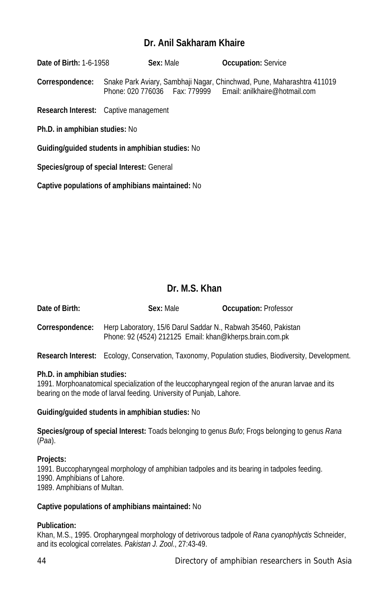## **Dr. Anil Sakharam Khaire**

**Date of Birth:** 1-6-1958 **Sex:** Male **Occupation:** Service **Correspondence:** Snake Park Aviary, Sambhaji Nagar, Chinchwad, Pune, Maharashtra 411019 Phone: 020 776036 Fax: 779999 Email: anilkhaire@hotmail.com

**Research Interest:** Captive management

**Ph.D. in amphibian studies:** No

**Guiding/guided students in amphibian studies:** No

**Species/group of special Interest:** General

**Captive populations of amphibians maintained:** No

## **Dr. M.S. Khan**

| Date of Birth:  | Sex: Male                                                                                                                | <b>Occupation: Professor</b> |
|-----------------|--------------------------------------------------------------------------------------------------------------------------|------------------------------|
| Correspondence: | Herp Laboratory, 15/6 Darul Saddar N., Rabwah 35460, Pakistan<br>Phone: 92 (4524) 212125 Email: khan@kherps.brain.com.pk |                              |

**Research Interest:** Ecology, Conservation, Taxonomy, Population studies, Biodiversity, Development.

#### **Ph.D. in amphibian studies:**

1991. Morphoanatomical specialization of the leuccopharyngeal region of the anuran larvae and its bearing on the mode of larval feeding. University of Punjab, Lahore.

#### **Guiding/guided students in amphibian studies:** No

**Species/group of special Interest:** Toads belonging to genus *Bufo*; Frogs belonging to genus *Rana* (*Paa*).

#### **Projects:**

1991. Buccopharyngeal morphology of amphibian tadpoles and its bearing in tadpoles feeding. 1990. Amphibians of Lahore. 1989. Amphibians of Multan.

#### **Captive populations of amphibians maintained:** No

## **Publication:**

Khan, M.S., 1995. Oropharyngeal morphology of detrivorous tadpole of *Rana cyanophlyctis* Schneider, and its ecological correlates. *Pakistan J. Zool*., 27:43-49.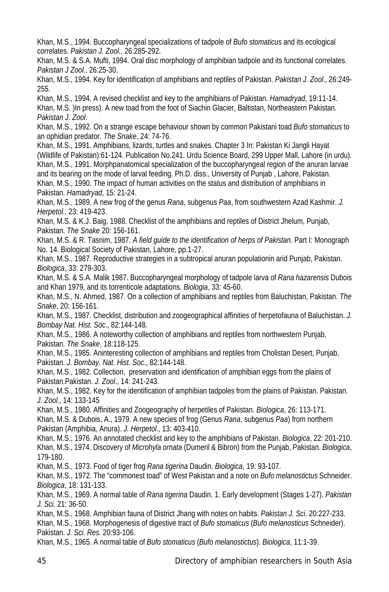Khan, M.S., 1994. Buccopharyngeal specializations of tadpole of *Bufo stomaticus* and its ecological correlates. *Pakistan J. Zool*., 26:285-292.

Khan, M.S. & S.A. Mufti, 1994. Oral disc morphology of amphibian tadpole and its functional correlates. *Pakistan J Zool*., 26:25-30.

Khan, M.S., 1994. Key for identification of amphibians and reptiles of Pakistan. *Pakistan J. Zool*., 26:249- 255.

Khan, M.S., 1994. A revised checklist and key to the amphibians of Pakistan. *Hamadryad*, 19:11-14.

Khan, M.S. )In press). A new toad from the foot of Siachin Glacier, Baltistan, Northeastern Pakistan. *Pakistan J. Zool*.

Khan, M.S., 1992. On a strange escape behaviour shown by common Pakistani toad *Bufo stomaticus* to an ophidian predator. *The Snake*, 24: 74-76.

Khan, M.S., 1991. Amphibians, lizards, turtles and snakes. Chapter 3 In: Pakistan Ki Jangli Hayat (Wildlife of Pakistan):61-124. Publication No.241. Urdu Science Board, 299 Upper Mall, Lahore (in urdu). Khan, M.S., 1991. Morphpanatomical specialization of the buccopharyngeal region of the anuran larvae and its bearing on the mode of larval feeding. Ph.D. diss., University of Punjab , Lahore, Pakistan. Khan, M.S., 1990. The impact of human activities on the status and distribution of amphibians in Pakistan. *Hamadryad*, 15: 21-24.

Khan, M.S., 1989. A new frog of the genus *Rana*, subgenus *Paa*, from southwestern Azad Kashmir. *J. Herpetol*., 23: 419-423.

Khan, M.S. & K.J. Baig, 1988. Checklist of the amphibians and reptiles of District Jhelum, Punjab, Pakistan. *The Snake* 20: 156-161.

Khan, M.S. & R. Tasnim, 1987. *A field guide to the identification of herps of Pakistan.* Part I: Monograph No. 14. Biological Society of Pakistan, Lahore, pp.1-27.

Khan, M.S., 1987. Reproductive strategies in a subtropical anuran populationin arid Punjab, Pakistan. *Biologica*, 33: 279-303.

Khan, M.S. & S.A. Malik 1987. Buccopharyngeal morphology of tadpole larva of *Rana hazarensis* Dubois and Khan 1979, and its torrenticole adaptations. *Biologia*, 33: 45-60.

Khan, M.S., N. Ahmed, 1987. On a collection of amphibians and reptiles from Baluchistan, Pakistan. *The Snake*, 20: 156-161.

Khan, M.S., 1987. Checklist, distribution and zoogeographical affinities of herpetofauna of Baluchistan. *J. Bombay Nat. Hist. Soc*., 82:144-148.

Khan, M.S., 1986. A noteworthy collection of amphibians and reptiles from northwestern Punjab, Pakistan. *The Snake*, 18:118-125.

Khan, M.S., 1985. Aninteresting collection of amphibians and reptiles from Cholistan Desert, Punjab, Pakistan. *J. Bombay. Nat. Hist. Soc*., 82:144-148.

Khan, M.S., 1982. Collection, preservation and identification of amphibian eggs from the plains of Pakistan.Pakistan. *J. Zool*., 14: 241-243.

Khan, M.S., 1982. Key for the identification of amphibian tadpoles from the plains of Pakistan. Pakistan. *J. Zool*., 14: 133-145

Khan, M.S., 1980. Affinities and Zoogeography of herpetiles of Pakistan. *Biologica*, 26: 113-171.

Khan, M.S. & Dubois, A., 1979. A new species of frog (Genus *Rana*, subgenus *Paa*) from northern Pakistan (Amphibia, Anura). *J. Herpetol*., 13: 403-410.

Khan, M.S., 1976. An annotated checklist and key to the amphibians of Pakistan. *Biologica*, 22: 201-210. Khan, M.S., 1974. Discovery of *Microhyla ornata* (Dumeril & Bibron) from the Punjab, Pakistan. *Biologica*, 179-180.

Khan, M.S., 1973. Food of tiger frog *Rana tigerina* Daudin. *Biologica*, 19: 93-107.

Khan, M.S., 1972. The "commonest toad" of West Pakistan and a note on *Bufo melanostictus* Schneider. *Biologica*, 18: 131-133.

Khan, M.S., 1969. A normal table of *Rana tigerina* Daudin. 1. Early development (Stages 1-27). *Pakistan J. Sci.* 21: 36-50.

Khan, M.S., 1968. Amphibian fauna of District Jhang with notes on habits. *Pakistan J. Sci*. 20:227-233. Khan, M.S., 1968. Morphogenesis of digestive tract of *Bufo stomaticus* (*Bufo melanosticus* Schneider). Pakistan. *J. Sci. Res*. 20:93-106.

Khan, M.S., 1965. A normal table of *Bufo stomaticus* (*Bufo melanostictus*). *Biologica*, 11:1-39.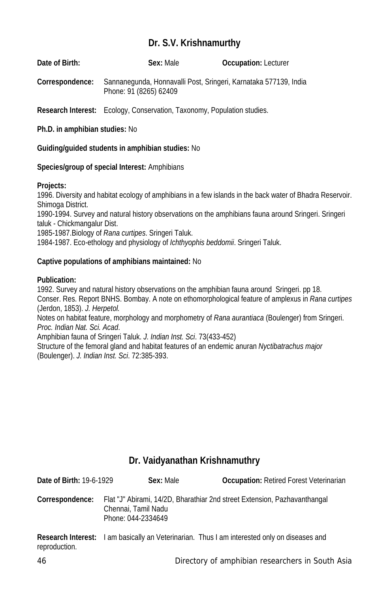## **Dr. S.V. Krishnamurthy**

| Date of Birth:  | Sex: Male              | <b>Occupation: Lecturer</b>                                      |
|-----------------|------------------------|------------------------------------------------------------------|
| Correspondence: | Phone: 91 (8265) 62409 | Sannanegunda, Honnavalli Post, Sringeri, Karnataka 577139, India |

**Research Interest:** Ecology, Conservation, Taxonomy, Population studies.

**Ph.D. in amphibian studies:** No

#### **Guiding/guided students in amphibian studies:** No

#### **Species/group of special Interest:** Amphibians

#### **Projects:**

1996. Diversity and habitat ecology of amphibians in a few islands in the back water of Bhadra Reservoir. Shimoga District.

1990-1994. Survey and natural history observations on the amphibians fauna around Sringeri. Sringeri taluk - Chickmangalur Dist.

1985-1987.Biology of *Rana curtipes*. Sringeri Taluk.

1984-1987. Eco-ethology and physiology of *Ichthyophis beddomii*. Sringeri Taluk.

## **Captive populations of amphibians maintained:** No

#### **Publication:**

1992. Survey and natural history observations on the amphibian fauna around Sringeri. pp 18. Conser. Res. Report BNHS. Bombay. A note on ethomorphological feature of amplexus in *Rana curtipes* (Jerdon, 1853). *J. Herpetol.* Notes on habitat feature, morphology and morphometry of *Rana aurantiaca* (Boulenger) from Sringeri. *Proc. Indian Nat. Sci. Acad*. Amphibian fauna of Sringeri Taluk. *J. Indian Inst. Sci*. 73(433-452) Structure of the femoral gland and habitat features of an endemic anuran *Nyctibatrachus major* (Boulenger). *J. Indian Inst. Sci*. 72:385-393.

## **Dr. Vaidyanathan Krishnamuthry**

| Date of Birth: 19-6-1929 | Sex: Male                                 | <b>Occupation:</b> Retired Forest Veterinarian                                                      |
|--------------------------|-------------------------------------------|-----------------------------------------------------------------------------------------------------|
| Correspondence:          | Chennai, Tamil Nadu<br>Phone: 044-2334649 | Flat "J" Abirami, 14/2D, Bharathiar 2nd street Extension, Pazhavanthangal                           |
| reproduction.            |                                           | <b>Research Interest:</b> I am basically an Veterinarian. Thus I am interested only on diseases and |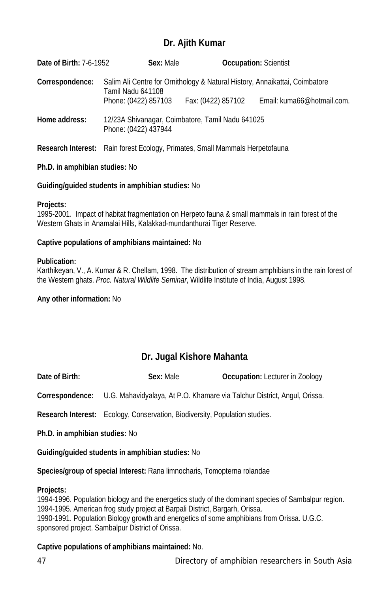## **Dr. Ajith Kumar**

| <b>Date of Birth: 7-6-1952</b> | Sex: Male                                                                                        |                    | <b>Occupation: Scientist</b> |
|--------------------------------|--------------------------------------------------------------------------------------------------|--------------------|------------------------------|
| Correspondence:                | Salim Ali Centre for Ornithology & Natural History, Annaikattai, Coimbatore<br>Tamil Nadu 641108 |                    |                              |
|                                | Phone: (0422) 857103                                                                             | Fax: (0422) 857102 | Email: kuma66@hotmail.com.   |
| Home address:                  | 12/23A Shivanagar, Coimbatore, Tamil Nadu 641025<br>Phone: (0422) 437944                         |                    |                              |
|                                | <b>Research Interest:</b> Rain forest Ecology, Primates, Small Mammals Herpetofauna              |                    |                              |

#### **Ph.D. in amphibian studies:** No

#### **Guiding/guided students in amphibian studies:** No

#### **Projects:**

1995-2001. Impact of habitat fragmentation on Herpeto fauna & small mammals in rain forest of the Western Ghats in Anamalai Hills, Kalakkad-mundanthurai Tiger Reserve.

#### **Captive populations of amphibians maintained:** No

#### **Publication:**

Karthikeyan, V., A. Kumar & R. Chellam, 1998. The distribution of stream amphibians in the rain forest of the Western ghats. *Proc. Natural Wildlife Seminar*, Wildlife Institute of India, August 1998.

#### **Any other information:** No

# **Dr. Jugal Kishore Mahanta**

| Date of Birth: | Sex: Male | <b>Occupation:</b> Lecturer in Zoology |
|----------------|-----------|----------------------------------------|
|----------------|-----------|----------------------------------------|

**Correspondence:** U.G. Mahavidyalaya, At P.O. Khamare via Talchur District, Angul, Orissa.

**Research Interest:** Ecology, Conservation, Biodiversity, Population studies.

**Ph.D. in amphibian studies:** No

**Guiding/guided students in amphibian studies:** No

**Species/group of special Interest:** Rana limnocharis, Tomopterna rolandae

#### **Projects:**

1994-1996. Population biology and the energetics study of the dominant species of Sambalpur region. 1994-1995. American frog study project at Barpali District, Bargarh, Orissa. 1990-1991. Population Biology growth and energetics of some amphibians from Orissa. U.G.C. sponsored project. Sambalpur District of Orissa.

#### **Captive populations of amphibians maintained:** No.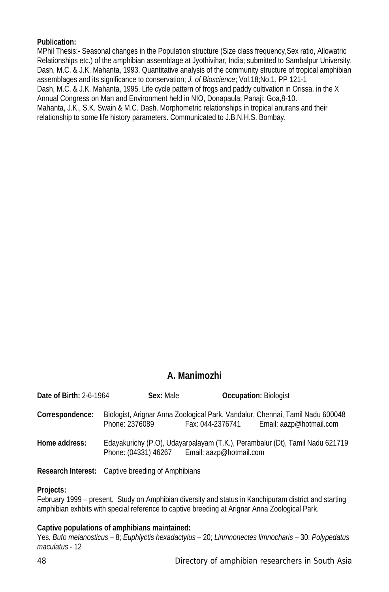## **Publication:**

MPhil Thesis:- Seasonal changes in the Population structure (Size class frequency,Sex ratio, Allowatric Relationships etc.) of the amphibian assemblage at Jyothivihar, India; submitted to Sambalpur University. Dash, M.C. & J.K. Mahanta, 1993. Quantitative analysis of the community structure of tropical amphibian assemblages and its significance to conservation; *J. of Bioscience*; Vol.18;No.1, PP 121-1 Dash, M.C. & J.K. Mahanta, 1995. Life cycle pattern of frogs and paddy cultivation in Orissa. in the X Annual Congress on Man and Environment held in NIO, Donapaula; Panaji; Goa,8-10. Mahanta, J.K., S.K. Swain & M.C. Dash. Morphometric relationships in tropical anurans and their relationship to some life history parameters. Communicated to J.B.N.H.S. Bombay.

## **A. Manimozhi**

| <b>Date of Birth: 2-6-1964</b> | Sex: Male                                    | <b>Occupation: Biologist</b> |                                                                                                          |
|--------------------------------|----------------------------------------------|------------------------------|----------------------------------------------------------------------------------------------------------|
| Correspondence:                | Phone: 2376089                               | Fax: 044-2376741             | Biologist, Arignar Anna Zoological Park, Vandalur, Chennai, Tamil Nadu 600048<br>Email: aazp@hotmail.com |
| Home address:                  | Phone: (04331) 46267 Email: aazp@hotmail.com |                              | Edayakurichy (P.O), Udayarpalayam (T.K.), Perambalur (Dt), Tamil Nadu 621719                             |

**Research Interest:** Captive breeding of Amphibians

## **Projects:**

February 1999 – present. Study on Amphibian diversity and status in Kanchipuram district and starting amphibian exhbits with special reference to captive breeding at Arignar Anna Zoological Park.

## **Captive populations of amphibians maintained:**

Yes. *Bufo melanosticus* – 8; *Euphlyctis hexadactylus* – 20; *Linmnonectes limnocharis* – 30; *Polypedatus maculatus* - 12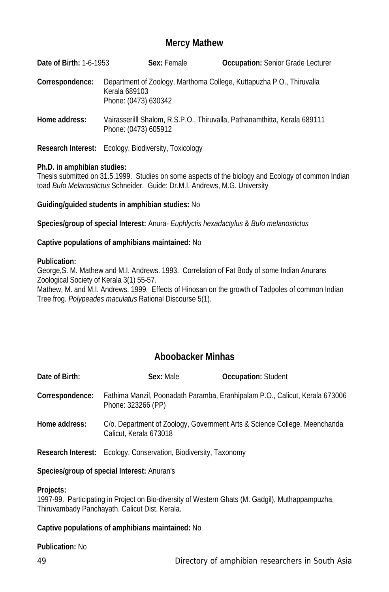## **Mercy Mathew**

| <b>Date of Birth: 1-6-1953</b>                              |                                       | Sex: Female | <b>Occupation:</b> Senior Grade Lecturer                                  |
|-------------------------------------------------------------|---------------------------------------|-------------|---------------------------------------------------------------------------|
| Correspondence:                                             | Kerala 689103<br>Phone: (0473) 630342 |             | Department of Zoology, Marthoma College, Kuttapuzha P.O., Thiruvalla      |
| Home address:                                               | Phone: (0473) 605912                  |             | Vairasserilli Shalom, R.S.P.O., Thiruvalla, Pathanamthitta, Kerala 689111 |
| <b>Research Interest:</b> Ecology, Biodiversity, Toxicology |                                       |             |                                                                           |

## **Ph.D. in amphibian studies:**

Thesis submitted on 31.5.1999. Studies on some aspects of the biology and Ecology of common Indian toad *Bufo Melanostictus* Schneider. Guide: Dr.M.I. Andrews, M.G. University

**Guiding/guided students in amphibian studies:** No

**Species/group of special Interest:** Anura- *Euphlyctis hexadactylus* & *Bufo melanostictus*

#### **Captive populations of amphibians maintained:** No

#### **Publication:**

George,S. M. Mathew and M.I. Andrews. 1993. Correlation of Fat Body of some Indian Anurans Zoological Society of Kerala 3(1) 55-57. Mathew, M. and M.I. Andrews. 1999. Effects of Hinosan on the growth of Tadpoles of common Indian Tree frog. *Polypeades maculatus* Rational Discourse 5(1).

## **Aboobacker Minhas**

| Date of Birth:  | Sex: Male                                                               | <b>Occupation: Student</b>                                                  |  |
|-----------------|-------------------------------------------------------------------------|-----------------------------------------------------------------------------|--|
| Correspondence: | Phone: 323266 (PP)                                                      | Fathima Manzil, Poonadath Paramba, Eranhipalam P.O., Calicut, Kerala 673006 |  |
| Home address:   | Calicut, Kerala 673018                                                  | C/o. Department of Zoology, Government Arts & Science College, Meenchanda   |  |
|                 | <b>Research Interest:</b> Ecology, Conservation, Biodiversity, Taxonomy |                                                                             |  |

#### **Species/group of special Interest:** Anuran's

#### **Projects:**

1997-99. Participating in Project on Bio-diversity of Western Ghats (M. Gadgil), Muthappampuzha, Thiruvambady Panchayath. Calicut Dist. Kerala.

#### **Captive populations of amphibians maintained:** No

## **Publication:** No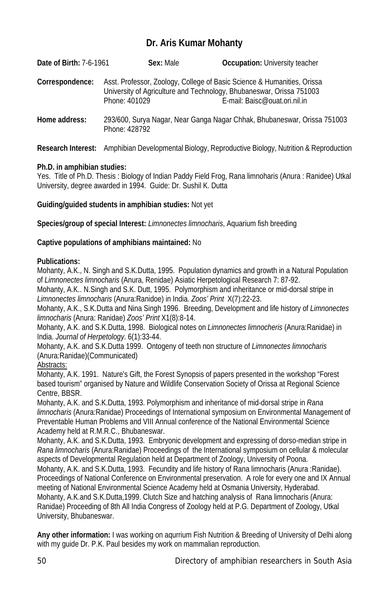# **Dr. Aris Kumar Mohanty**

| <b>Date of Birth: 7-6-1961</b> | Sex: Male     | <b>Occupation:</b> University teacher                                                                                                                                            |
|--------------------------------|---------------|----------------------------------------------------------------------------------------------------------------------------------------------------------------------------------|
| Correspondence:                | Phone: 401029 | Asst. Professor, Zoology, College of Basic Science & Humanities, Orissa<br>University of Agriculture and Technology, Bhubaneswar, Orissa 751003<br>E-mail: Baisc@ouat.ori.nil.in |
| Home address:                  | Phone: 428792 | 293/600, Surya Nagar, Near Ganga Nagar Chhak, Bhubaneswar, Orissa 751003                                                                                                         |

**Research Interest:** Amphibian Developmental Biology, Reproductive Biology, Nutrition & Reproduction

## **Ph.D. in amphibian studies:**

Yes. Title of Ph.D. Thesis : Biology of Indian Paddy Field Frog, Rana limnoharis (Anura : Ranidee) Utkal University, degree awarded in 1994. Guide: Dr. Sushil K. Dutta

**Guiding/guided students in amphibian studies:** Not yet

**Species/group of special Interest:** *Limnonectes limnocharis*, Aquarium fish breeding

## **Captive populations of amphibians maintained:** No

## **Publications:**

Mohanty, A.K., N. Singh and S.K.Dutta, 1995. Population dynamics and growth in a Natural Population of *Limnonectes limnocharis* (Anura, Renidae) Asiatic Herpetological Research 7: 87-92.

Mohanty, A.K.. N.Singh and S.K. Dutt, 1995. Polymorphism and inheritance or mid-dorsal stripe in *Limnonectes limnocharis* (Anura:Ranidoe) in India. *Zoos' Print* X(7):22-23.

Mohanty, A.K., S.K.Dutta and Nina Singh 1996. Breeding, Development and life history of *Limnonectes limnocharis* (Anura: Ranidae) *Zoos' Print* X1(8):8-14.

Mohanty, A.K. and S.K.Dutta, 1998. Biological notes on *Limnonectes limnocheris* (Anura:Ranidae) in India. *Journal of Herpetology*. 6(1):33-44.

Mohanty, A.K. and S.K.Dutta 1999. Ontogeny of teeth non structure of *Limnonectes limnocharis* (Anura:Ranidae)(Communicated)

## Abstracts:

Mohanty, A.K. 1991. Nature's Gift, the Forest Synopsis of papers presented in the workshop "Forest based tourism" organised by Nature and Wildlife Conservation Society of Orissa at Regional Science Centre, BBSR.

Mohanty, A.K. and S.K.Dutta, 1993. Polymorphism and inheritance of mid-dorsal stripe in *Rana limnocharis* (Anura:Ranidae) Proceedings of International symposium on Environmental Management of Preventable Human Problems and VIII Annual conference of the National Environmental Science Academy held at R.M.R.C., Bhubaneswar.

Mohanty, A.K. and S.K.Dutta, 1993. Embryonic development and expressing of dorso-median stripe in *Rana limnocharis* (Anura:Ranidae) Proceedings of the International symposium on cellular & molecular aspects of Developmental Regulation held at Department of Zoology, University of Poona.

Mohanty, A.K. and S.K.Dutta, 1993. Fecundity and life history of Rana limnocharis (Anura :Ranidae). Proceedings of National Conference on Environmental preservation. A role for every one and IX Annual meeting of National Environmental Science Academy held at Osmania University, Hyderabad. Mohanty, A.K.and S.K.Dutta,1999. Clutch Size and hatching analysis of Rana limnocharis (Anura: Ranidae) Proceeding of 8th All India Congress of Zoology held at P.G. Department of Zoology, Utkal University, Bhubaneswar.

**Any other information:** I was working on aqurrium Fish Nutrition & Breeding of University of Delhi along with my guide Dr. P.K. Paul besides my work on mammalian reproduction.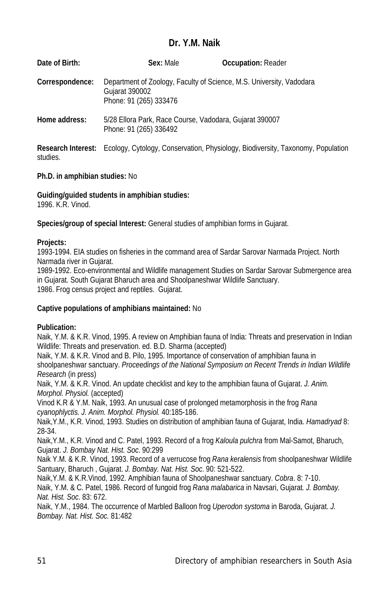## **Dr. Y.M. Naik**

| Date of Birth:  | Sex: Male                                                                         | <b>Occupation: Reader</b>                                                                                 |  |
|-----------------|-----------------------------------------------------------------------------------|-----------------------------------------------------------------------------------------------------------|--|
| Correspondence: | Gujarat 390002<br>Phone: 91 (265) 333476                                          | Department of Zoology, Faculty of Science, M.S. University, Vadodara                                      |  |
| Home address:   | 5/28 Ellora Park, Race Course, Vadodara, Gujarat 390007<br>Phone: 91 (265) 336492 |                                                                                                           |  |
| studies.        |                                                                                   | <b>Research Interest:</b> Ecology, Cytology, Conservation, Physiology, Biodiversity, Taxonomy, Population |  |

## **Ph.D. in amphibian studies:** No

**Guiding/guided students in amphibian studies:** 

1996. K.R. Vinod.

**Species/group of special Interest:** General studies of amphibian forms in Gujarat.

## **Projects:**

1993-1994. EIA studies on fisheries in the command area of Sardar Sarovar Narmada Project. North Narmada river in Gujarat.

1989-1992. Eco-environmental and Wildlife management Studies on Sardar Sarovar Submergence area in Gujarat. South Gujarat Bharuch area and Shoolpaneshwar Wildlife Sanctuary. 1986. Frog census project and reptiles. Gujarat.

## **Captive populations of amphibians maintained:** No

## **Publication:**

Naik, Y.M. & K.R. Vinod, 1995. A review on Amphibian fauna of India: Threats and preservation in Indian Wildlife: Threats and preservation. ed. B.D. Sharma (accepted)

Naik, Y.M. & K.R. Vinod and B. Pilo, 1995. Importance of conservation of amphibian fauna in shoolpaneshwar sanctuary. *Proceedings of the National Symposium on Recent Trends in Indian Wildlife Research* (in press)

Naik, Y.M. & K.R. Vinod. An update checklist and key to the amphibian fauna of Gujarat. *J. Anim. Morphol. Physiol.* (accepted)

Vinod K.R & Y.M. Naik, 1993. An unusual case of prolonged metamorphosis in the frog *Rana cyanophlyctis. J. Anim. Morphol. Physiol.* 40:185-186.

Naik,Y.M., K.R. Vinod, 1993. Studies on distribution of amphibian fauna of Gujarat, India. *Hamadryad* 8: 28-34.

Naik,Y.M., K.R. Vinod and C. Patel, 1993. Record of a frog *Kaloula pulchra* from Mal-Samot, Bharuch, Gujarat. *J. Bombay Nat. Hist. Soc*. 90:299

Naik Y.M. & K.R. Vinod, 1993. Record of a verrucose frog *Rana keralensis* from shoolpaneshwar Wildlife Santuary, Bharuch , Gujarat. *J. Bombay. Nat. Hist. Soc*. 90: 521-522.

Naik,Y.M. & K.R.Vinod, 1992. Amphibian fauna of Shoolpaneshwar sanctuary. *Cobra*. 8: 7-10. Naik, Y.M. & C. Patel, 1986. Record of fungoid frog *Rana malabarica* in Navsari, Gujarat*. J. Bombay. Nat. Hist. Soc*. 83: 672.

Naik, Y.M., 1984. The occurrence of Marbled Balloon frog *Uperodon systoma* in Baroda, Gujarat. *J. Bombay. Nat. Hist. Soc.* 81:482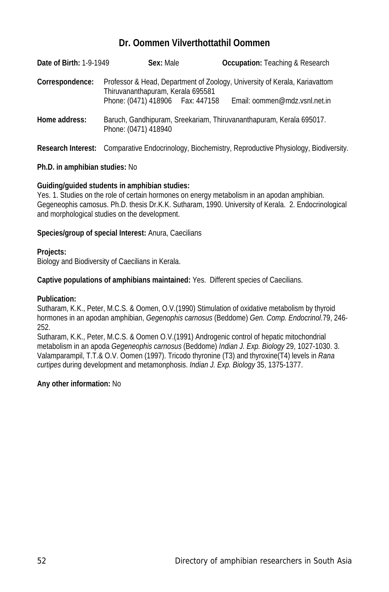## **Dr. Oommen Vilverthottathil Oommen**

| Date of Birth: 1-9-1949 | Sex: Male                           | <b>Occupation:</b> Teaching & Research                                                               |  |
|-------------------------|-------------------------------------|------------------------------------------------------------------------------------------------------|--|
| Correspondence:         | Thiruvananthapuram, Kerala 695581   | Professor & Head, Department of Zoology, University of Kerala, Kariavattom                           |  |
| Home address:           | Phone: (0471) 418906    Fax: 447158 | Email: oommen@mdz.vsnl.net.in<br>Baruch, Gandhipuram, Sreekariam, Thiruvananthapuram, Kerala 695017. |  |
|                         | Phone: (0471) 418940                |                                                                                                      |  |

**Research Interest:** Comparative Endocrinology, Biochemistry, Reproductive Physiology, Biodiversity.

## **Ph.D. in amphibian studies:** No

#### **Guiding/guided students in amphibian studies:**

Yes. 1. Studies on the role of certain hormones on energy metabolism in an apodan amphibian. Gegeneophis camosus. Ph.D. thesis Dr.K.K. Sutharam, 1990. University of Kerala. 2. Endocrinological and morphological studies on the development.

#### **Species/group of special Interest:** Anura, Caecilians

#### **Projects:**

Biology and Biodiversity of Caecilians in Kerala.

**Captive populations of amphibians maintained:** Yes. Different species of Caecilians.

#### **Publication:**

Sutharam, K.K., Peter, M.C.S. & Oomen, O.V.(1990) Stimulation of oxidative metabolism by thyroid hormones in an apodan amphibian, *Gegenophis carnosus* (Beddome) *Gen. Comp. Endocrinol*.79, 246- 252.

Sutharam, K.K., Peter, M.C.S. & Oomen O.V.(1991) Androgenic control of hepatic mitochondrial metabolism in an apoda *Gegeneophis carnosus* (Beddome) *Indian J. Exp. Biology* 29, 1027-1030. 3. Valamparampil, T.T.& O.V. Oomen (1997). Tricodo thyronine (T3) and thyroxine(T4) levels in *Rana curtipes* during development and metamonphosis. *Indian J. Exp. Biology* 35, 1375-1377.

## **Any other information:** No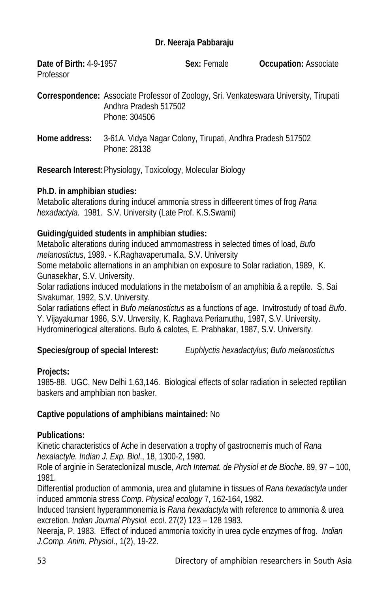## **Dr. Neeraja Pabbaraju**

| <b>Date of Birth: 4-9-1957</b> | Sex: Female | <b>Occupation: Associate</b> |
|--------------------------------|-------------|------------------------------|
| Professor                      |             |                              |

**Correspondence:** Associate Professor of Zoology, Sri. Venkateswara University, Tirupati Andhra Pradesh 517502 Phone: 304506

**Home address:** 3-61A. Vidya Nagar Colony, Tirupati, Andhra Pradesh 517502 Phone: 28138

**Research Interest:**Physiology, Toxicology, Molecular Biology

## **Ph.D. in amphibian studies:**

Metabolic alterations during inducel ammonia stress in diffeerent times of frog *Rana hexadactyla*. 1981. S.V. University (Late Prof. K.S.Swami)

## **Guiding/guided students in amphibian studies:**

Metabolic alterations during induced ammomastress in selected times of load, *Bufo melanostictus*, 1989. - K.Raghavaperumalla, S.V. University

Some metabolic alternations in an amphibian on exposure to Solar radiation, 1989, K. Gunasekhar, S.V. University.

Solar radiations induced modulations in the metabolism of an amphibia & a reptile. S. Sai Sivakumar, 1992, S.V. University.

Solar radiations effect in *Bufo melanostictus* as a functions of age. Invitrostudy of toad *Bufo*. Y. Vijayakumar 1986, S.V. Unversity, K. Raghava Periamuthu, 1987, S.V. University. Hydrominerlogical alterations. Bufo & calotes, E. Prabhakar, 1987, S.V. University.

**Species/group of special Interest:** *Euphlyctis hexadactylus*; *Bufo melanostictus*

## **Projects:**

1985-88. UGC, New Delhi 1,63,146. Biological effects of solar radiation in selected reptilian baskers and amphibian non basker.

## **Captive populations of amphibians maintained:** No

## **Publications:**

Kinetic characteristics of Ache in deservation a trophy of gastrocnemis much of *Rana hexalactyle. Indian J. Exp. Biol*., 18, 1300-2, 1980.

Role of arginie in Seratecloniizal muscle, *Arch Internat. de Physiol et de Bioche*. 89, 97 – 100, 1981.

Differential production of ammonia, urea and glutamine in tissues of *Rana hexadactyla* under induced ammonia stress *Comp*. *Physical ecology* 7, 162-164, 1982.

Induced transient hyperammonemia is *Rana hexadactyla* with reference to ammonia & urea excretion. *Indian Journal Physiol. ecol*. 27(2) 123 – 128 1983.

Neeraja, P. 1983. Effect of induced ammonia toxicity in urea cycle enzymes of frog*. Indian J.Comp. Anim. Physiol*., 1(2), 19-22.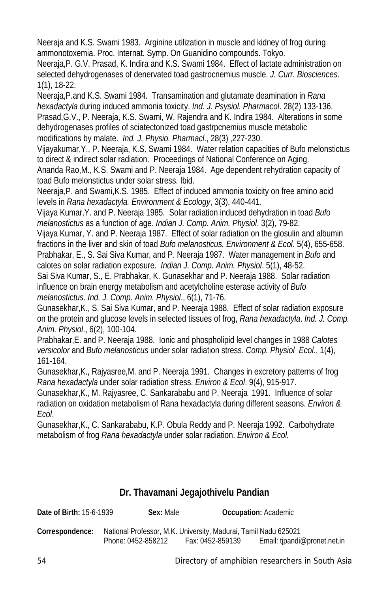Neeraja and K.S. Swami 1983. Arginine utilization in muscle and kidney of frog during ammonotoxemia. Proc. Internat. Symp. On Guanidino compounds. Tokyo.

Neeraja,P. G.V. Prasad, K. Indira and K.S. Swami 1984. Effect of lactate administration on selected dehydrogenases of denervated toad gastrocnemius muscle. *J. Curr. Biosciences*. 1(1), 18-22.

Neeraja,P.and K.S. Swami 1984. Transamination and glutamate deamination in *Rana hexadactyla* during induced ammonia toxicity. *Ind. J. Psysiol. Pharmacol*. 28(2) 133-136. Prasad,G.V., P. Neeraja, K.S. Swami, W. Rajendra and K. Indira 1984. Alterations in some dehydrogenases profiles of sciatectonized toad gastrpcnemius muscle metabolic modifications by malate. *Ind. J. Physio. Pharmacl*., 28(3) ,227-230.

Vijayakumar,Y., P. Neeraja, K.S. Swami 1984. Water relation capacities of Bufo melonstictus to direct & indirect solar radiation. Proceedings of National Conference on Aging.

Ananda Rao,M., K.S. Swami and P. Neeraja 1984. Age dependent rehydration capacity of toad Bufo melonstictus under solar stress. Ibid.

Neeraja,P. and Swami,K.S. 1985. Effect of induced ammonia toxicity on free amino acid levels in *Rana hexadactyla. Environment & Ecology*, 3(3), 440-441.

Vijaya Kumar,Y. and P. Neeraja 1985. Solar radiation induced dehydration in toad *Bufo melanostictus* as a function of age. *Indian J. Comp. Anim. Physiol*. 3(2), 79-82.

Vijaya Kumar, Y. and P. Neeraja 1987. Effect of solar radiation on the glosulin and albumin fractions in the liver and skin of toad *Bufo melanosticus. Environment & Ecol*. 5(4), 655-658. Prabhakar, E., S. Sai Siva Kumar, and P. Neeraja 1987. Water management in *Bufo* and calotes on solar radiation exposure. *Indian J. Comp. Anim. Physiol*. 5(1), 48-52.

Sai Siva Kumar, S., E. Prabhakar, K. Gunasekhar and P. Neeraja 1988. Solar radiation influence on brain energy metabolism and acetylcholine esterase activity of *Bufo melanostictus*. *Ind. J. Comp. Anim. Physiol*., 6(1), 71-76.

Gunasekhar,K., S. Sai Siva Kumar, and P. Neeraja 1988. Effect of solar radiation exposure on the protein and glucose levels in selected tissues of frog, *Rana hexadactyla*. *Ind. J. Comp. Anim. Physiol*., 6(2), 100-104.

Prabhakar,E. and P. Neeraja 1988. Ionic and phospholipid level changes in 1988 *Calotes versicolor* and *Bufo melanosticus* under solar radiation stress. *Comp. Physiol Ecol*., 1(4), 161-164.

Gunasekhar,K., Rajyasree,M. and P. Neeraja 1991. Changes in excretory patterns of frog *Rana hexadactyla* under solar radiation stress. *Environ & Ecol*. 9(4), 915-917.

Gunasekhar,K., M. Rajyasree, C. Sankarababu and P. Neeraja 1991. Influence of solar radiation on oxidation metabolism of Rana hexadactyla during different seasons. *Environ & Ecol*.

Gunasekhar,K., C. Sankarababu, K.P. Obula Reddy and P. Neeraja 1992. Carbohydrate metabolism of frog *Rana hexadactyla* under solar radiation. *Environ & Ecol.*

# **Dr. Thavamani Jegajothivelu Pandian**

| <b>Date of Birth:</b> 15-6-1939 | <b>SEX:</b> Male                                                | OCCUPATION: ACQUEINIC |                              |
|---------------------------------|-----------------------------------------------------------------|-----------------------|------------------------------|
| Correspondence:                 | National Professor, M.K. University, Madurai, Tamil Nadu 625021 |                       |                              |
|                                 | Phone: 0452-858212                                              | Fax: 0452-859139      | Email: tipandi@pronet.net.in |

**Date of Birth:** 15-6-1939 **Sex:** Male **Occupation:** Academic

54 Directory of amphibian researchers in South Asia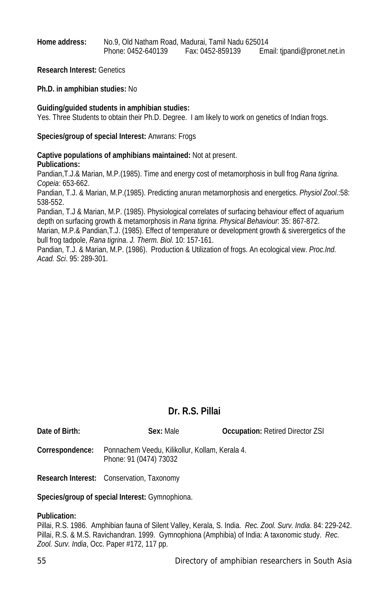**Home address:** No.9, Old Natham Road, Madurai, Tamil Nadu 625014 Phone: 0452-640139 Fax: 0452-859139 Email: tjpandi@pronet.net.in

**Research Interest:** Genetics

**Ph.D. in amphibian studies:** No

#### **Guiding/guided students in amphibian studies:**

Yes. Three Students to obtain their Ph.D. Degree. I am likely to work on genetics of Indian frogs.

#### **Species/group of special Interest:** Anwrans: Frogs

**Captive populations of amphibians maintained:** Not at present. **Publications:**

Pandian,T.J.& Marian, M.P.(1985). Time and energy cost of metamorphosis in bull frog *Rana tigrina*. *Copeia*: 653-662.

Pandian, T.J. & Marian, M.P.(1985). Predicting anuran metamorphosis and energetics. *Physiol Zool*.:58: 538-552.

Pandian, T.J & Marian, M.P. (1985). Physiological correlates of surfacing behaviour effect of aquarium depth on surfacing growth & metamorphosis in *Rana tigrina*. *Physical Behaviour*: 35: 867-872.

Marian, M.P.& Pandian,T.J. (1985). Effect of temperature or development growth & siverergetics of the bull frog tadpole, *Rana tigrina*. *J. Therm. Biol*. 10: 157-161.

Pandian, T.J. & Marian, M.P. (1986). Production & Utilization of frogs. An ecological view. *Proc.Ind. Acad. Sci*. 95: 289-301.

## **Dr. R.S. Pillai**

| Date of Birth:  | Sex: Male                                                                | <b>Occupation: Retired Director ZSI</b> |
|-----------------|--------------------------------------------------------------------------|-----------------------------------------|
| Correspondence: | Ponnachem Veedu, Kilikollur, Kollam, Kerala 4.<br>Phone: 91 (0474) 73032 |                                         |

**Research Interest:** Conservation, Taxonomy

## **Species/group of special Interest:** Gymnophiona.

#### **Publication:**

Pillai, R.S. 1986. Amphibian fauna of Silent Valley, Kerala, S. India. *Rec. Zool. Surv. India*. 84: 229-242. Pillai, R.S. & M.S. Ravichandran. 1999. Gymnophiona (Amphibia) of India: A taxonomic study. *Rec. Zool. Surv. India*, Occ. Paper #172, 117 pp.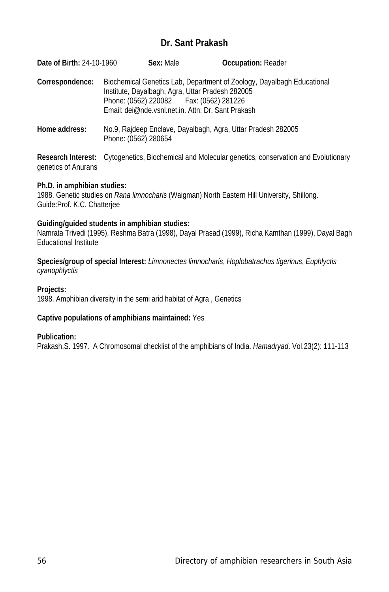## **Dr. Sant Prakash**

| Date of Birth: 24-10-1960 |                      | Sex: Male | <b>Occupation: Reader</b>                                                                                                                                                                                                     |
|---------------------------|----------------------|-----------|-------------------------------------------------------------------------------------------------------------------------------------------------------------------------------------------------------------------------------|
| Correspondence:           |                      |           | Biochemical Genetics Lab, Department of Zoology, Dayalbagh Educational<br>Institute, Dayalbagh, Agra, Uttar Pradesh 282005<br>Phone: (0562) 220082   Fax: (0562) 281226<br>Email: dei@nde.vsnl.net.in. Attn: Dr. Sant Prakash |
| Home address:             | Phone: (0562) 280654 |           | No.9, Rajdeep Enclave, Dayalbagh, Agra, Uttar Pradesh 282005                                                                                                                                                                  |

**Research Interest:** Cytogenetics, Biochemical and Molecular genetics, conservation and Evolutionary genetics of Anurans

#### **Ph.D. in amphibian studies:**

1988. Genetic studies on *Rana limnocharis* (Waigman) North Eastern Hill University, Shillong. Guide:Prof. K.C. Chatterjee

#### **Guiding/guided students in amphibian studies:**

Namrata Trivedi (1995), Reshma Batra (1998), Dayal Prasad (1999), Richa Kamthan (1999), Dayal Bagh Educational Institute

**Species/group of special Interest:** *Limnonectes limnocharis*, *Hoplobatrachus tigerinus*, *Euphlyctis cyanophlyctis*

### **Projects:**

1998. Amphibian diversity in the semi arid habitat of Agra , Genetics

#### **Captive populations of amphibians maintained:** Yes

## **Publication:**

Prakash.S. 1997. A Chromosomal checklist of the amphibians of India. *Hamadryad*. Vol.23(2): 111-113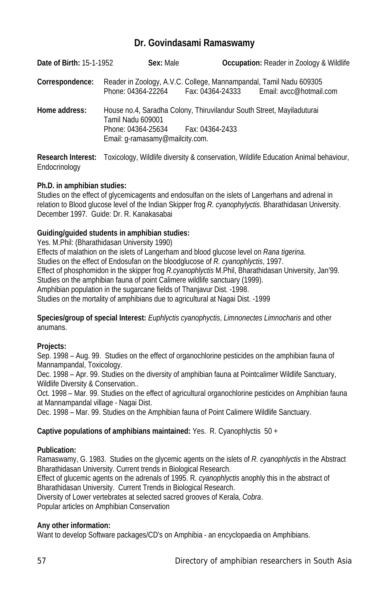## **Dr. Govindasami Ramaswamy**

| Date of Birth: 15-1-1952 | Sex: Male                                                                                                    |                 | <b>Occupation:</b> Reader in Zoology & Wildlife |
|--------------------------|--------------------------------------------------------------------------------------------------------------|-----------------|-------------------------------------------------|
| Correspondence:          | Reader in Zoology, A.V.C. College, Mannampandal, Tamil Nadu 609305<br>Phone: 04364-22264    Fax: 04364-24333 |                 | Email: avcc@hotmail.com                         |
| Home address:            | House no.4, Saradha Colony, Thiruvilandur South Street, Mayiladuturai<br>Tamil Nadu 609001                   |                 |                                                 |
|                          | Phone: 04364-25634                                                                                           | Fax: 04364-2433 |                                                 |
|                          | Email: q-ramasamy@mailcity.com.                                                                              |                 |                                                 |
|                          |                                                                                                              |                 |                                                 |

**Research Interest:** Toxicology, Wildlife diversity & conservation, Wildlife Education Animal behaviour, Endocrinology

## **Ph.D. in amphibian studies:**

Studies on the effect of glycemicagents and endosulfan on the islets of Langerhans and adrenal in relation to Blood glucose level of the Indian Skipper frog *R. cyanophylyctis.* Bharathidasan University. December 1997. Guide: Dr. R. Kanakasabai

## **Guiding/guided students in amphibian studies:**

Yes. M.Phil: (Bharathidasan University 1990)

Effects of malathion on the islets of Langerham and blood glucose level on *Rana tigerina*. Studies on the effect of Endosufan on the bloodglucose of *R. cyanophlyctis*, 1997. Effect of phosphomidon in the skipper frog *R.cyanophlyctis* M.Phil, Bharathidasan University, Jan'99. Studies on the amphibian fauna of point Calimere wildlife sanctuary (1999). Amphibian population in the sugarcane fields of Thanjavur Dist. -1998. Studies on the mortality of amphibians due to agricultural at Nagai Dist. -1999

**Species/group of special Interest:** *Euphlyctis cyanophyctis*, *Limnonectes Limnocharis* and other anumans.

## **Projects:**

Sep. 1998 – Aug. 99. Studies on the effect of organochlorine pesticides on the amphibian fauna of Mannampandal, Toxicology.

Dec. 1998 – Apr. 99. Studies on the diversity of amphibian fauna at Pointcalimer Wildlife Sanctuary, Wildlife Diversity & Conservation..

Oct. 1998 – Mar. 99. Studies on the effect of agricultural organochlorine pesticides on Amphibian fauna at Mannampandal village - Nagai Dist.

Dec. 1998 – Mar. 99. Studies on the Amphibian fauna of Point Calimere Wildlife Sanctuary.

## **Captive populations of amphibians maintained:** Yes. R. Cyanophlyctis 50 +

## **Publication:**

Ramaswamy, G. 1983. Studies on the glycemic agents on the islets of *R. cyanophlyctis* in the Abstract Bharathidasan University. Current trends in Biological Research.

Effect of glucemic agents on the adrenals of 1995. R*. cyanophlyctis* anophly this in the abstract of Bharathidasan University. Current Trends in Biological Research.

Diversity of Lower vertebrates at selected sacred grooves of Kerala, *Cobra*.

Popular articles on Amphibian Conservation

## **Any other information:**

Want to develop Software packages/CD's on Amphibia - an encyclopaedia on Amphibians.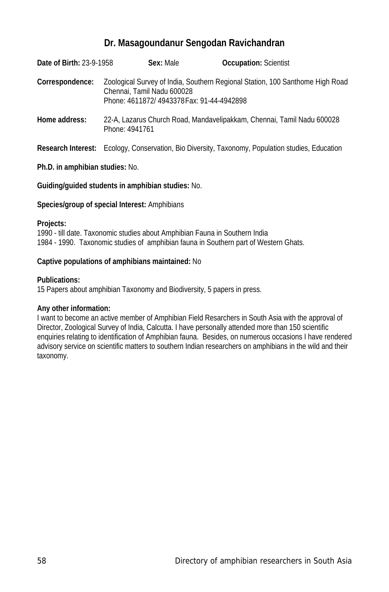## **Dr. Masagoundanur Sengodan Ravichandran**

| Date of Birth: 23-9-1958 | Sex: Male                                                               | <b>Occupation: Scientist</b>                                                  |  |
|--------------------------|-------------------------------------------------------------------------|-------------------------------------------------------------------------------|--|
| Correspondence:          | Chennai, Tamil Nadu 600028<br>Phone: 4611872/4943378 Fax: 91-44-4942898 | Zoological Survey of India, Southern Regional Station, 100 Santhome High Road |  |
| Home address:            | Phone: 4941761                                                          | 22-A, Lazarus Church Road, Mandavelipakkam, Chennai, Tamil Nadu 600028        |  |

**Research Interest:** Ecology, Conservation, Bio Diversity, Taxonomy, Population studies, Education

## **Ph.D. in amphibian studies:** No.

#### **Guiding/guided students in amphibian studies:** No.

#### **Species/group of special Interest:** Amphibians

#### **Projects:**

1990 - till date. Taxonomic studies about Amphibian Fauna in Southern India 1984 - 1990. Taxonomic studies of amphibian fauna in Southern part of Western Ghats.

#### **Captive populations of amphibians maintained:** No

#### **Publications:**

15 Papers about amphibian Taxonomy and Biodiversity, 5 papers in press.

## **Any other information:**

I want to become an active member of Amphibian Field Resarchers in South Asia with the approval of Director, Zoological Survey of India, Calcutta. I have personally attended more than 150 scientific enquiries relating to identification of Amphibian fauna. Besides, on numerous occasions I have rendered advisory service on scientific matters to southern Indian researchers on amphibians in the wild and their taxonomy.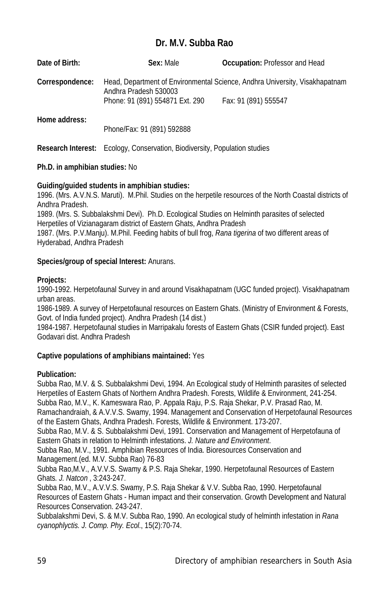# **Dr. M.V. Subba Rao**

| Date of Birth:  | Sex: Male                       | <b>Occupation:</b> Professor and Head                                       |
|-----------------|---------------------------------|-----------------------------------------------------------------------------|
| Correspondence: | Andhra Pradesh 530003           | Head, Department of Environmental Science, Andhra University, Visakhapatnam |
|                 | Phone: 91 (891) 554871 Ext. 290 | Fax: 91 (891) 555547                                                        |
| Home address:   |                                 |                                                                             |
|                 | Phone/Fax: 91 (891) 592888      |                                                                             |

**Research Interest:** Ecology, Conservation, Biodiversity, Population studies

## **Ph.D. in amphibian studies:** No

## **Guiding/guided students in amphibian studies:**

1996. (Mrs. A.V.N.S. Maruti). M.Phil. Studies on the herpetile resources of the North Coastal districts of Andhra Pradesh.

1989. (Mrs. S. Subbalakshmi Devi). Ph.D. Ecological Studies on Helminth parasites of selected Herpetiles of Vizianagaram district of Eastern Ghats, Andhra Pradesh

1987. (Mrs. P.V.Manju). M.Phil. Feeding habits of bull frog, *Rana tigerina* of two different areas of Hyderabad, Andhra Pradesh

## **Species/group of special Interest:** Anurans.

## **Projects:**

1990-1992. Herpetofaunal Survey in and around Visakhapatnam (UGC funded project). Visakhapatnam urban areas.

1986-1989. A survey of Herpetofaunal resources on Eastern Ghats. (Ministry of Environment & Forests, Govt. of India funded project). Andhra Pradesh (14 dist.)

1984-1987. Herpetofaunal studies in Marripakalu forests of Eastern Ghats (CSIR funded project). East Godavari dist. Andhra Pradesh

## **Captive populations of amphibians maintained:** Yes

## **Publication:**

Subba Rao, M.V. & S. Subbalakshmi Devi, 1994. An Ecological study of Helminth parasites of selected Herpetiles of Eastern Ghats of Northern Andhra Pradesh. Forests, Wildlife & Environment, 241-254. Subba Rao, M.V., K. Kameswara Rao, P. Appala Raju, P.S. Raja Shekar, P.V. Prasad Rao, M. Ramachandraiah, & A.V.V.S. Swamy, 1994. Management and Conservation of Herpetofaunal Resources of the Eastern Ghats, Andhra Pradesh. Forests, Wildlife & Environment. 173-207.

Subba Rao, M.V. & S. Subbalakshmi Devi, 1991. Conservation and Management of Herpetofauna of Eastern Ghats in relation to Helminth infestations. *J. Nature and Environment*.

Subba Rao, M.V., 1991. Amphibian Resources of India. Bioresources Conservation and Management.(ed. M.V. Subba Rao) 76-83

Subba Rao,M.V., A.V.V.S. Swamy & P.S. Raja Shekar, 1990. Herpetofaunal Resources of Eastern Ghats*. J. Natcon* , 3:243-247.

Subba Rao, M.V., A.V.V.S. Swamy, P.S. Raja Shekar & V.V. Subba Rao, 1990. Herpetofaunal Resources of Eastern Ghats - Human impact and their conservation. Growth Development and Natural Resources Conservation. 243-247.

Subbalakshmi Devi, S. & M.V. Subba Rao, 1990. An ecological study of helminth infestation in *Rana cyanophlyctis. J. Comp. Phy. Ecol*., 15(2):70-74.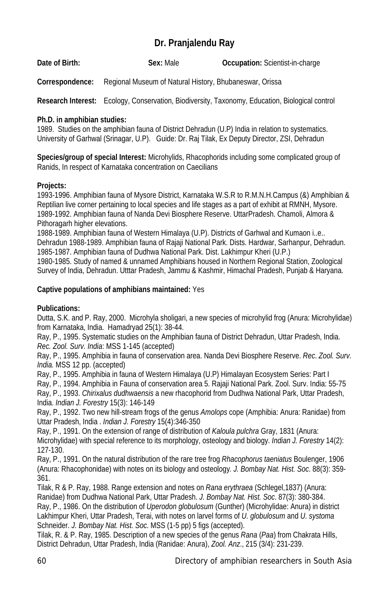# **Dr. Pranjalendu Ray**

**Date of Birth: Sex:** Male **Occupation:** Scientist-in-charge

**Correspondence:** Regional Museum of Natural History, Bhubaneswar, Orissa

**Research Interest:** Ecology, Conservation, Biodiversity, Taxonomy, Education, Biological control

## **Ph.D. in amphibian studies:**

1989. Studies on the amphibian fauna of District Dehradun (U.P) India in relation to systematics. University of Garhwal (Srinagar, U.P). Guide: Dr. Raj Tilak, Ex Deputy Director, ZSI, Dehradun

**Species/group of special Interest:** Microhylids, Rhacophorids including some complicated group of Ranids, In respect of Karnataka concentration on Caecilians

## **Projects:**

1993-1996. Amphibian fauna of Mysore District, Karnataka W.S.R to R.M.N.H.Campus (&) Amphibian & Reptilian live corner pertaining to local species and life stages as a part of exhibit at RMNH, Mysore. 1989-1992. Amphibian fauna of Nanda Devi Biosphere Reserve. UttarPradesh. Chamoli, Almora & Pithoragarh higher elevations.

1988-1989. Amphibian fauna of Western Himalaya (U.P). Districts of Garhwal and Kumaon i..e.. Dehradun 1988-1989. Amphibian fauna of Rajaji National Park. Dists. Hardwar, Sarhanpur, Dehradun. 1985-1987. Amphibian fauna of Dudhwa National Park. Dist. Lakhimpur Kheri (U.P.)

1980-1985. Study of named & unnamed Amphibians housed in Northern Regional Station, Zoological Survey of India, Dehradun. Utttar Pradesh, Jammu & Kashmir, Himachal Pradesh, Punjab & Haryana.

## **Captive populations of amphibians maintained:** Yes

## **Publications:**

Dutta, S.K. and P. Ray, 2000. Microhyla sholigari, a new species of microhylid frog (Anura: Microhylidae) from Karnataka, India. Hamadryad 25(1): 38-44.

Ray, P., 1995. Systematic studies on the Amphibian fauna of District Dehradun, Uttar Pradesh, India. *Rec. Zool. Surv. India*: MSS 1-145 (accepted)

Ray, P., 1995. Amphibia in fauna of conservation area. Nanda Devi Biosphere Reserve. *Rec*. *Zool. Surv. India.* MSS 12 pp. (accepted)

Ray, P., 1995. Amphibia in fauna of Western Himalaya (U.P) Himalayan Ecosystem Series: Part I

Ray, P., 1994. Amphibia in Fauna of conservation area 5. Rajaji National Park. Zool. Surv. India: 55-75

Ray, P., 1993. *Chirixalus dudhwaensis* a new rhacophorid from Dudhwa National Park, Uttar Pradesh, India. *Indian J. Forestry* 15(3): 146-149

Ray, P., 1992. Two new hill-stream frogs of the genus *Amolops* cope (Amphibia: Anura: Ranidae) from Uttar Pradesh, India . *Indian J. Forestry* 15(4):346-350

Ray, P., 1991. On the extension of range of distribution of *Kaloula pulchra* Gray, 1831 (Anura:

Microhylidae) with special reference to its morphology, osteology and biology. *Indian J. Forestry* 14(2): 127-130.

Ray, P., 1991. On the natural distribution of the rare tree frog *Rhacophorus taeniatus* Boulenger, 1906 (Anura: Rhacophonidae) with notes on its biology and osteology*. J. Bombay Nat. Hist. Soc*. 88(3): 359- 361.

Tilak, R & P. Ray, 1988. Range extension and notes on *Rana erythraea* (Schlegel,1837) (Anura: Ranidae) from Dudhwa National Park, Uttar Pradesh. *J. Bombay Nat. Hist. Soc*. 87(3): 380-384.

Ray, P., 1986. On the distribution of *Uperodon globulosum* (Gunther) (Microhylidae: Anura) in district Lakhimpur Kheri, Uttar Pradesh, Terai, with notes on larvel forms of *U. globulosum* and *U. systoma* Schneider. *J. Bombay Nat. Hist. Soc*. MSS (1-5 pp) 5 figs (accepted).

Tilak, R. & P. Ray, 1985. Description of a new species of the genus *Rana* (*Paa*) from Chakrata Hills, District Dehradun, Uttar Pradesh, India (Ranidae: Anura), *Zool. Anz*., 215 (3/4): 231-239.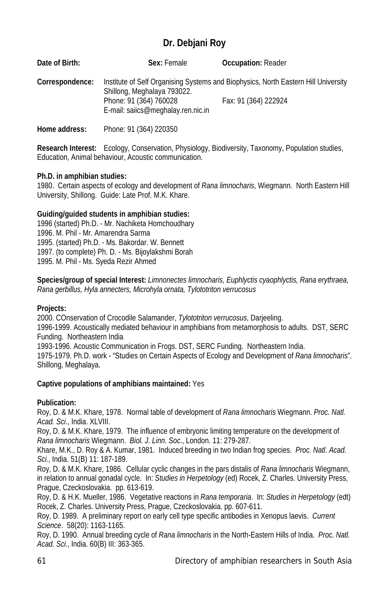# **Dr. Debjani Roy**

| Date of Birth:  | Sex: Female                                                                                 | <b>Occupation: Reader</b>                                                                                  |
|-----------------|---------------------------------------------------------------------------------------------|------------------------------------------------------------------------------------------------------------|
| Correspondence: | Shillong, Meghalaya 793022.<br>Phone: 91 (364) 760028<br>E-mail: saiics@meghalay.ren.nic.in | Institute of Self Organising Systems and Biophysics, North Eastern Hill University<br>Fax: 91 (364) 222924 |

**Home address:** Phone: 91 (364) 220350

**Research Interest:** Ecology, Conservation, Physiology, Biodiversity, Taxonomy, Population studies, Education, Animal behaviour, Acoustic communication.

## **Ph.D. in amphibian studies:**

1980. Certain aspects of ecology and development of *Rana limnocharis*, Wiegmann. North Eastern Hill University, Shillong. Guide: Late Prof. M.K. Khare.

## **Guiding/guided students in amphibian studies:**

1996 (started) Ph.D. - Mr. Nachiketa Homchoudhary 1996. M. Phil - Mr. Amarendra Sarma 1995. (started) Ph.D. - Ms. Bakordar. W. Bennett 1997. (to complete) Ph. D. - Ms. Bijoylakshmi Borah 1995. M. Phil - Ms. Syeda Rezir Ahmed

**Species/group of special Interest:** *Limnonectes limnocharis, Euphlyctis cyaophlyctis, Rana erythraea, Rana gerbillus, Hyla annecters, Microhyla ornata, Tylototriton verrucosus*

## **Projects:**

2000. COnservation of Crocodile Salamander, *Tylototriton verrucosus*, Darjeeling. 1996-1999. Acoustically mediated behaviour in amphibians from metamorphosis to adults. DST, SERC Funding. Northeastern India 1993-1996. Acoustic Communication in Frogs. DST, SERC Funding. Northeastern India. 1975-1979. Ph.D. work - "Studies on Certain Aspects of Ecology and Development of *Rana limnocharis*". Shillong, Meghalaya.

## **Captive populations of amphibians maintained:** Yes

## **Publication:**

Roy, D. & M.K. Khare, 1978. Normal table of development of *Rana limnocharis* Wiegmann. *Proc. Natl. Acad. Sci*., India. XLVIII.

Roy, D. & M.K. Khare, 1979. The influence of embryonic limiting temperature on the development of *Rana limnocharis* Wiegmann. *Biol. J. Linn. Soc*., London. 11: 279-287.

Khare, M.K., D. Roy & A. Kumar, 1981. Induced breeding in two Indian frog species. *Proc. Natl. Acad. Sci.*, India. 51(B) 11: 187-189.

Roy, D. & M.K. Khare, 1986. Cellular cyclic changes in the pars distalis of *Rana limnocharis* Wiegmann, in relation to annual gonadal cycle. In: *Studies in Herpetology* (ed) Rocek, Z. Charles. University Press, Prague, Czeckoslovakia. pp. 613-619.

Roy, D. & H.K. Mueller, 1986. Vegetative reactions in *Rana temporaria*. In: *Studies in Herpetology* (edt) Rocek, Z. Charles. University Press, Prague, Czeckoslovakia. pp. 607-611.

Roy, D. 1989. A preliminary report on early cell type specific antibodies in Xenopus laevis. *Current Science*. 58(20): 1163-1165.

Roy, D. 1990. Annual breeding cycle of *Rana limnocharis* in the North-Eastern Hills of India. *Proc. Natl. Acad. Sci*., India. 60(B) III: 363-365.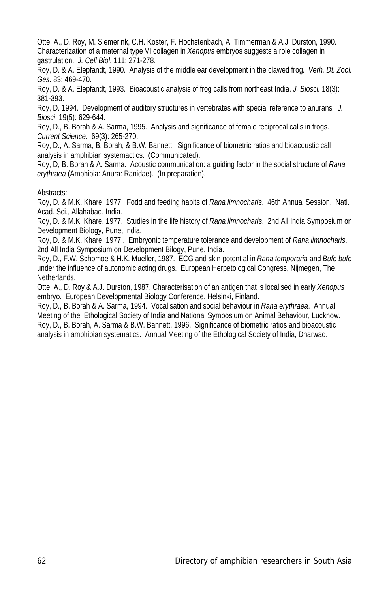Otte, A., D. Roy, M. Siemerink, C.H. Koster, F. Hochstenbach, A. Timmerman & A.J. Durston, 1990. Characterization of a maternal type VI collagen in *Xenopus* embryos suggests a role collagen in gastrulation. *J. Cell Biol*. 111: 271-278.

Roy, D. & A. Elepfandt, 1990. Analysis of the middle ear development in the clawed frog*. Verh. Dt. Zool. Ges.* 83: 469-470.

Roy, D. & A. Elepfandt, 1993. Bioacoustic analysis of frog calls from northeast India. *J. Biosci.* 18(3): 381-393.

Roy, D. 1994. Development of auditory structures in vertebrates with special reference to anurans*. J. Biosci*. 19(5): 629-644.

Roy, D., B. Borah & A. Sarma, 1995. Analysis and significance of female reciprocal calls in frogs. *Current Science*. 69(3): 265-270.

Roy, D., A. Sarma, B. Borah, & B.W. Bannett. Significance of biometric ratios and bioacoustic call analysis in amphibian systemactics. (Communicated).

Roy, D, B. Borah & A. Sarma. Acoustic communication: a guiding factor in the social structure of *Rana erythraea* (Amphibia: Anura: Ranidae). (In preparation).

#### Abstracts:

Roy, D. & M.K. Khare, 1977. Fodd and feeding habits of *Rana limnocharis*. 46th Annual Session. Natl. Acad. Sci., Allahabad, India.

Roy, D. & M.K. Khare, 1977. Studies in the life history of *Rana limnocharis*. 2nd All India Symposium on Development Biology, Pune, India.

Roy, D. & M.K. Khare, 1977 . Embryonic temperature tolerance and development of *Rana limnocharis*. 2nd All India Symposium on Development Bilogy, Pune, India.

Roy, D., F.W. Schomoe & H.K. Mueller, 1987. ECG and skin potential in *Rana temporaria* and *Bufo bufo* under the influence of autonomic acting drugs. European Herpetological Congress, Nijmegen, The Netherlands.

Otte, A., D. Roy & A.J. Durston, 1987. Characterisation of an antigen that is localised in early *Xenopus* embryo. European Developmental Biology Conference, Helsinki, Finland.

Roy, D., B. Borah & A. Sarma, 1994. Vocalisation and social behaviour in *Rana erythraea*. Annual Meeting of the Ethological Society of India and National Symposium on Animal Behaviour, Lucknow. Roy, D., B. Borah, A. Sarma & B.W. Bannett, 1996. Significance of biometric ratios and bioacoustic analysis in amphibian systematics. Annual Meeting of the Ethological Society of India, Dharwad.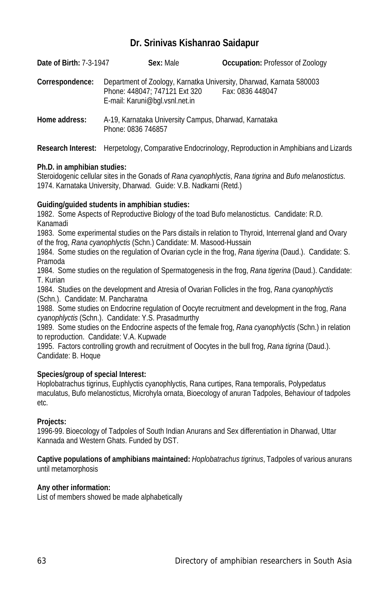## **Dr. Srinivas Kishanrao Saidapur**

| <b>Date of Birth: 7-3-1947</b> | Sex: Male                                                                                                                              | <b>Occupation: Professor of Zoology</b> |
|--------------------------------|----------------------------------------------------------------------------------------------------------------------------------------|-----------------------------------------|
| Correspondence:                | Department of Zoology, Karnatka University, Dharwad, Karnata 580003<br>Phone: 448047: 747121 Ext 320<br>E-mail: Karuni@bgl.vsnl.net.in | Fax: 0836 448047                        |
| Home address:                  | A-19, Karnataka University Campus, Dharwad, Karnataka<br>Phone: 0836 746857                                                            |                                         |

**Research Interest:** Herpetology, Comparative Endocrinology, Reproduction in Amphibians and Lizards

## **Ph.D. in amphibian studies:**

Steroidogenic cellular sites in the Gonads of *Rana cyanophlyctis*, *Rana tigrina* and *Bufo melanostictus*. 1974. Karnataka University, Dharwad. Guide: V.B. Nadkarni (Retd.)

## **Guiding/guided students in amphibian studies:**

1982. Some Aspects of Reproductive Biology of the toad Bufo melanostictus. Candidate: R.D. Kanamadi

1983. Some experimental studies on the Pars distails in relation to Thyroid, Interrenal gland and Ovary of the frog, *Rana cyanophlyctis* (Schn.) Candidate: M. Masood-Hussain

1984. Some studies on the regulation of Ovarian cycle in the frog, *Rana tigerina* (Daud.). Candidate: S. Pramoda

1984. Some studies on the regulation of Spermatogenesis in the frog, *Rana tigerina* (Daud.). Candidate: T. Kurian

1984. Studies on the development and Atresia of Ovarian Follicles in the frog, *Rana cyanophlyctis* (Schn.). Candidate: M. Pancharatna

1988. Some studies on Endocrine regulation of Oocyte recruitment and development in the frog, *Rana cyanophlyctis* (Schn.). Candidate: Y.S. Prasadmurthy

1989. Some studies on the Endocrine aspects of the female frog, *Rana cyanophlyctis* (Schn.) in relation to reproduction. Candidate: V.A. Kupwade

1995. Factors controlling growth and recruitment of Oocytes in the bull frog, *Rana tigrina* (Daud.). Candidate: B. Hoque

## **Species/group of special Interest:**

Hoplobatrachus tigrinus, Euphlyctis cyanophlyctis, Rana curtipes, Rana temporalis, Polypedatus maculatus, Bufo melanostictus, Microhyla ornata, Bioecology of anuran Tadpoles, Behaviour of tadpoles etc.

## **Projects:**

1996-99. Bioecology of Tadpoles of South Indian Anurans and Sex differentiation in Dharwad, Uttar Kannada and Western Ghats. Funded by DST.

#### **Captive populations of amphibians maintained:** *Hoplobatrachus tigrinus*, Tadpoles of various anurans until metamorphosis

## **Any other information:**

List of members showed be made alphabetically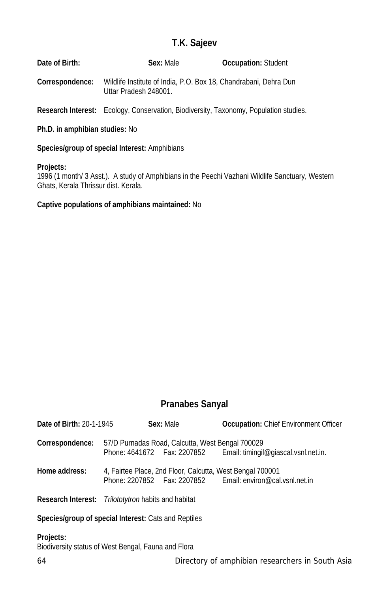# **T.K. Sajeev**

| Date of Birth:  | Sex: Male                                                                                 | <b>Occupation: Student</b> |
|-----------------|-------------------------------------------------------------------------------------------|----------------------------|
| Correspondence: | Wildlife Institute of India, P.O. Box 18, Chandrabani, Dehra Dun<br>Uttar Pradesh 248001. |                            |

**Research Interest:** Ecology, Conservation, Biodiversity, Taxonomy, Population studies.

#### **Ph.D. in amphibian studies:** No

**Species/group of special Interest:** Amphibians

#### **Projects:**

1996 (1 month/ 3 Asst.). A study of Amphibians in the Peechi Vazhani Wildlife Sanctuary, Western Ghats, Kerala Thrissur dist. Kerala.

#### **Captive populations of amphibians maintained:** No

## **Pranabes Sanyal**

| <b>Date of Birth: 20-1-1945</b> |                                                     | Sex: Male                                                 | <b>Occupation:</b> Chief Environment Officer                     |
|---------------------------------|-----------------------------------------------------|-----------------------------------------------------------|------------------------------------------------------------------|
| Correspondence:                 |                                                     | 57/D Purnadas Road, Calcutta, West Bengal 700029          | Phone: 4641672 Fax: 2207852 Email: timingil@giascal.vsnl.net.in. |
| Home address:                   |                                                     | 4, Fairtee Place, 2nd Floor, Calcutta, West Bengal 700001 | Phone: 2207852    Fax: 2207852    Email: environ@cal.vsnl.net.in |
|                                 | Research Interest: Trilototytron habits and habitat |                                                           |                                                                  |
|                                 |                                                     |                                                           |                                                                  |

## **Species/group of special Interest:** Cats and Reptiles

#### **Projects:**

Biodiversity status of West Bengal, Fauna and Flora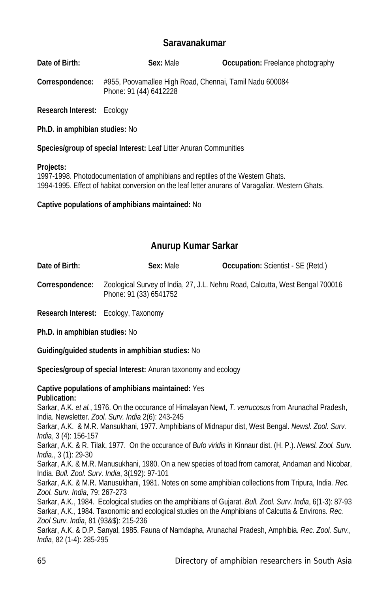## **Saravanakumar**

**Date of Birth: Sex:** Male **Occupation:** Freelance photography

**Correspondence:** #955, Poovamallee High Road, Chennai, Tamil Nadu 600084 Phone: 91 (44) 6412228

**Research Interest:** Ecology

**Ph.D. in amphibian studies:** No

**Species/group of special Interest:** Leaf Litter Anuran Communities

#### **Projects:**

1997-1998. Photodocumentation of amphibians and reptiles of the Western Ghats. 1994-1995. Effect of habitat conversion on the leaf letter anurans of Varagaliar. Western Ghats.

**Captive populations of amphibians maintained:** No

## **Anurup Kumar Sarkar**

**Date of Birth: Sex:** Male **Occupation:** Scientist - SE (Retd.) **Correspondence:** Zoological Survey of India, 27, J.L. Nehru Road, Calcutta, West Bengal 700016 Phone: 91 (33) 6541752

**Research Interest:** Ecology, Taxonomy

**Ph.D. in amphibian studies:** No

**Guiding/guided students in amphibian studies:** No

**Species/group of special Interest:** Anuran taxonomy and ecology

#### **Captive populations of amphibians maintained:** Yes **Publication:**

Sarkar, A.K. *et al.*, 1976. On the occurance of Himalayan Newt, *T. verrucosus* from Arunachal Pradesh, India. Newsletter. *Zool. Surv. India* 2(6): 243-245

Sarkar, A.K. & M.R. Mansukhani, 1977. Amphibians of Midnapur dist, West Bengal. *Newsl. Zool. Surv. India*, 3 (4): 156-157

Sarkar, A.K. & R. Tilak, 1977. On the occurance of *Bufo viridis* in Kinnaur dist. (H. P.). *Newsl. Zool. Surv. India.*, 3 (1): 29-30

Sarkar, A.K. & M.R. Manusukhani, 1980. On a new species of toad from camorat, Andaman and Nicobar, India. *Bull. Zool. Surv. India*, 3(192): 97-101

Sarkar, A.K. & M.R. Manusukhani, 1981. Notes on some amphibian collections from Tripura, India*. Rec. Zool. Surv. India,* 79: 267-273

Sarkar, A.K., 1984. Ecological studies on the amphibians of Gujarat. *Bull. Zool. Surv. India*, 6(1-3): 87-93 Sarkar, A.K., 1984. Taxonomic and ecological studies on the Amphibians of Calcutta & Environs. *Rec. Zool Surv. India*, 81 (93&\$): 215-236

Sarkar, A.K. & D.P. Sanyal, 1985. Fauna of Namdapha, Arunachal Pradesh, Amphibia. *Rec. Zool. Surv., India*, 82 (1-4): 285-295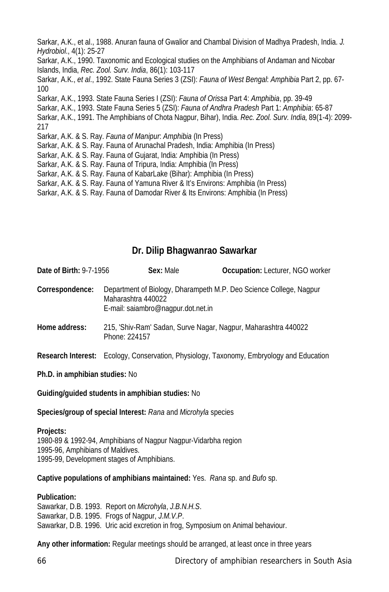Sarkar, A.K., et al., 1988. Anuran fauna of Gwalior and Chambal Division of Madhya Pradesh, India. *J. Hydrobiol*., 4(1): 25-27 Sarkar, A.K., 1990. Taxonomic and Ecological studies on the Amphibians of Andaman and Nicobar Islands, India, *Rec. Zool. Surv. India*, 86(1): 103-117 Sarkar, A.K., *et al*., 1992. State Fauna Series 3 (ZSI): *Fauna of West Bengal*: *Amphibia* Part 2, pp. 67- 100 Sarkar, A.K., 1993. State Fauna Series I (ZSI): *Fauna of Orissa* Part 4: *Amphibia*, pp. 39-49 Sarkar, A.K., 1993. State Fauna Series 5 (ZSI): *Fauna of Andhra Pradesh* Part 1: *Amphibia*: 65-87 Sarkar, A.K., 1991. The Amphibians of Chota Nagpur, Bihar), India. *Rec. Zool. Surv. India,* 89(1-4): 2099- 217 Sarkar, A.K. & S. Ray. *Fauna of Manipur*: *Amphibia* (In Press) Sarkar, A.K. & S. Ray. Fauna of Arunachal Pradesh, India: Amphibia (In Press) Sarkar, A.K. & S. Ray. Fauna of Gujarat, India: Amphibia (In Press) Sarkar, A.K. & S. Ray. Fauna of Tripura, India: Amphibia (In Press) Sarkar, A.K. & S. Ray. Fauna of KabarLake (Bihar): Amphibia (In Press) Sarkar, A.K. & S. Ray. Fauna of Yamuna River & It's Environs: Amphibia (In Press) Sarkar, A.K. & S. Ray. Fauna of Damodar River & Its Environs: Amphibia (In Press)

## **Dr. Dilip Bhagwanrao Sawarkar**

| <b>Date of Birth: 9-7-1956</b> | Sex: Male                                                                                                                      | Occupation: Lecturer, NGO worker |
|--------------------------------|--------------------------------------------------------------------------------------------------------------------------------|----------------------------------|
| Correspondence:                | Department of Biology, Dharampeth M.P. Deo Science College, Nagpur<br>Maharashtra 440022<br>E-mail: saiambro@nagpur.dot.net.in |                                  |
| Home address:                  | 215, 'Shiv-Ram' Sadan, Surve Nagar, Nagpur, Maharashtra 440022<br>Phone: 224157                                                |                                  |
|                                | <b>Research Interest:</b> Ecology, Conservation, Physiology, Taxonomy, Embryology and Education                                |                                  |

**Ph.D. in amphibian studies:** No

**Guiding/guided students in amphibian studies:** No

**Species/group of special Interest:** *Rana* and *Microhyla* species

## **Projects:**

1980-89 & 1992-94, Amphibians of Nagpur Nagpur-Vidarbha region 1995-96, Amphibians of Maldives. 1995-99, Development stages of Amphibians.

**Captive populations of amphibians maintained:** Yes. *Rana* sp. and *Bufo* sp.

## **Publication:**

Sawarkar, D.B. 1993. Report on *Microhyla*, *J.B.N.H.S*. Sawarkar, D.B. 1995. Frogs of Nagpur, *J.M.V.P*. Sawarkar, D.B. 1996. Uric acid excretion in frog, Symposium on Animal behaviour.

**Any other information:** Regular meetings should be arranged, at least once in three years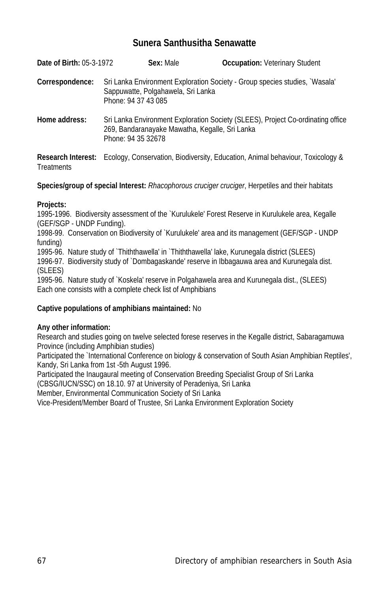## **Sunera Santhusitha Senawatte**

| <b>Date of Birth: 05-3-1972</b>         | Sex: Male                                                            | <b>Occupation: Veterinary Student</b>                                           |
|-----------------------------------------|----------------------------------------------------------------------|---------------------------------------------------------------------------------|
| Correspondence:                         | Sappuwatte, Polgahawela, Sri Lanka<br>Phone: 94 37 43 085            | Sri Lanka Environment Exploration Society - Group species studies, `Wasala'     |
| Home address:                           | 269, Bandaranayake Mawatha, Kegalle, Sri Lanka<br>Phone: 94 35 32678 | Sri Lanka Environment Exploration Society (SLEES), Project Co-ordinating office |
| <b>Research Interest:</b><br>Treatments |                                                                      | Ecology, Conservation, Biodiversity, Education, Animal behaviour, Toxicology &  |

**Species/group of special Interest:** *Rhacophorous cruciger cruciger*, Herpetiles and their habitats

## **Projects:**

1995-1996. Biodiversity assessment of the `Kurulukele' Forest Reserve in Kurulukele area, Kegalle (GEF/SGP - UNDP Funding).

1998-99. Conservation on Biodiversity of `Kurulukele' area and its management (GEF/SGP - UNDP funding)

1995-96. Nature study of `Thiththawella' in `Thiththawella' lake, Kurunegala district (SLEES) 1996-97. Biodiversity study of `Dombagaskande' reserve in Ibbagauwa area and Kurunegala dist. (SLEES)

1995-96. Nature study of `Koskela' reserve in Polgahawela area and Kurunegala dist., (SLEES) Each one consists with a complete check list of Amphibians

## **Captive populations of amphibians maintained:** No

## **Any other information:**

Research and studies going on twelve selected forese reserves in the Kegalle district, Sabaragamuwa Province (including Amphibian studies)

Participated the `International Conference on biology & conservation of South Asian Amphibian Reptiles'. Kandy, Sri Lanka from 1st -5th August 1996.

Participated the Inaugaural meeting of Conservation Breeding Specialist Group of Sri Lanka

(CBSG/IUCN/SSC) on 18.10. 97 at University of Peradeniya, Sri Lanka

Member, Environmental Communication Society of Sri Lanka

Vice-President/Member Board of Trustee, Sri Lanka Environment Exploration Society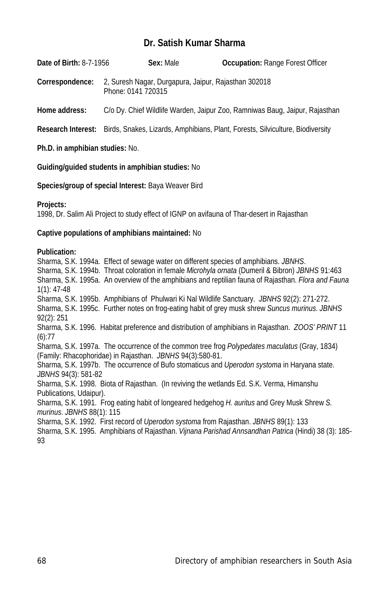## **Dr. Satish Kumar Sharma**

**Date of Birth:** 8-7-1956 **Sex:** Male **Occupation:** Range Forest Officer

**Correspondence:** 2, Suresh Nagar, Durgapura, Jaipur, Rajasthan 302018 Phone: 0141 720315

**Home address:** C/o Dy. Chief Wildlife Warden, Jaipur Zoo, Ramniwas Baug, Jaipur, Rajasthan

**Research Interest:** Birds, Snakes, Lizards, Amphibians, Plant, Forests, Silviculture, Biodiversity

**Ph.D. in amphibian studies:** No.

**Guiding/guided students in amphibian studies:** No

**Species/group of special Interest:** Baya Weaver Bird

#### **Projects:**

1998, Dr. Salim Ali Project to study effect of IGNP on avifauna of Thar-desert in Rajasthan

#### **Captive populations of amphibians maintained:** No

#### **Publication:**

Sharma, S.K. 1994a. Effect of sewage water on different species of amphibians. *JBNHS*. Sharma, S.K. 1994b. Throat coloration in female *Microhyla ornata* (Dumeril & Bibron) *JBNHS* 91:463 Sharma, S.K. 1995a. An overview of the amphibians and reptilian fauna of Rajasthan. *Flora and Fauna* 1(1): 47-48 Sharma, S.K. 1995b. Amphibians of Phulwari Ki Nal Wildlife Sanctuary. *JBNHS* 92(2): 271-272. Sharma, S.K. 1995c. Further notes on frog-eating habit of grey musk shrew *Suncus murinus*. *JBNHS* 92(2): 251 Sharma, S.K. 1996. Habitat preference and distribution of amphibians in Rajasthan. *ZOOS' PRINT* 11 (6):77 Sharma, S.K. 1997a. The occurrence of the common tree frog *Polypedates maculatus* (Gray, 1834) (Family: Rhacophoridae) in Rajasthan. *JBNHS* 94(3):580-81. Sharma, S.K. 1997b. The occurrence of Bufo stomaticus and *Uperodon systoma* in Haryana state. *JBNHS* 94(3): 581-82 Sharma, S.K. 1998. Biota of Rajasthan. (In reviving the wetlands Ed. S.K. Verma, Himanshu Publications, Udaipur). Sharma, S.K. 1991. Frog eating habit of longeared hedgehog *H. auritus* and Grey Musk Shrew *S. murinus*. *JBNHS* 88(1): 115 Sharma, S.K. 1992. First record of *Uperodon systoma* from Rajasthan. *JBNHS* 89(1): 133

Sharma, S.K. 1995. Amphibians of Rajasthan. *Vijnana Parishad Annsandhan Patrica* (Hindi) 38 (3): 185- 93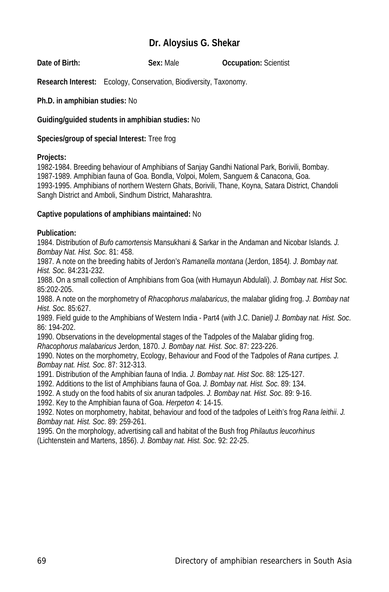## **Dr. Aloysius G. Shekar**

**Date of Birth: Sex:** Male **Occupation:** Scientist

**Research Interest:** Ecology, Conservation, Biodiversity, Taxonomy.

**Ph.D. in amphibian studies:** No

**Guiding/guided students in amphibian studies:** No

**Species/group of special Interest:** Tree frog

## **Projects:**

1982-1984. Breeding behaviour of Amphibians of Sanjay Gandhi National Park, Borivili, Bombay. 1987-1989. Amphibian fauna of Goa. Bondla, Volpoi, Molem, Sanguem & Canacona, Goa. 1993-1995. Amphibians of northern Western Ghats, Borivili, Thane, Koyna, Satara District, Chandoli Sangh District and Amboli, Sindhum District, Maharashtra.

## **Captive populations of amphibians maintained:** No

## **Publication:**

1984. Distribution of *Bufo camortensis* Mansukhani & Sarkar in the Andaman and Nicobar Islands*. J. Bombay Nat. Hist. Soc.* 81: 458.

1987. A note on the breeding habits of Jerdon's *Ramanella montana* (Jerdon, 1854*). J. Bombay nat. Hist. Soc*. 84:231-232.

1988. On a small collection of Amphibians from Goa (with Humayun Abdulali). *J. Bombay nat. Hist Soc.* 85:202-205.

1988. A note on the morphometry of *Rhacophorus malabaricus*, the malabar gliding frog. *J. Bombay nat Hist. Soc.* 85:627.

1989. Field guide to the Amphibians of Western India - Part4 (with J.C. Daniel*) J. Bombay nat. Hist. Soc*. 86: 194-202.

1990. Observations in the developmental stages of the Tadpoles of the Malabar gliding frog.

*Rhacophorus malabaricus* Jerdon, 1870. *J. Bombay nat. Hist. Soc*. 87: 223-226.

1990. Notes on the morphometry, Ecology, Behaviour and Food of the Tadpoles of *Rana curtipes. J. Bombay nat. Hist. Soc*. 87: 312-313.

1991. Distribution of the Amphibian fauna of India. *J. Bombay nat. Hist Soc*. 88: 125-127.

1992. Additions to the list of Amphibians fauna of Goa. *J. Bombay nat. Hist. Soc*. 89: 134.

1992. A study on the food habits of six anuran tadpoles. *J. Bombay nat. Hist. Soc*. 89: 9-16.

1992. Key to the Amphibian fauna of Goa. *Herpeton* 4: 14-15.

1992. Notes on morphometry, habitat, behaviour and food of the tadpoles of Leith's frog *Rana leithii*. *J. Bombay nat. Hist. Soc*. 89: 259-261.

1995. On the morphology, advertising call and habitat of the Bush frog *Philautus leucorhinus* (Lichtenstein and Martens, 1856). *J. Bombay nat. Hist. Soc*. 92: 22-25.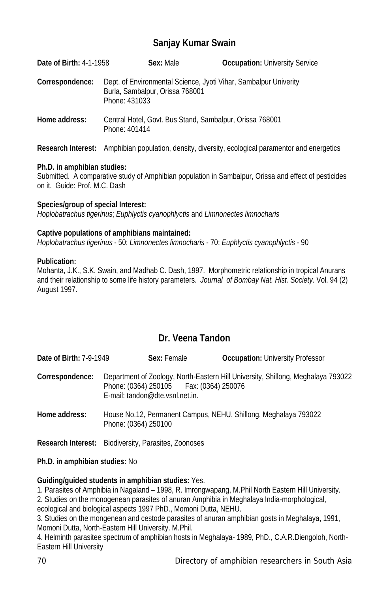# **Sanjay Kumar Swain**

| <b>Date of Birth: 4-1-1958</b> | Sex: Male                                                                                                            | <b>Occupation: University Service</b> |
|--------------------------------|----------------------------------------------------------------------------------------------------------------------|---------------------------------------|
| Correspondence:                | Dept. of Environmental Science, Jyoti Vihar, Sambalpur Univerity<br>Burla, Sambalpur, Orissa 768001<br>Phone: 431033 |                                       |
| Home address:                  | Central Hotel, Govt. Bus Stand, Sambalpur, Orissa 768001<br>Phone: 401414                                            |                                       |

**Research Interest:** Amphibian population, density, diversity, ecological paramentor and energetics

## **Ph.D. in amphibian studies:**

Submitted. A comparative study of Amphibian population in Sambalpur, Orissa and effect of pesticides on it. Guide: Prof. M.C. Dash

## **Species/group of special Interest:**

*Hoplobatrachus tigerinus*; *Euphlyctis cyanophlyctis* and *Limnonectes limnocharis*

## **Captive populations of amphibians maintained:**

*Hoplobatrachus tigerinus* - 50; *Limnonectes limnocharis* - 70; *Euphlyctis cyanophlyctis* - 90

## **Publication:**

Mohanta, J.K., S.K. Swain, and Madhab C. Dash, 1997. Morphometric relationship in tropical Anurans and their relationship to some life history parameters. *Journal of Bombay Nat. Hist. Society*. Vol. 94 (2) August 1997.

## **Dr. Veena Tandon**

| Date of Birth: 7-9-1949                                     |                      | Sex: Female                                                                  | <b>Occupation: University Professor</b>                                          |
|-------------------------------------------------------------|----------------------|------------------------------------------------------------------------------|----------------------------------------------------------------------------------|
| Correspondence:                                             |                      | Phone: (0364) 250105   Fax: (0364) 250076<br>E-mail: tandon@dte.vsnl.net.in. | Department of Zoology, North-Eastern Hill University, Shillong, Meghalaya 793022 |
| Home address:                                               | Phone: (0364) 250100 |                                                                              | House No.12, Permanent Campus, NEHU, Shillong, Meghalaya 793022                  |
| <b>Research Interest:</b> Biodiversity, Parasites, Zoonoses |                      |                                                                              |                                                                                  |

## **Ph.D. in amphibian studies:** No

**Guiding/guided students in amphibian studies:** Yes.

1. Parasites of Amphibia in Nagaland – 1998, R. Imrongwapang, M.Phil North Eastern Hill University.

2. Studies on the monogenean parasites of anuran Amphibia in Meghalaya India-morphological,

ecological and biological aspects 1997 PhD., Momoni Dutta, NEHU.

3. Studies on the mongenean and cestode parasites of anuran amphibian gosts in Meghalaya, 1991, Momoni Dutta, North-Eastern Hill University. M.Phil.

4. Helminth parasitee spectrum of amphibian hosts in Meghalaya- 1989, PhD., C.A.R.Diengoloh, North-Eastern Hill University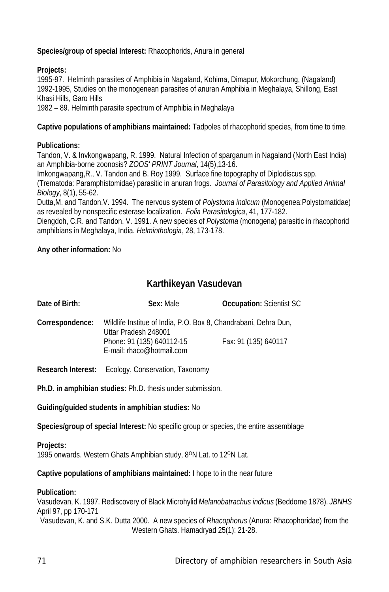## **Species/group of special Interest:** Rhacophorids, Anura in general

## **Projects:**

1995-97. Helminth parasites of Amphibia in Nagaland, Kohima, Dimapur, Mokorchung, (Nagaland) 1992-1995, Studies on the monogenean parasites of anuran Amphibia in Meghalaya, Shillong, East Khasi Hills, Garo Hills

1982 – 89. Helminth parasite spectrum of Amphibia in Meghalaya

**Captive populations of amphibians maintained:** Tadpoles of rhacophorid species, from time to time.

## **Publications:**

Tandon, V. & Invkongwapang, R. 1999. Natural Infection of sparganum in Nagaland (North East India) an Amphibia-borne zoonosis? *ZOOS' PRINT Journal*, 14(5),13-16.

Imkongwapang,R., V. Tandon and B. Roy 1999. Surface fine topography of Diplodiscus spp.

(Trematoda: Paramphistomidae) parasitic in anuran frogs. *Journal of Parasitology and Applied Animal Biology*, 8(1), 55-62.

Dutta,M. and Tandon,V. 1994. The nervous system of *Polystoma indicum* (Monogenea:Polystomatidae) as revealed by nonspecific esterase localization. *Folia Parasitologica*, 41, 177-182.

Diengdoh, C.R. and Tandon, V. 1991. A new species of *Polystoma* (monogena) parasitic in rhacophorid amphibians in Meghalaya, India. *Helminthologia*, 28, 173-178.

## **Any other information:** No

# **Karthikeyan Vasudevan**

| Date of Birth:            | Sex: Male                                                                                                                                         | <b>Occupation: Scientist SC</b> |
|---------------------------|---------------------------------------------------------------------------------------------------------------------------------------------------|---------------------------------|
| Correspondence:           | Wildlife Institue of India, P.O. Box 8, Chandrabani, Dehra Dun,<br>Uttar Pradesh 248001<br>Phone: 91 (135) 640112-15<br>E-mail: rhaco@hotmail.com | Fax: 91 (135) 640117            |
| <b>Research Interest:</b> | Ecology, Conservation, Taxonomy                                                                                                                   |                                 |
|                           | Ph.D. in amphibian studies: Ph.D. thesis under submission.                                                                                        |                                 |
|                           | Guiding/guided students in amphibian studies: No                                                                                                  |                                 |
|                           | <b>Species/group of special Interest:</b> No specific group or species, the entire assemblage                                                     |                                 |
| Projects:                 |                                                                                                                                                   |                                 |

1995 onwards. Western Ghats Amphibian study, 8ON Lat. to 12ON Lat.

**Captive populations of amphibians maintained:** I hope to in the near future

## **Publication:**

Vasudevan, K. 1997. Rediscovery of Black Microhylid *Melanobatrachus indicus* (Beddome 1878). *JBNHS* April 97, pp 170-171 Vasudevan, K. and S.K. Dutta 2000. A new species of *Rhacophorus* (Anura: Rhacophoridae) from the Western Ghats. Hamadryad 25(1): 21-28.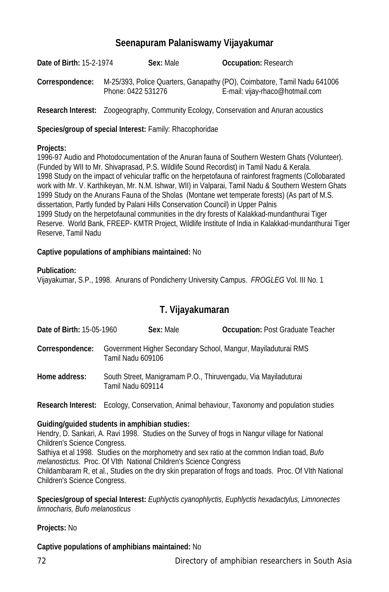## **Seenapuram Palaniswamy Vijayakumar**

**Date of Birth:** 15-2-1974 **Sex:** Male **Occupation:** Research **Correspondence:** M-25/393, Police Quarters, Ganapathy (PO), Coimbatore, Tamil Nadu 641006 Phone: 0422 531276 E-mail: vijay-rhaco@hotmail.com

**Research Interest:** Zoogeography, Community Ecology, Conservation and Anuran acoustics

**Species/group of special Interest:** Family: Rhacophoridae

### **Projects:**

1996-97 Audio and Photodocumentation of the Anuran fauna of Southern Western Ghats (Volunteer). (Funded by WII to Mr. Shivaprasad, P.S. Wildlife Sound Recordist) in Tamil Nadu & Kerala. 1998 Study on the impact of vehicular traffic on the herpetofauna of rainforest fragments (Collobarated work with Mr. V. Karthikeyan, Mr. N.M. Ishwar, WII) in Valparai, Tamil Nadu & Southern Western Ghats 1999 Study on the Anurans Fauna of the Sholas (Montane wet temperate forests) (As part of M.S. dissertation, Partly funded by Palani Hills Conservation Council) in Upper Palnis 1999 Study on the herpetofaunal communities in the dry forests of Kalakkad-mundanthurai Tiger Reserve. World Bank, FREEP- KMTR Project, Wildlife Institute of India in Kalakkad-mundanthurai Tiger Reserve, Tamil Nadu

## **Captive populations of amphibians maintained:** No

## **Publication:**

Vijayakumar, S.P., 1998. Anurans of Pondicherry University Campus. *FROGLEG* Vol. III No. 1

## **T. Vijayakumaran**

| Date of Birth: 15-05-1960 | Sex: Male         | <b>Occupation: Post Graduate Teacher</b>                                                           |
|---------------------------|-------------------|----------------------------------------------------------------------------------------------------|
| Correspondence:           | Tamil Nadu 609106 | Government Higher Secondary School, Mangur, Mayiladuturai RMS                                      |
| Home address:             | Tamil Nadu 609114 | South Street, Manigramam P.O., Thiruvengadu, Via Mayiladuturai                                     |
|                           |                   | <b>Research Interest:</b> Ecology, Conservation, Animal behaviour, Taxonomy and population studies |

## **Guiding/guided students in amphibian studies:**

Hendry, D. Sankari, A. Ravi 1998. Studies on the Survey of frogs in Nangur village for National Children's Science Congress. Sathiya et al 1998. Studies on the morphometry and sex ratio at the common Indian toad, *Bufo melanostictus*. Proc. Of VIth National Children's Science Congress

Childambaram R, et al., Studies on the dry skin preparation of frogs and toads. Proc. Of VIth National Children's Science Congress.

**Species/group of special Interest:** *Euphlyctis cyanophlyctis, Euphlyctis hexadactylus, Limnonectes limnocharis, Bufo melanosticus*

## **Projects:** No

## **Captive populations of amphibians maintained:** No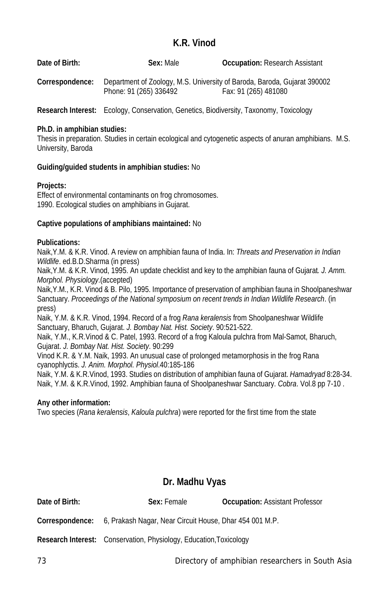# **K.R. Vinod**

| Date of Birth:  | Sex: Male              | <b>Occupation:</b> Research Assistant                                                            |
|-----------------|------------------------|--------------------------------------------------------------------------------------------------|
| Correspondence: | Phone: 91 (265) 336492 | Department of Zoology, M.S. University of Baroda, Baroda, Gujarat 390002<br>Fax: 91 (265) 481080 |

**Research Interest:** Ecology, Conservation, Genetics, Biodiversity, Taxonomy, Toxicology

## **Ph.D. in amphibian studies:**

Thesis in preparation. Studies in certain ecological and cytogenetic aspects of anuran amphibians. M.S. University, Baroda

# **Guiding/guided students in amphibian studies:** No

# **Projects:**

Effect of environmental contaminants on frog chromosomes. 1990. Ecological studies on amphibians in Gujarat.

# **Captive populations of amphibians maintained:** No

# **Publications:**

Naik,Y.M. & K.R. Vinod. A review on amphibian fauna of India. In: *Threats and Preservation in Indian Wildlife*. ed.B.D.Sharma (in press)

Naik,Y.M. & K.R. Vinod, 1995. An update checklist and key to the amphibian fauna of Gujarat*. J. Amm. Morphol. Physiology*.(accepted)

Naik,Y.M., K.R. Vinod & B. Pilo, 1995. Importance of preservation of amphibian fauna in Shoolpaneshwar Sanctuary. *Proceedings of the National symposium on recent trends in Indian Wildlife Research*. (in press)

Naik, Y.M. & K.R. Vinod, 1994. Record of a frog *Rana keralensis* from Shoolpaneshwar Wildlife Sanctuary, Bharuch, Gujarat. *J. Bombay Nat. Hist. Society*. 90:521-522.

Naik, Y.M., K.R.Vinod & C. Patel, 1993. Record of a frog Kaloula pulchra from Mal-Samot, Bharuch, Gujarat. *J. Bombay Nat. Hist. Society*. 90:299

Vinod K.R. & Y.M. Naik, 1993. An unusual case of prolonged metamorphosis in the frog Rana cyanophlyctis. *J. Anim. Morphol. Physiol*.40:185-186

Naik, Y.M. & K.R.Vinod, 1993. Studies on distribution of amphibian fauna of Gujarat. *Hamadryad* 8:28-34. Naik, Y.M. & K.R.Vinod, 1992. Amphibian fauna of Shoolpaneshwar Sanctuary. *Cobra*. Vol.8 pp 7-10 .

## **Any other information:**

Two species (*Rana keralensis*, *Kaloula pulchra*) were reported for the first time from the state

# **Dr. Madhu Vyas**

| Date of Birth: | Sex: Female                                                                    | <b>Occupation: Assistant Professor</b> |  |
|----------------|--------------------------------------------------------------------------------|----------------------------------------|--|
|                | <b>Correspondence:</b> 6, Prakash Nagar, Near Circuit House, Dhar 454 001 M.P. |                                        |  |
|                | <b>Research Interest:</b> Conservation, Physiology, Education, Toxicology      |                                        |  |

73 Directory of amphibian researchers in South Asia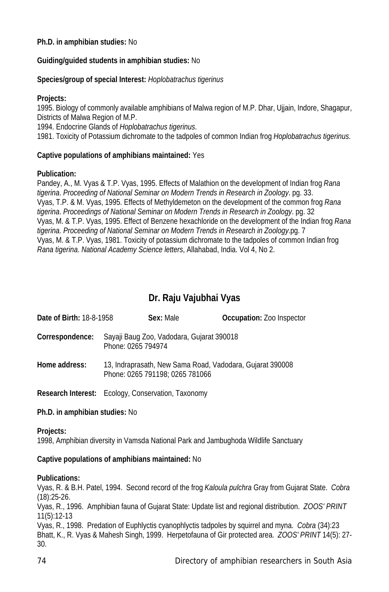### **Ph.D. in amphibian studies:** No

## **Guiding/guided students in amphibian studies:** No

### **Species/group of special Interest:** *Hoplobatrachus tigerinus*

### **Projects:**

1995. Biology of commonly available amphibians of Malwa region of M.P. Dhar, Ujjain, Indore, Shagapur, Districts of Malwa Region of M.P.

1994. Endocrine Glands of *Hoplobatrachus tigerinus*.

1981. Toxicity of Potassium dichromate to the tadpoles of common Indian frog *Hoplobatrachus tigerinus*.

### **Captive populations of amphibians maintained:** Yes

### **Publication:**

Pandey, A., M. Vyas & T.P. Vyas, 1995. Effects of Malathion on the development of Indian frog *Rana tigerina*. *Proceeding of National Seminar on Modern Trends in Research in Zoology*. pg. 33. Vyas, T.P. & M. Vyas, 1995. Effects of Methyldemeton on the development of the common frog *Rana tigerina*. *Proceedings of National Seminar on Modern Trends in Research in Zoology*. pg. 32 Vyas, M. & T.P. Vyas, 1995. Effect of Benzene hexachloride on the development of the Indian frog *Rana tigerina. Proceeding of National Seminar on Modern Trends in Research in Zoology*.pg. 7 Vyas, M. & T.P. Vyas, 1981. Toxicity of potassium dichromate to the tadpoles of common Indian frog *Rana tigerina*. *National Academy Science letters*, Allahabad, India. Vol 4, No 2.

# **Dr. Raju Vajubhai Vyas**

| <b>Date of Birth: 18-8-1958</b> |                    | Sex: Male                                 | <b>Occupation: Zoo Inspector</b> |
|---------------------------------|--------------------|-------------------------------------------|----------------------------------|
| Correspondence:                 | Phone: 0265 794974 | Sayaji Baug Zoo, Vadodara, Gujarat 390018 |                                  |

**Home address:** 13, Indraprasath, New Sama Road, Vadodara, Gujarat 390008 Phone: 0265 791198; 0265 781066

**Research Interest:** Ecology, Conservation, Taxonomy

## **Ph.D. in amphibian studies:** No

#### **Projects:**

1998, Amphibian diversity in Vamsda National Park and Jambughoda Wildlife Sanctuary

#### **Captive populations of amphibians maintained:** No

#### **Publications:**

Vyas, R. & B.H. Patel, 1994. Second record of the frog *Kaloula pulchra* Gray from Gujarat State. *Cobra* (18):25-26.

Vyas, R., 1996. Amphibian fauna of Gujarat State: Update list and regional distribution. *ZOOS' PRINT* 11(5):12-13

Vyas, R., 1998. Predation of Euphlyctis cyanophlyctis tadpoles by squirrel and myna. *Cobra* (34):23 Bhatt, K., R. Vyas & Mahesh Singh, 1999. Herpetofauna of Gir protected area. *ZOOS' PRINT* 14(5): 27- 30.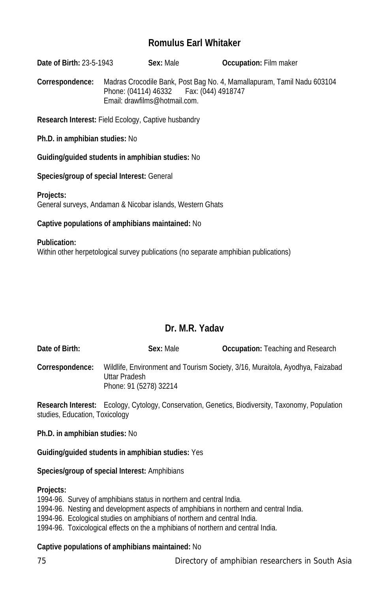# **Romulus Earl Whitaker**

**Date of Birth:** 23-5-1943 **Sex:** Male **Occupation:** Film maker

**Correspondence:** Madras Crocodile Bank, Post Bag No. 4, Mamallapuram, Tamil Nadu 603104 Phone: (04114) 46332 Fax: (044) 4918747 Email: drawfilms@hotmail.com.

**Research Interest:** Field Ecology, Captive husbandry

**Ph.D. in amphibian studies:** No

**Guiding/guided students in amphibian studies:** No

**Species/group of special Interest:** General

**Projects:** General surveys, Andaman & Nicobar islands, Western Ghats

### **Captive populations of amphibians maintained:** No

**Publication:** Within other herpetological survey publications (no separate amphibian publications)

# **Dr. M.R. Yadav**

| Date of Birth:  | Sex: Male              | <b>Occupation:</b> Teaching and Research                                      |
|-----------------|------------------------|-------------------------------------------------------------------------------|
| Correspondence: | Uttar Pradesh          | Wildlife, Environment and Tourism Society, 3/16, Muraitola, Ayodhya, Faizabad |
|                 | Phone: 91 (5278) 32214 |                                                                               |

**Research Interest:** Ecology, Cytology, Conservation, Genetics, Biodiversity, Taxonomy, Population studies, Education, Toxicology

**Ph.D. in amphibian studies:** No

**Guiding/guided students in amphibian studies:** Yes

**Species/group of special Interest:** Amphibians

#### **Projects:**

1994-96. Survey of amphibians status in northern and central India.

1994-96. Nesting and development aspects of amphibians in northern and central India.

1994-96. Ecological studies on amphibians of northern and central India.

1994-96. Toxicological effects on the a mphibians of northern and central India.

## **Captive populations of amphibians maintained:** No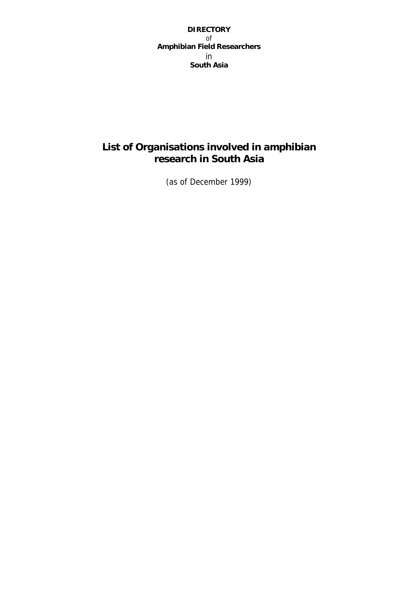**DIRECTORY**  of **Amphibian Field Researchers**  in **South Asia**

# **List of Organisations involved in amphibian research in South Asia**

(as of December 1999)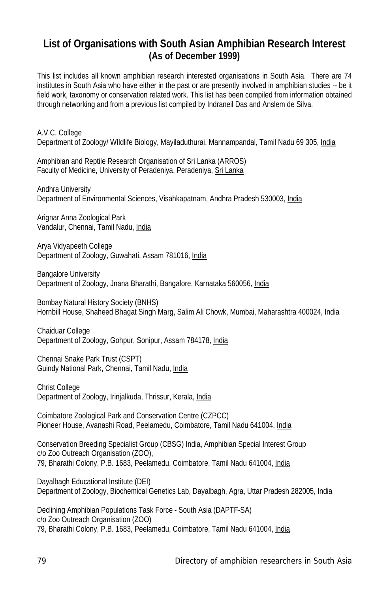# **List of Organisations with South Asian Amphibian Research Interest (As of December 1999)**

This list includes all known amphibian research interested organisations in South Asia. There are 74 institutes in South Asia who have either in the past or are presently involved in amphibian studies -- be it field work, taxonomy or conservation related work. This list has been compiled from information obtained through networking and from a previous list compiled by Indraneil Das and Anslem de Silva.

A.V.C. College Department of Zoology/ Wildlife Biology, Mayiladuthurai, Mannampandal, Tamil Nadu 69 305, India

Amphibian and Reptile Research Organisation of Sri Lanka (ARROS) Faculty of Medicine, University of Peradeniya, Peradeniya, Sri Lanka

Andhra University Department of Environmental Sciences, Visahkapatnam, Andhra Pradesh 530003, India

Arignar Anna Zoological Park Vandalur, Chennai, Tamil Nadu, India

Arya Vidyapeeth College Department of Zoology, Guwahati, Assam 781016, India

Bangalore University Department of Zoology, Jnana Bharathi, Bangalore, Karnataka 560056, India

Bombay Natural History Society (BNHS) Hornbill House, Shaheed Bhagat Singh Marg, Salim Ali Chowk, Mumbai, Maharashtra 400024, India

Chaiduar College Department of Zoology, Gohpur, Sonipur, Assam 784178, India

Chennai Snake Park Trust (CSPT) Guindy National Park, Chennai, Tamil Nadu, India

Christ College Department of Zoology, Irinjalkuda, Thrissur, Kerala, India

Coimbatore Zoological Park and Conservation Centre (CZPCC) Pioneer House, Avanashi Road, Peelamedu, Coimbatore, Tamil Nadu 641004, India

Conservation Breeding Specialist Group (CBSG) India, Amphibian Special Interest Group c/o Zoo Outreach Organisation (ZOO), 79, Bharathi Colony, P.B. 1683, Peelamedu, Coimbatore, Tamil Nadu 641004, India

Dayalbagh Educational Institute (DEI) Department of Zoology, Biochemical Genetics Lab, Dayalbagh, Agra, Uttar Pradesh 282005, India

Declining Amphibian Populations Task Force - South Asia (DAPTF-SA) c/o Zoo Outreach Organisation (ZOO) 79, Bharathi Colony, P.B. 1683, Peelamedu, Coimbatore, Tamil Nadu 641004, India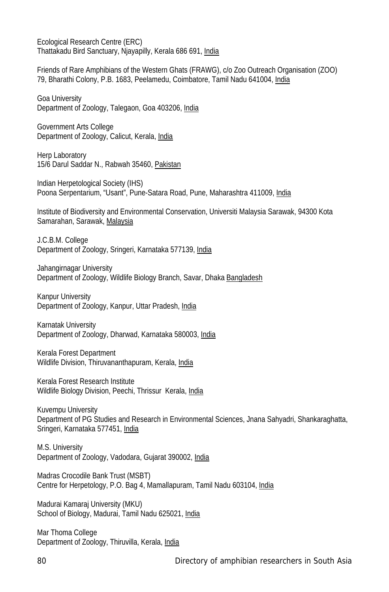Ecological Research Centre (ERC) Thattakadu Bird Sanctuary, Njayapilly, Kerala 686 691, India

Friends of Rare Amphibians of the Western Ghats (FRAWG), c/o Zoo Outreach Organisation (ZOO) 79, Bharathi Colony, P.B. 1683, Peelamedu, Coimbatore, Tamil Nadu 641004, India

Goa University Department of Zoology, Talegaon, Goa 403206, India

Government Arts College Department of Zoology, Calicut, Kerala, India

Herp Laboratory 15/6 Darul Saddar N., Rabwah 35460, Pakistan

Indian Herpetological Society (IHS) Poona Serpentarium, "Usant", Pune-Satara Road, Pune, Maharashtra 411009, India

Institute of Biodiversity and Environmental Conservation, Universiti Malaysia Sarawak, 94300 Kota Samarahan, Sarawak, Malaysia

J.C.B.M. College Department of Zoology, Sringeri, Karnataka 577139, India

Jahangirnagar University Department of Zoology, Wildlife Biology Branch, Savar, Dhaka Bangladesh

Kanpur University Department of Zoology, Kanpur, Uttar Pradesh, India

Karnatak University Department of Zoology, Dharwad, Karnataka 580003, India

Kerala Forest Department Wildlife Division, Thiruvananthapuram, Kerala, India

Kerala Forest Research Institute Wildlife Biology Division, Peechi, Thrissur Kerala, *India* 

Kuvempu University Department of PG Studies and Research in Environmental Sciences, Jnana Sahyadri, Shankaraghatta, Sringeri, Karnataka 577451, India

M.S. University Department of Zoology, Vadodara, Gujarat 390002, India

Madras Crocodile Bank Trust (MSBT) Centre for Herpetology, P.O. Bag 4, Mamallapuram, Tamil Nadu 603104, India

Madurai Kamaraj University (MKU) School of Biology, Madurai, Tamil Nadu 625021, India

Mar Thoma College Department of Zoology, Thiruvilla, Kerala, India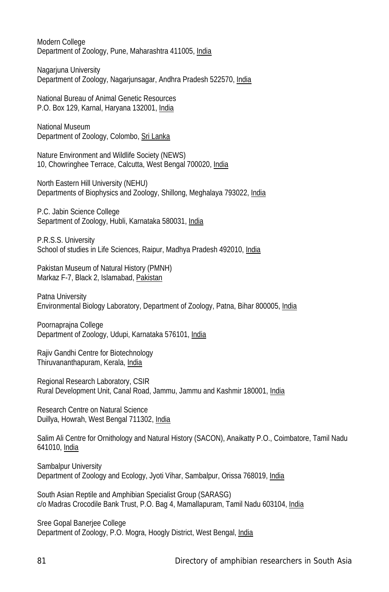Modern College Department of Zoology, Pune, Maharashtra 411005, India

Nagarjuna University Department of Zoology, Nagarjunsagar, Andhra Pradesh 522570, India

National Bureau of Animal Genetic Resources P.O. Box 129, Karnal, Haryana 132001, India

National Museum Department of Zoology, Colombo, Sri Lanka

Nature Environment and Wildlife Society (NEWS) 10, Chowringhee Terrace, Calcutta, West Bengal 700020, India

North Eastern Hill University (NEHU) Departments of Biophysics and Zoology, Shillong, Meghalaya 793022, India

P.C. Jabin Science College Separtment of Zoology, Hubli, Karnataka 580031, India

P.R.S.S. University School of studies in Life Sciences, Raipur, Madhya Pradesh 492010, India

Pakistan Museum of Natural History (PMNH) Markaz F-7, Black 2, Islamabad, Pakistan

Patna University Environmental Biology Laboratory, Department of Zoology, Patna, Bihar 800005, India

Poornaprajna College Department of Zoology, Udupi, Karnataka 576101, India

Rajiv Gandhi Centre for Biotechnology Thiruvananthapuram, Kerala, India

Regional Research Laboratory, CSIR Rural Development Unit, Canal Road, Jammu, Jammu and Kashmir 180001, India

Research Centre on Natural Science Duillya, Howrah, West Bengal 711302, India

Salim Ali Centre for Ornithology and Natural History (SACON), Anaikatty P.O., Coimbatore, Tamil Nadu 641010, India

Sambalpur University Department of Zoology and Ecology, Jyoti Vihar, Sambalpur, Orissa 768019, India

South Asian Reptile and Amphibian Specialist Group (SARASG) c/o Madras Crocodile Bank Trust, P.O. Bag 4, Mamallapuram, Tamil Nadu 603104, India

Sree Gopal Banerjee College Department of Zoology, P.O. Mogra, Hoogly District, West Bengal, India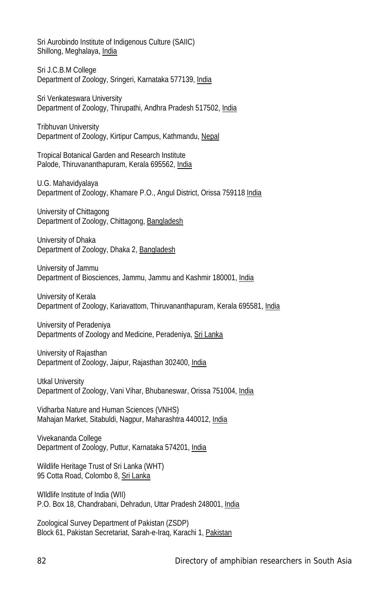Sri Aurobindo Institute of Indigenous Culture (SAIIC) Shillong, Meghalaya, India

Sri J.C.B.M College Department of Zoology, Sringeri, Karnataka 577139, India

Sri Venkateswara University Department of Zoology, Thirupathi, Andhra Pradesh 517502, India

Tribhuvan University Department of Zoology, Kirtipur Campus, Kathmandu, Nepal

Tropical Botanical Garden and Research Institute Palode, Thiruvananthapuram, Kerala 695562, India

U.G. Mahavidyalaya Department of Zoology, Khamare P.O., Angul District, Orissa 759118 India

University of Chittagong Department of Zoology, Chittagong, Bangladesh

University of Dhaka Department of Zoology, Dhaka 2, Bangladesh

University of Jammu Department of Biosciences, Jammu, Jammu and Kashmir 180001, India

University of Kerala Department of Zoology, Kariavattom, Thiruvananthapuram, Kerala 695581, India

University of Peradeniya Departments of Zoology and Medicine, Peradeniya, Sri Lanka

University of Rajasthan Department of Zoology, Jaipur, Rajasthan 302400, India

Utkal University Department of Zoology, Vani Vihar, Bhubaneswar, Orissa 751004, India

Vidharba Nature and Human Sciences (VNHS) Mahajan Market, Sitabuldi, Nagpur, Maharashtra 440012, India

Vivekananda College Department of Zoology, Puttur, Karnataka 574201, India

Wildlife Heritage Trust of Sri Lanka (WHT) 95 Cotta Road, Colombo 8, Sri Lanka

WIldlife Institute of India (WII) P.O. Box 18, Chandrabani, Dehradun, Uttar Pradesh 248001, India

Zoological Survey Department of Pakistan (ZSDP) Block 61, Pakistan Secretariat, Sarah-e-Iraq, Karachi 1, Pakistan